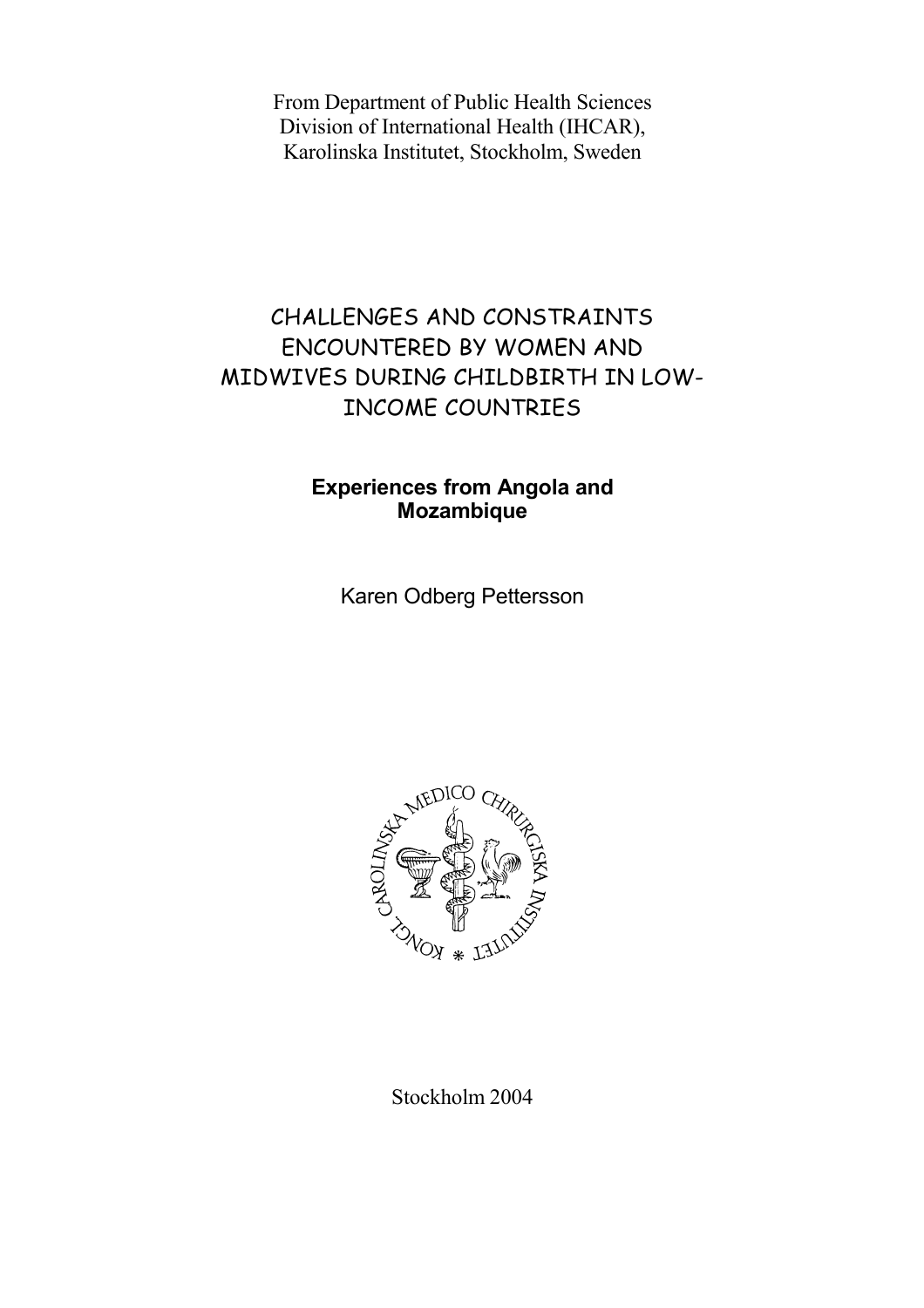From Department of Public Health Sciences Division of International Health (IHCAR), Karolinska Institutet, Stockholm, Sweden

## CHALLENGES AND CONSTRAINTS ENCOUNTERED BY WOMEN AND MIDWIVES DURING CHILDBIRTH IN LOW-INCOME COUNTRIES

### **Experiences from Angola and Mozambique**

Karen Odberg Pettersson



Stockholm 2004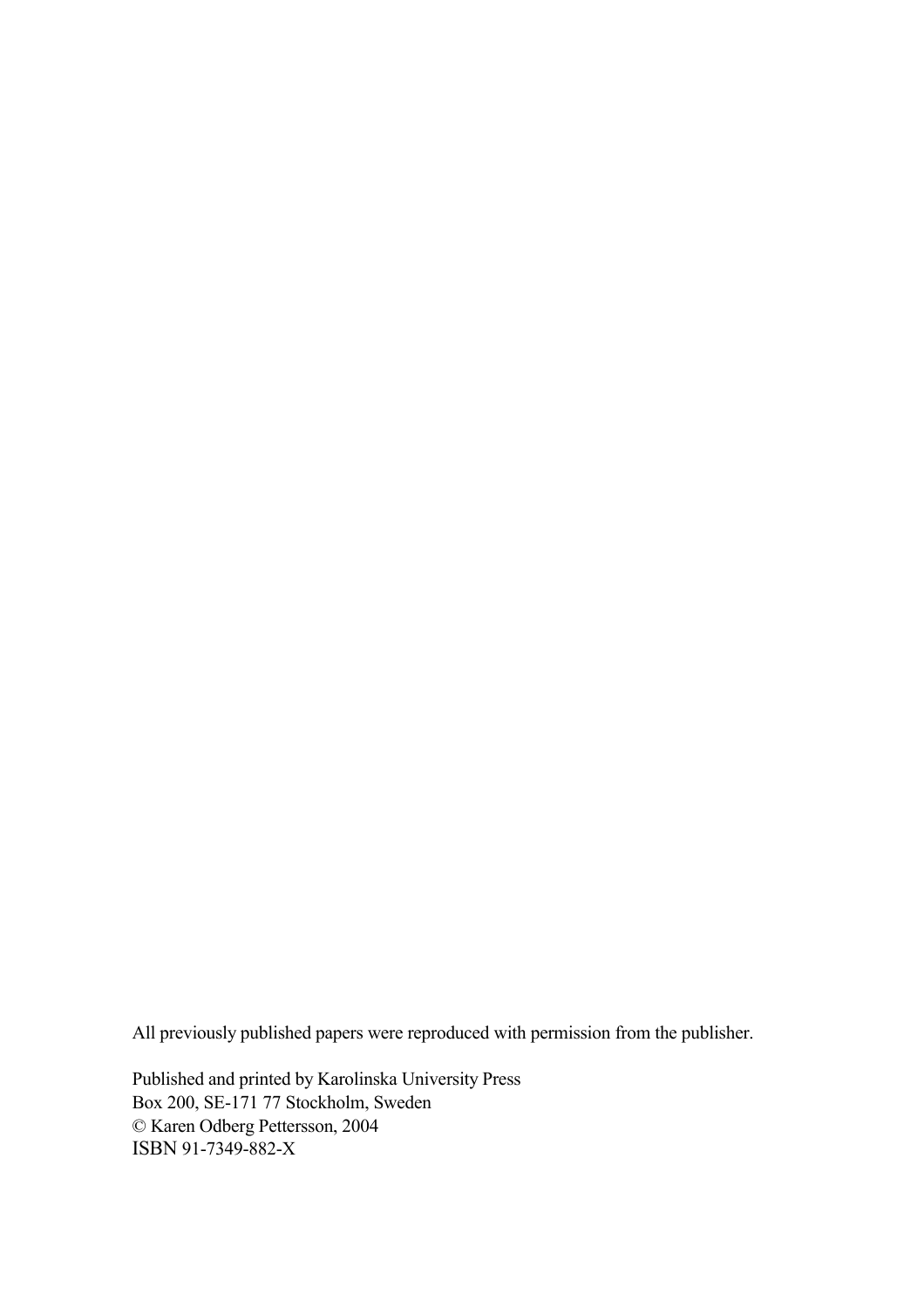All previously published papers were reproduced with permission from the publisher.

Published and printed by Karolinska University Press Box 200, SE-171 77 Stockholm, Sweden © Karen Odberg Pettersson, 2004 ISBN 91-7349-882-X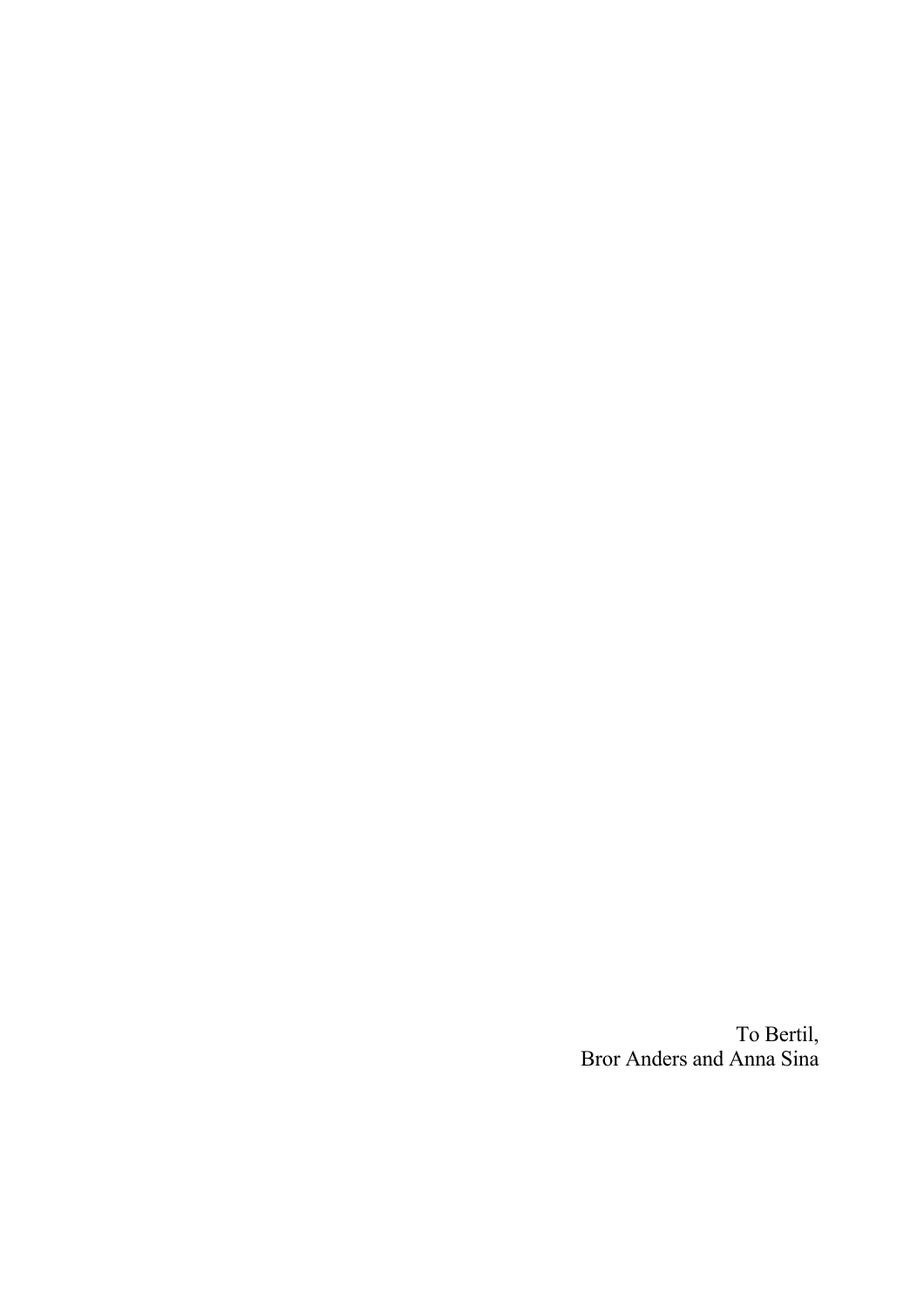To Bertil, Bror Anders and Anna Sina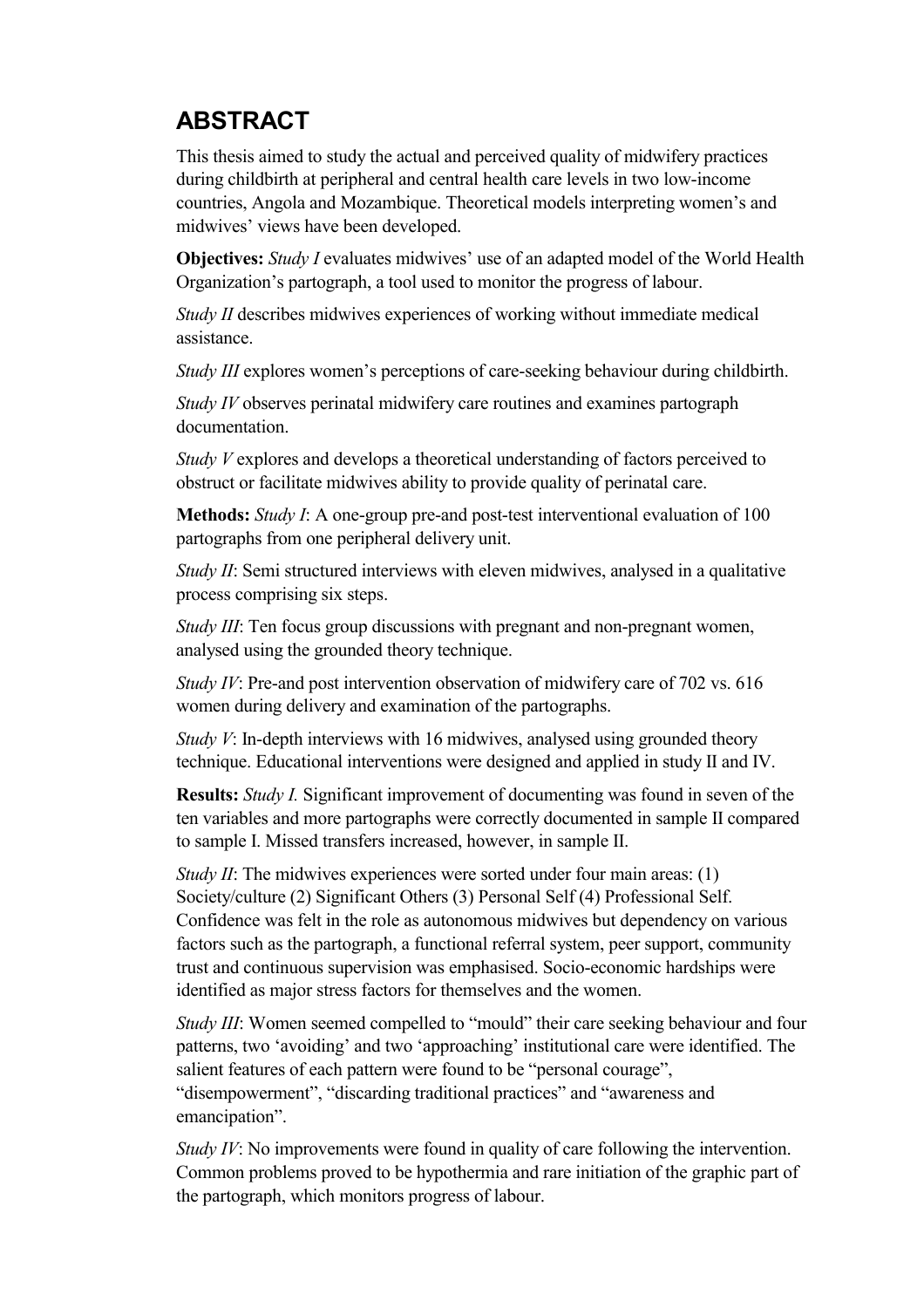# **ABSTRACT**

This thesis aimed to study the actual and perceived quality of midwifery practices during childbirth at peripheral and central health care levels in two low-income countries, Angola and Mozambique. Theoretical models interpreting women's and midwives' views have been developed.

**Objectives:** *Study I* evaluates midwives' use of an adapted model of the World Health Organization's partograph, a tool used to monitor the progress of labour.

*Study II* describes midwives experiences of working without immediate medical assistance.

*Study III* explores women's perceptions of care-seeking behaviour during childbirth.

*Study IV* observes perinatal midwifery care routines and examines partograph documentation.

*Study V* explores and develops a theoretical understanding of factors perceived to obstruct or facilitate midwives ability to provide quality of perinatal care.

**Methods:** *Study I*: A one-group pre-and post-test interventional evaluation of 100 partographs from one peripheral delivery unit.

*Study II*: Semi structured interviews with eleven midwives, analysed in a qualitative process comprising six steps.

*Study III*: Ten focus group discussions with pregnant and non-pregnant women, analysed using the grounded theory technique.

*Study IV*: Pre-and post intervention observation of midwifery care of 702 vs. 616 women during delivery and examination of the partographs.

*Study V*: In-depth interviews with 16 midwives, analysed using grounded theory technique. Educational interventions were designed and applied in study II and IV.

**Results:** *Study I.* Significant improvement of documenting was found in seven of the ten variables and more partographs were correctly documented in sample II compared to sample I. Missed transfers increased, however, in sample II.

*Study II*: The midwives experiences were sorted under four main areas: (1) Society/culture (2) Significant Others (3) Personal Self (4) Professional Self. Confidence was felt in the role as autonomous midwives but dependency on various factors such as the partograph, a functional referral system, peer support, community trust and continuous supervision was emphasised. Socio-economic hardships were identified as major stress factors for themselves and the women.

*Study III*: Women seemed compelled to "mould" their care seeking behaviour and four patterns, two 'avoiding' and two 'approaching' institutional care were identified. The salient features of each pattern were found to be "personal courage", "disempowerment", "discarding traditional practices" and "awareness and emancipation".

*Study IV*: No improvements were found in quality of care following the intervention. Common problems proved to be hypothermia and rare initiation of the graphic part of the partograph, which monitors progress of labour.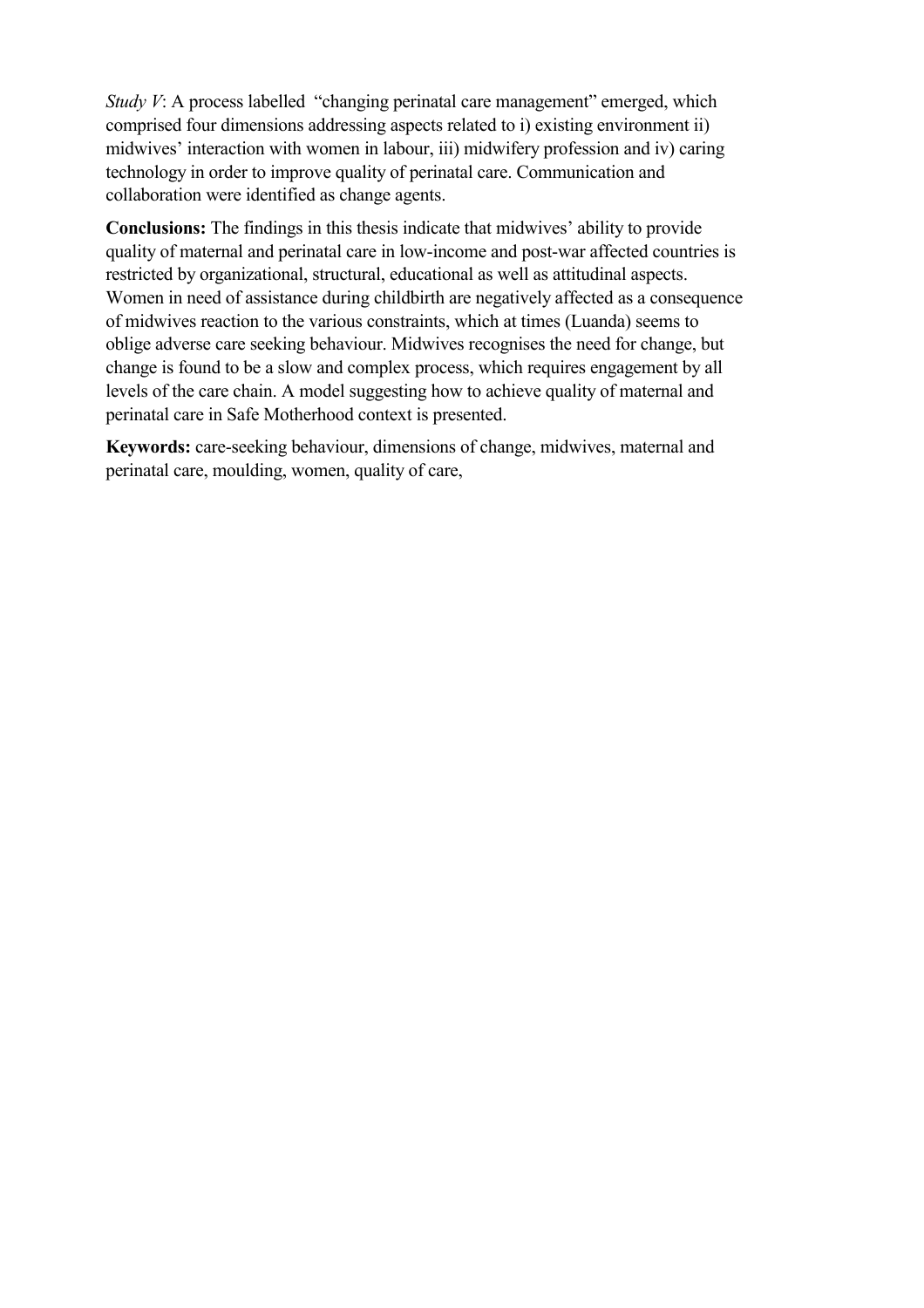*Study V*: A process labelled "changing perinatal care management" emerged, which comprised four dimensions addressing aspects related to i) existing environment ii) midwives' interaction with women in labour, iii) midwifery profession and iv) caring technology in order to improve quality of perinatal care. Communication and collaboration were identified as change agents.

**Conclusions:** The findings in this thesis indicate that midwives' ability to provide quality of maternal and perinatal care in low-income and post-war affected countries is restricted by organizational, structural, educational as well as attitudinal aspects. Women in need of assistance during childbirth are negatively affected as a consequence of midwives reaction to the various constraints, which at times (Luanda) seems to oblige adverse care seeking behaviour. Midwives recognises the need for change, but change is found to be a slow and complex process, which requires engagement by all levels of the care chain. A model suggesting how to achieve quality of maternal and perinatal care in Safe Motherhood context is presented.

**Keywords:** care-seeking behaviour, dimensions of change, midwives, maternal and perinatal care, moulding, women, quality of care,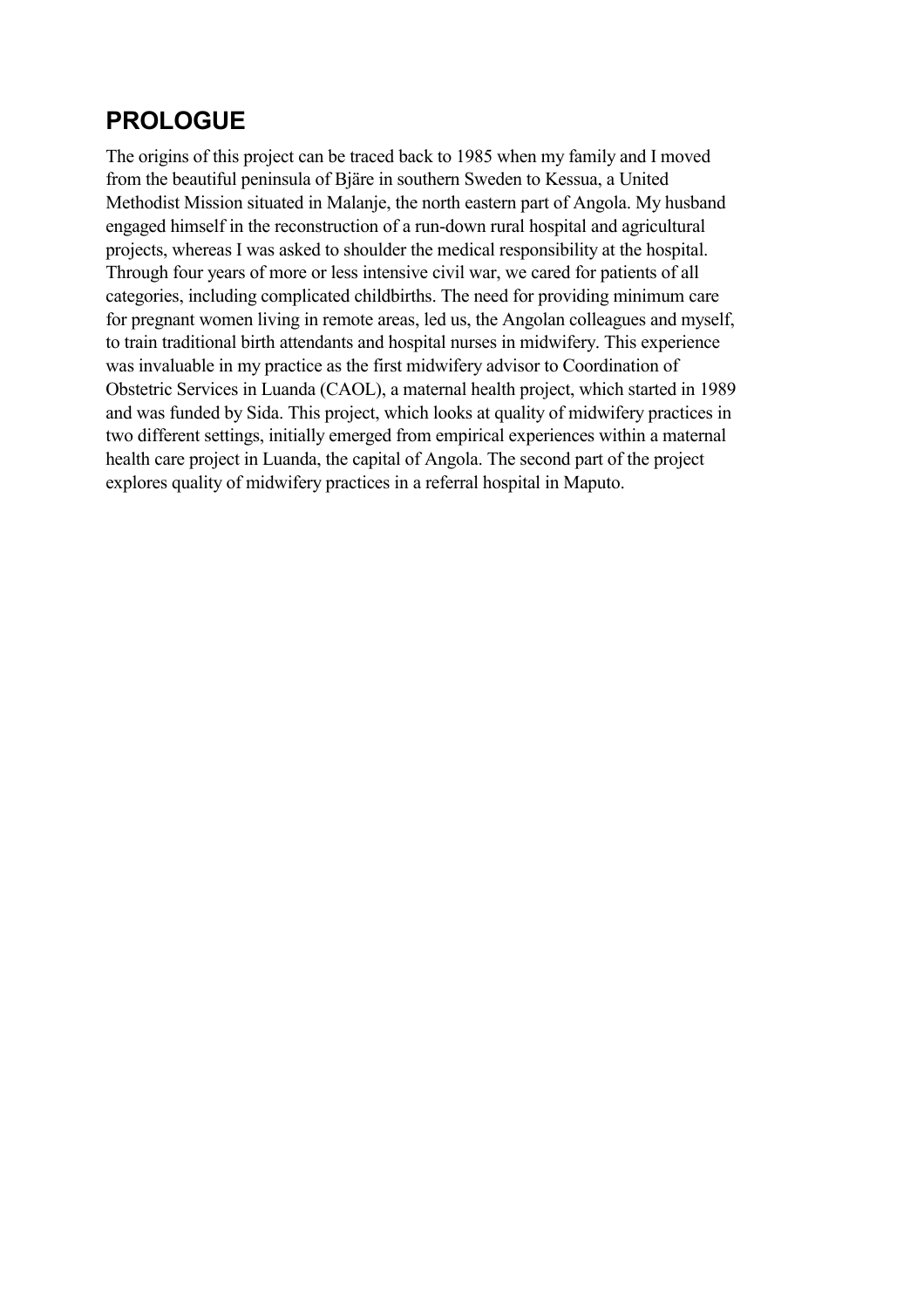## **PROLOGUE**

The origins of this project can be traced back to 1985 when my family and I moved from the beautiful peninsula of Bjäre in southern Sweden to Kessua, a United Methodist Mission situated in Malanje, the north eastern part of Angola. My husband engaged himself in the reconstruction of a run-down rural hospital and agricultural projects, whereas I was asked to shoulder the medical responsibility at the hospital. Through four years of more or less intensive civil war, we cared for patients of all categories, including complicated childbirths. The need for providing minimum care for pregnant women living in remote areas, led us, the Angolan colleagues and myself, to train traditional birth attendants and hospital nurses in midwifery. This experience was invaluable in my practice as the first midwifery advisor to Coordination of Obstetric Services in Luanda (CAOL), a maternal health project, which started in 1989 and was funded by Sida. This project, which looks at quality of midwifery practices in two different settings, initially emerged from empirical experiences within a maternal health care project in Luanda, the capital of Angola. The second part of the project explores quality of midwifery practices in a referral hospital in Maputo.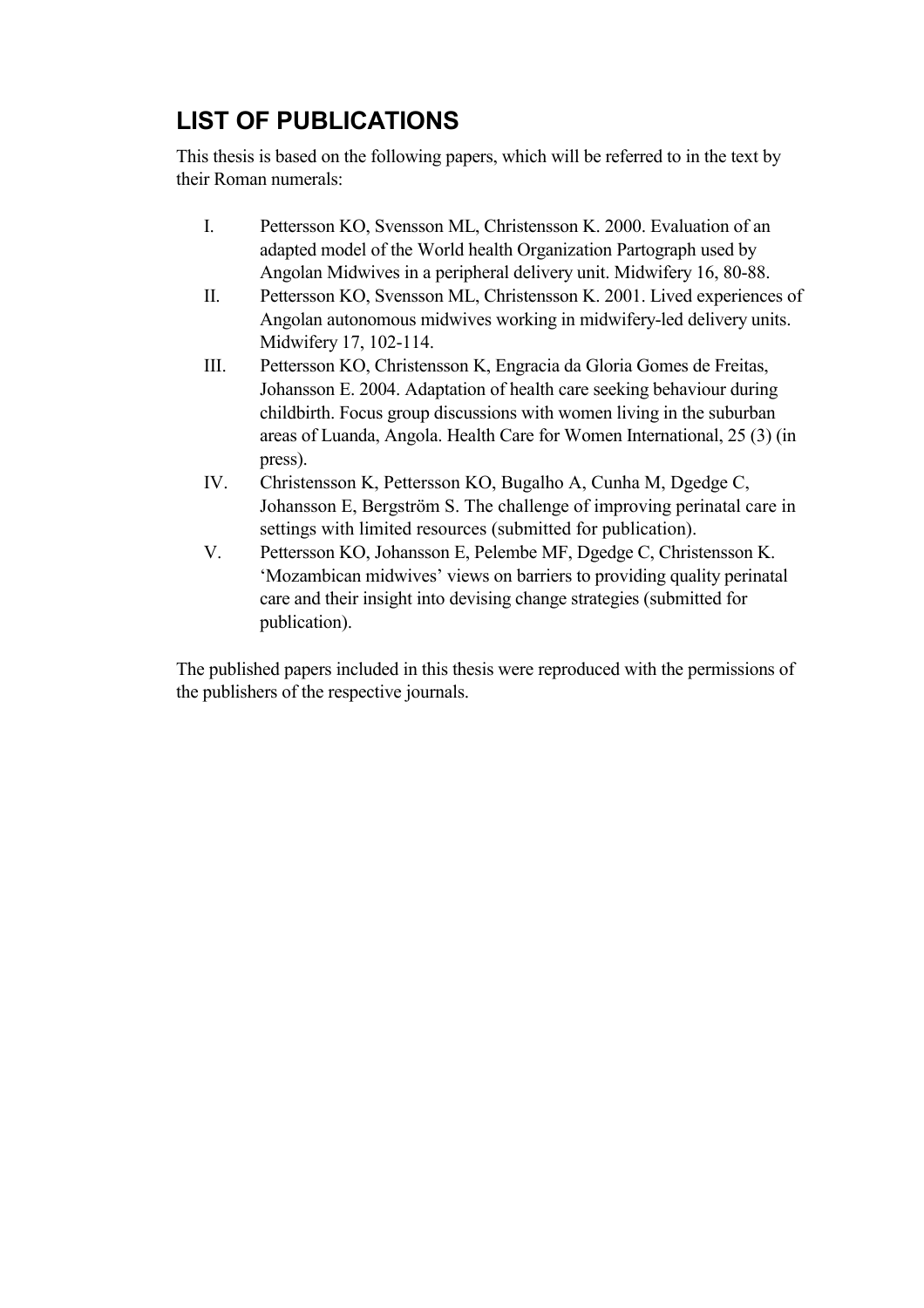# **LIST OF PUBLICATIONS**

This thesis is based on the following papers, which will be referred to in the text by their Roman numerals:

- I. Pettersson KO, Svensson ML, Christensson K. 2000. Evaluation of an adapted model of the World health Organization Partograph used by Angolan Midwives in a peripheral delivery unit. Midwifery 16, 80-88.
- II. Pettersson KO, Svensson ML, Christensson K. 2001. Lived experiences of Angolan autonomous midwives working in midwifery-led delivery units. Midwifery 17, 102-114.
- III. Pettersson KO, Christensson K, Engracia da Gloria Gomes de Freitas, Johansson E. 2004. Adaptation of health care seeking behaviour during childbirth. Focus group discussions with women living in the suburban areas of Luanda, Angola. Health Care for Women International, 25 (3) (in press).
- IV. Christensson K, Pettersson KO, Bugalho A, Cunha M, Dgedge C, Johansson E, Bergström S. The challenge of improving perinatal care in settings with limited resources (submitted for publication).
- V. Pettersson KO, Johansson E, Pelembe MF, Dgedge C, Christensson K. 'Mozambican midwives' views on barriers to providing quality perinatal care and their insight into devising change strategies (submitted for publication).

The published papers included in this thesis were reproduced with the permissions of the publishers of the respective journals.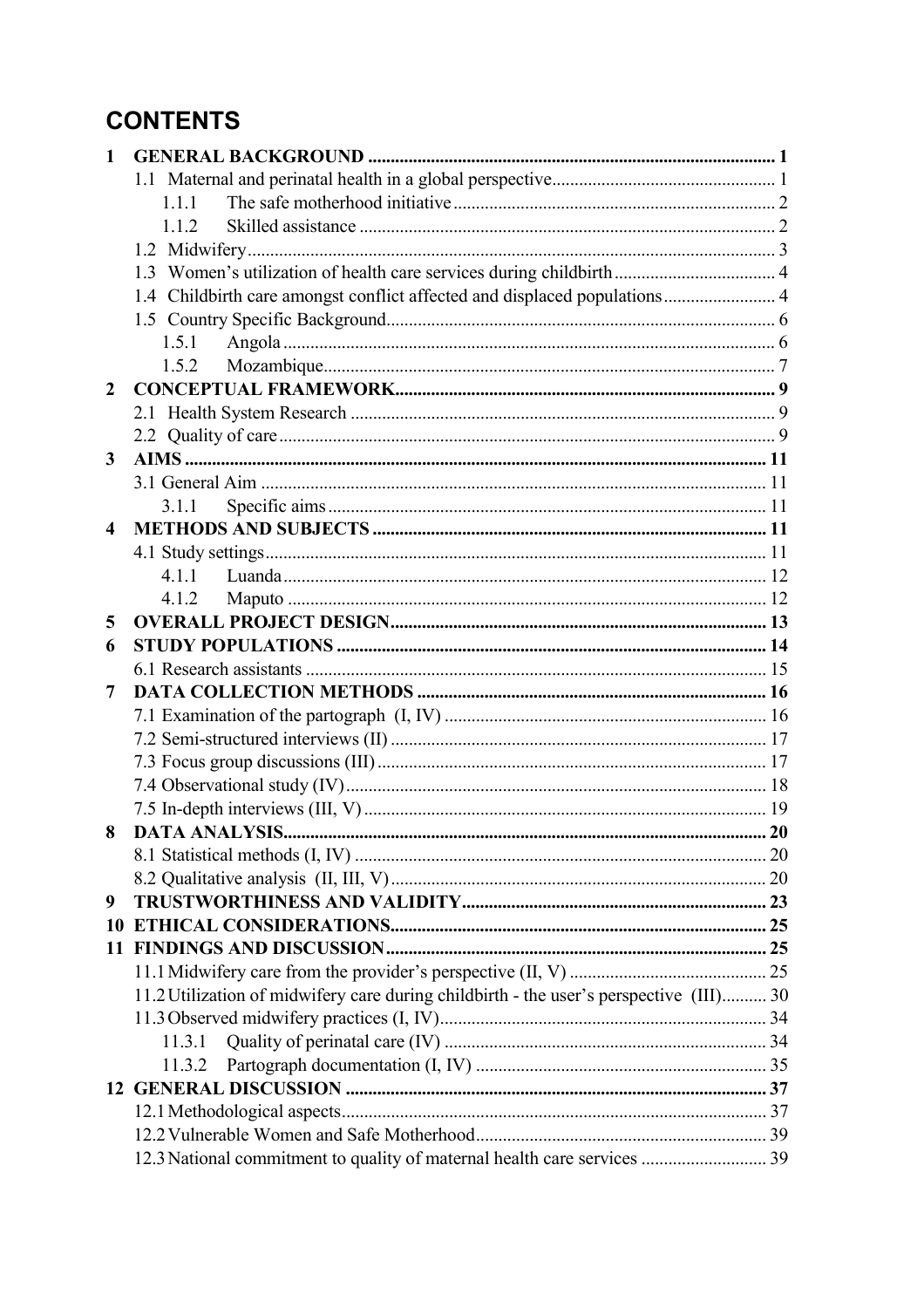# **CONTENTS**

| $\mathbf{1}$            |                                                                                        |  |
|-------------------------|----------------------------------------------------------------------------------------|--|
|                         |                                                                                        |  |
|                         | 111                                                                                    |  |
|                         | 112                                                                                    |  |
|                         |                                                                                        |  |
|                         | 1.3 Women's utilization of health care services during childbirth 4                    |  |
|                         | 1.4 Childbirth care amongst conflict affected and displaced populations 4              |  |
|                         |                                                                                        |  |
|                         | 1.5.1                                                                                  |  |
|                         | 1.5.2                                                                                  |  |
| $\mathbf{2}$            |                                                                                        |  |
|                         |                                                                                        |  |
|                         |                                                                                        |  |
| 3                       |                                                                                        |  |
|                         |                                                                                        |  |
|                         | 311                                                                                    |  |
| $\overline{\mathbf{4}}$ |                                                                                        |  |
|                         |                                                                                        |  |
|                         |                                                                                        |  |
|                         | 412                                                                                    |  |
| 5                       |                                                                                        |  |
| 6                       |                                                                                        |  |
|                         |                                                                                        |  |
| 7                       |                                                                                        |  |
|                         |                                                                                        |  |
|                         |                                                                                        |  |
|                         |                                                                                        |  |
|                         |                                                                                        |  |
|                         |                                                                                        |  |
| 8                       |                                                                                        |  |
|                         |                                                                                        |  |
|                         |                                                                                        |  |
| 9                       |                                                                                        |  |
|                         |                                                                                        |  |
|                         |                                                                                        |  |
|                         |                                                                                        |  |
|                         | 11.2 Utilization of midwifery care during childbirth - the user's perspective (III) 30 |  |
|                         |                                                                                        |  |
|                         |                                                                                        |  |
|                         | 11.3.2                                                                                 |  |
|                         |                                                                                        |  |
|                         |                                                                                        |  |
|                         |                                                                                        |  |
|                         | 12.3 National commitment to quality of maternal health care services  39               |  |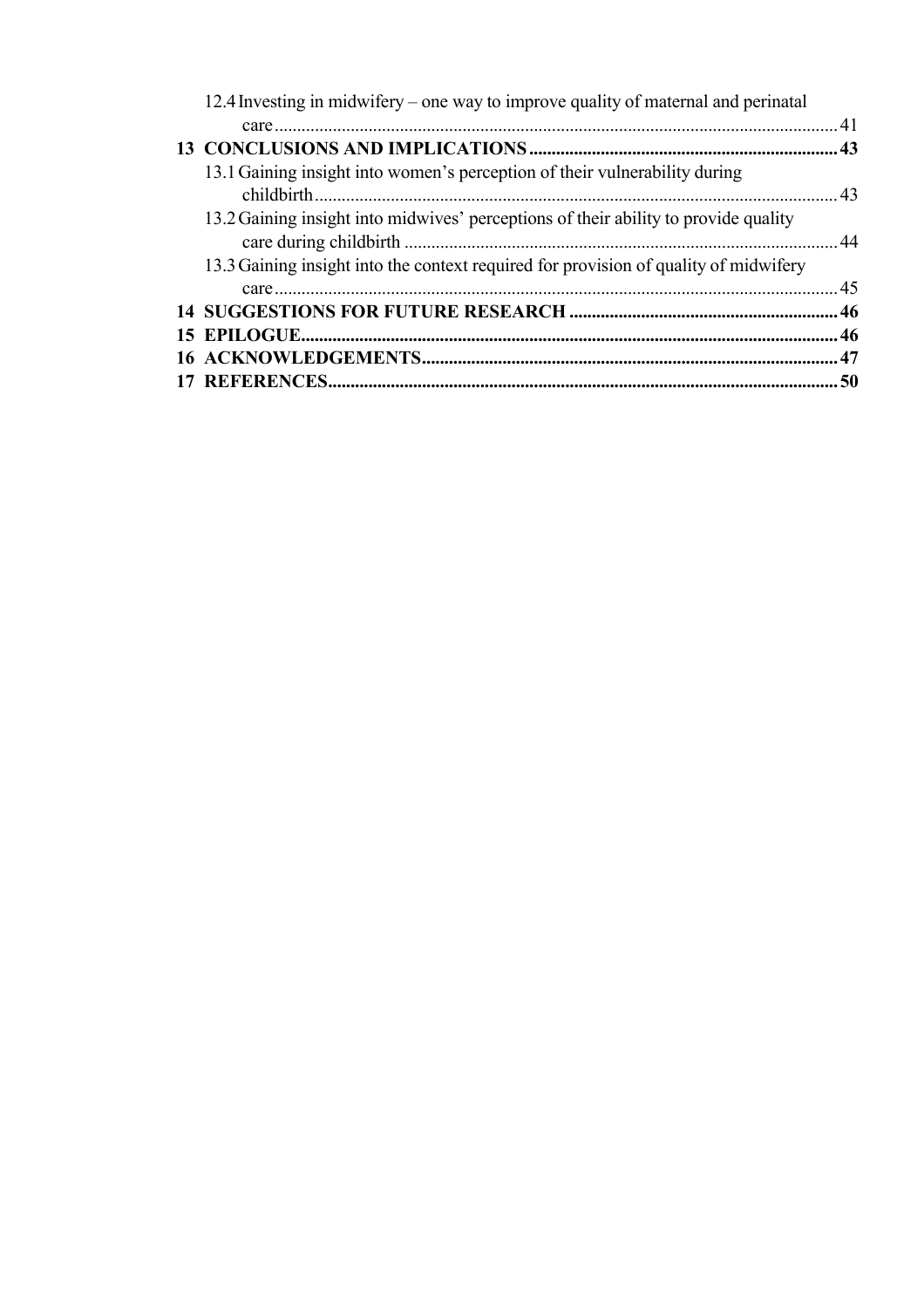| 12.4 Investing in midwifery – one way to improve quality of maternal and perinatal   |  |
|--------------------------------------------------------------------------------------|--|
|                                                                                      |  |
|                                                                                      |  |
| 13.1 Gaining insight into women's perception of their vulnerability during           |  |
| 13.2 Gaining insight into midwives' perceptions of their ability to provide quality  |  |
| 13.3 Gaining insight into the context required for provision of quality of midwifery |  |
|                                                                                      |  |
|                                                                                      |  |
|                                                                                      |  |
|                                                                                      |  |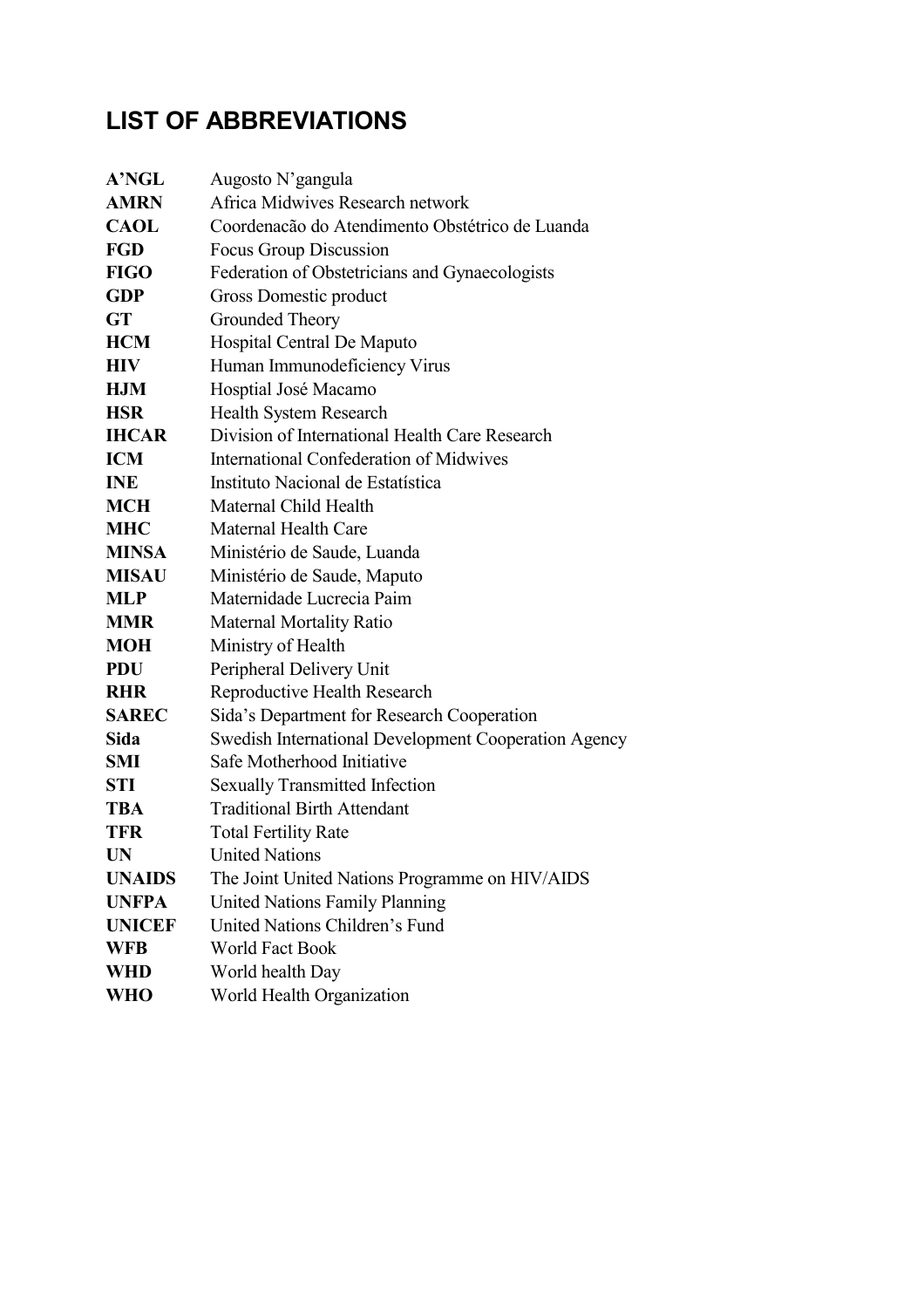# **LIST OF ABBREVIATIONS**

| <b>A'NGL</b>  | Augosto N'gangula                                    |
|---------------|------------------------------------------------------|
| <b>AMRN</b>   | Africa Midwives Research network                     |
| <b>CAOL</b>   | Coordenação do Atendimento Obstétrico de Luanda      |
| <b>FGD</b>    | Focus Group Discussion                               |
| <b>FIGO</b>   | Federation of Obstetricians and Gynaecologists       |
| <b>GDP</b>    | Gross Domestic product                               |
| <b>GT</b>     | Grounded Theory                                      |
| <b>HCM</b>    | Hospital Central De Maputo                           |
| <b>HIV</b>    | Human Immunodeficiency Virus                         |
| <b>HJM</b>    | Hosptial José Macamo                                 |
| <b>HSR</b>    | Health System Research                               |
| <b>IHCAR</b>  | Division of International Health Care Research       |
| <b>ICM</b>    | <b>International Confederation of Midwives</b>       |
| <b>INE</b>    | Instituto Nacional de Estatística                    |
| <b>MCH</b>    | Maternal Child Health                                |
| <b>MHC</b>    | <b>Maternal Health Care</b>                          |
| <b>MINSA</b>  | Ministério de Saude, Luanda                          |
| <b>MISAU</b>  | Ministério de Saude, Maputo                          |
| <b>MLP</b>    | Maternidade Lucrecia Paim                            |
| <b>MMR</b>    | <b>Maternal Mortality Ratio</b>                      |
| <b>MOH</b>    | Ministry of Health                                   |
| <b>PDU</b>    | Peripheral Delivery Unit                             |
| <b>RHR</b>    | Reproductive Health Research                         |
| <b>SAREC</b>  | Sida's Department for Research Cooperation           |
| Sida          | Swedish International Development Cooperation Agency |
| <b>SMI</b>    | Safe Motherhood Initiative                           |
| <b>STI</b>    | <b>Sexually Transmitted Infection</b>                |
| <b>TBA</b>    | <b>Traditional Birth Attendant</b>                   |
| <b>TFR</b>    | <b>Total Fertility Rate</b>                          |
| <b>UN</b>     | <b>United Nations</b>                                |
| <b>UNAIDS</b> | The Joint United Nations Programme on HIV/AIDS       |
| <b>UNFPA</b>  | <b>United Nations Family Planning</b>                |
| <b>UNICEF</b> | United Nations Children's Fund                       |
| <b>WFB</b>    | <b>World Fact Book</b>                               |
| <b>WHD</b>    | World health Day                                     |
| <b>WHO</b>    | World Health Organization                            |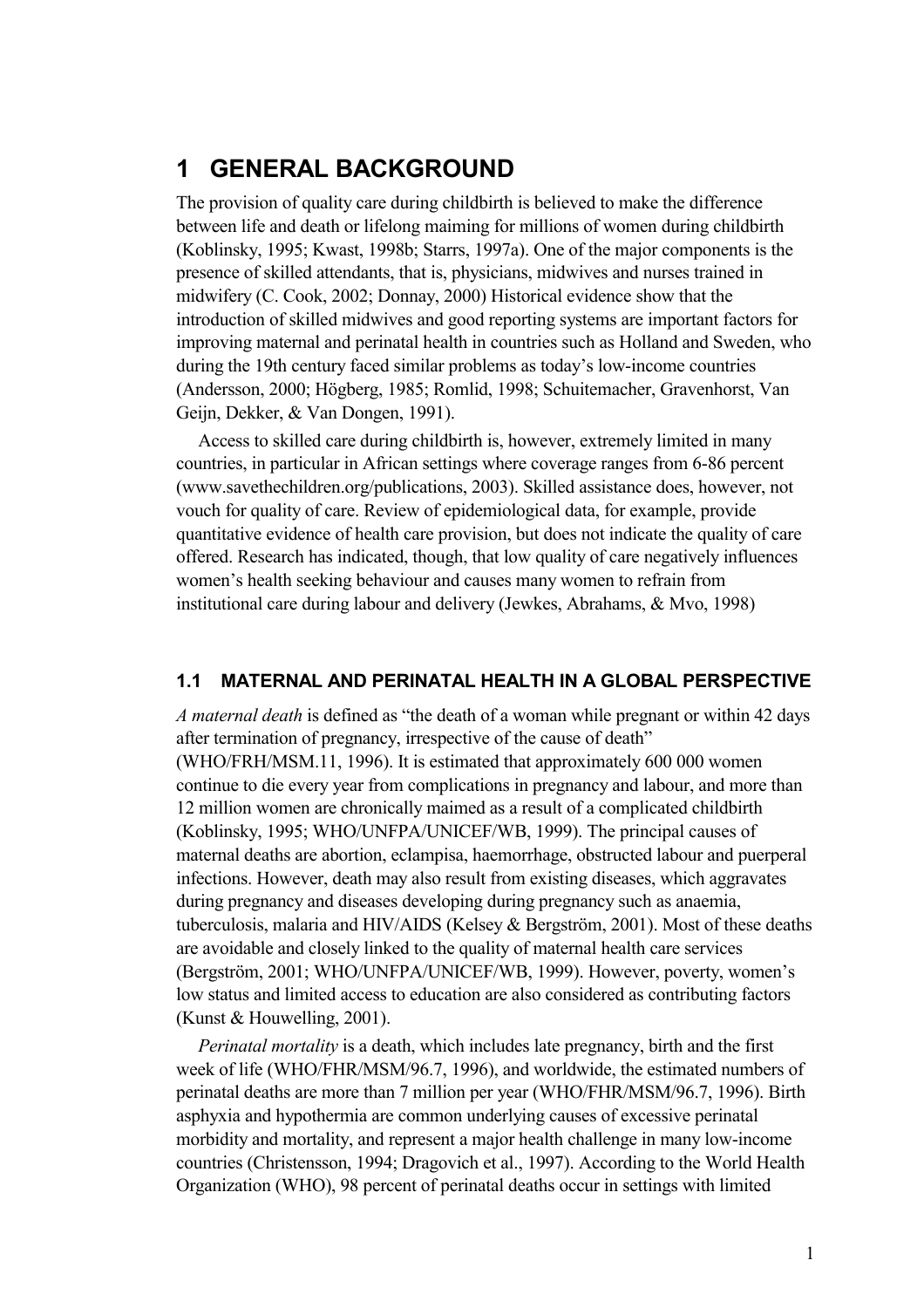## **1 GENERAL BACKGROUND**

The provision of quality care during childbirth is believed to make the difference between life and death or lifelong maiming for millions of women during childbirth (Koblinsky, 1995; Kwast, 1998b; Starrs, 1997a). One of the major components is the presence of skilled attendants, that is, physicians, midwives and nurses trained in midwifery (C. Cook, 2002; Donnay, 2000) Historical evidence show that the introduction of skilled midwives and good reporting systems are important factors for improving maternal and perinatal health in countries such as Holland and Sweden, who during the 19th century faced similar problems as today's low-income countries (Andersson, 2000; Högberg, 1985; Romlid, 1998; Schuitemacher, Gravenhorst, Van Geijn, Dekker, & Van Dongen, 1991).

Access to skilled care during childbirth is, however, extremely limited in many countries, in particular in African settings where coverage ranges from 6-86 percent (www.savethechildren.org/publications, 2003). Skilled assistance does, however, not vouch for quality of care. Review of epidemiological data, for example, provide quantitative evidence of health care provision, but does not indicate the quality of care offered. Research has indicated, though, that low quality of care negatively influences women's health seeking behaviour and causes many women to refrain from institutional care during labour and delivery (Jewkes, Abrahams, & Mvo, 1998)

#### **1.1 MATERNAL AND PERINATAL HEALTH IN A GLOBAL PERSPECTIVE**

*A maternal death* is defined as "the death of a woman while pregnant or within 42 days after termination of pregnancy, irrespective of the cause of death" (WHO/FRH/MSM.11, 1996). It is estimated that approximately 600 000 women continue to die every year from complications in pregnancy and labour, and more than 12 million women are chronically maimed as a result of a complicated childbirth (Koblinsky, 1995; WHO/UNFPA/UNICEF/WB, 1999). The principal causes of maternal deaths are abortion, eclampisa, haemorrhage, obstructed labour and puerperal infections. However, death may also result from existing diseases, which aggravates during pregnancy and diseases developing during pregnancy such as anaemia, tuberculosis, malaria and HIV/AIDS (Kelsey & Bergström, 2001). Most of these deaths are avoidable and closely linked to the quality of maternal health care services (Bergström, 2001; WHO/UNFPA/UNICEF/WB, 1999). However, poverty, women's low status and limited access to education are also considered as contributing factors (Kunst & Houwelling, 2001).

*Perinatal mortality* is a death, which includes late pregnancy, birth and the first week of life (WHO/FHR/MSM/96.7, 1996), and worldwide, the estimated numbers of perinatal deaths are more than 7 million per year (WHO/FHR/MSM/96.7, 1996). Birth asphyxia and hypothermia are common underlying causes of excessive perinatal morbidity and mortality, and represent a major health challenge in many low-income countries (Christensson, 1994; Dragovich et al., 1997). According to the World Health Organization (WHO), 98 percent of perinatal deaths occur in settings with limited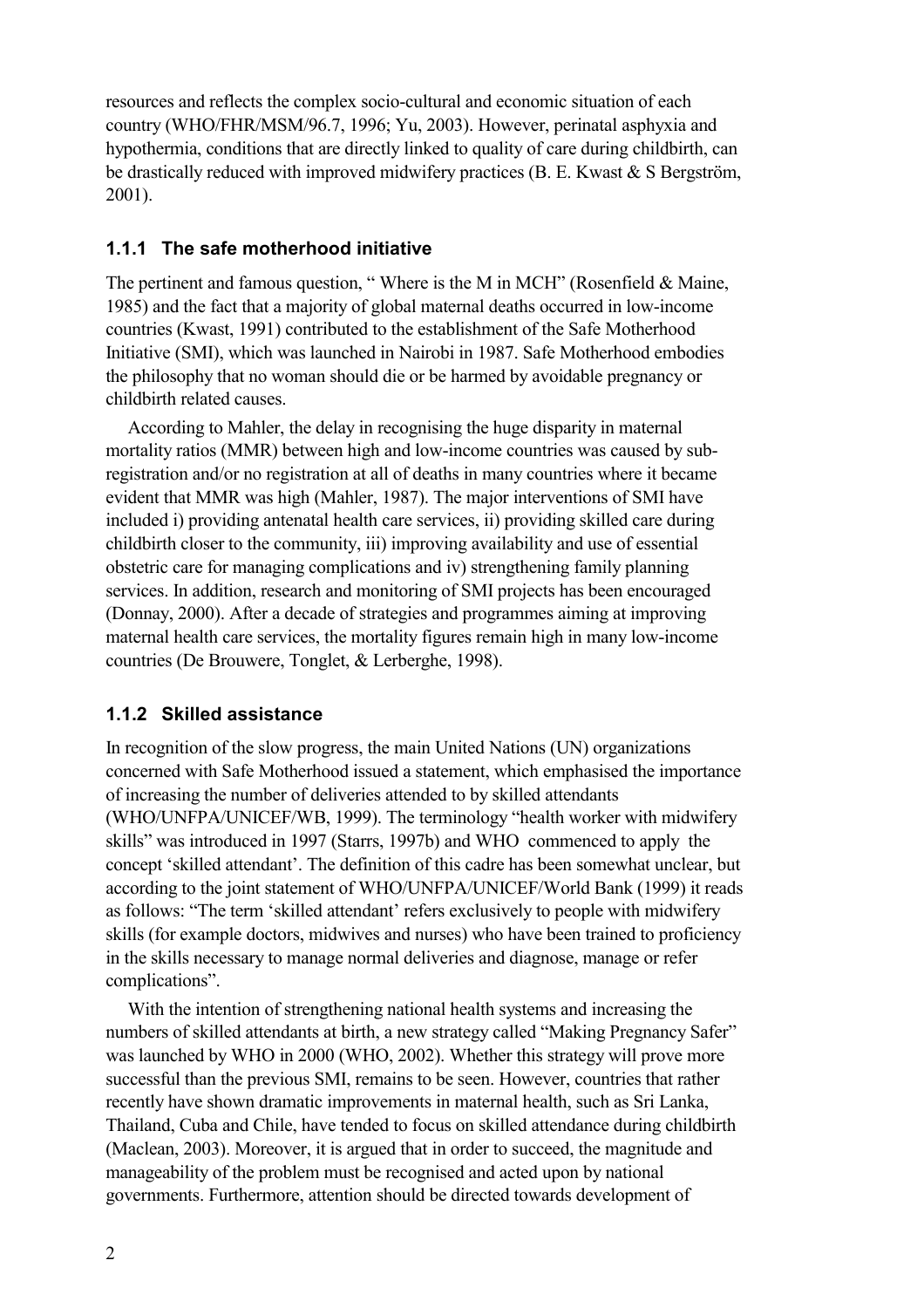resources and reflects the complex socio-cultural and economic situation of each country (WHO/FHR/MSM/96.7, 1996; Yu, 2003). However, perinatal asphyxia and hypothermia, conditions that are directly linked to quality of care during childbirth, can be drastically reduced with improved midwifery practices (B. E. Kwast & S Bergström, 2001).

#### **1.1.1 The safe motherhood initiative**

The pertinent and famous question, "Where is the M in MCH" (Rosenfield & Maine, 1985) and the fact that a majority of global maternal deaths occurred in low-income countries (Kwast, 1991) contributed to the establishment of the Safe Motherhood Initiative (SMI), which was launched in Nairobi in 1987. Safe Motherhood embodies the philosophy that no woman should die or be harmed by avoidable pregnancy or childbirth related causes.

According to Mahler, the delay in recognising the huge disparity in maternal mortality ratios (MMR) between high and low-income countries was caused by subregistration and/or no registration at all of deaths in many countries where it became evident that MMR was high (Mahler, 1987). The major interventions of SMI have included i) providing antenatal health care services, ii) providing skilled care during childbirth closer to the community, iii) improving availability and use of essential obstetric care for managing complications and iv) strengthening family planning services. In addition, research and monitoring of SMI projects has been encouraged (Donnay, 2000). After a decade of strategies and programmes aiming at improving maternal health care services, the mortality figures remain high in many low-income countries (De Brouwere, Tonglet, & Lerberghe, 1998).

#### **1.1.2 Skilled assistance**

In recognition of the slow progress, the main United Nations (UN) organizations concerned with Safe Motherhood issued a statement, which emphasised the importance of increasing the number of deliveries attended to by skilled attendants (WHO/UNFPA/UNICEF/WB, 1999). The terminology "health worker with midwifery skills" was introduced in 1997 (Starrs, 1997b) and WHO commenced to apply the concept 'skilled attendant'. The definition of this cadre has been somewhat unclear, but according to the joint statement of WHO/UNFPA/UNICEF/World Bank (1999) it reads as follows: "The term 'skilled attendant' refers exclusively to people with midwifery skills (for example doctors, midwives and nurses) who have been trained to proficiency in the skills necessary to manage normal deliveries and diagnose, manage or refer complications".

With the intention of strengthening national health systems and increasing the numbers of skilled attendants at birth, a new strategy called "Making Pregnancy Safer" was launched by WHO in 2000 (WHO, 2002). Whether this strategy will prove more successful than the previous SMI, remains to be seen. However, countries that rather recently have shown dramatic improvements in maternal health, such as Sri Lanka, Thailand, Cuba and Chile, have tended to focus on skilled attendance during childbirth (Maclean, 2003). Moreover, it is argued that in order to succeed, the magnitude and manageability of the problem must be recognised and acted upon by national governments. Furthermore, attention should be directed towards development of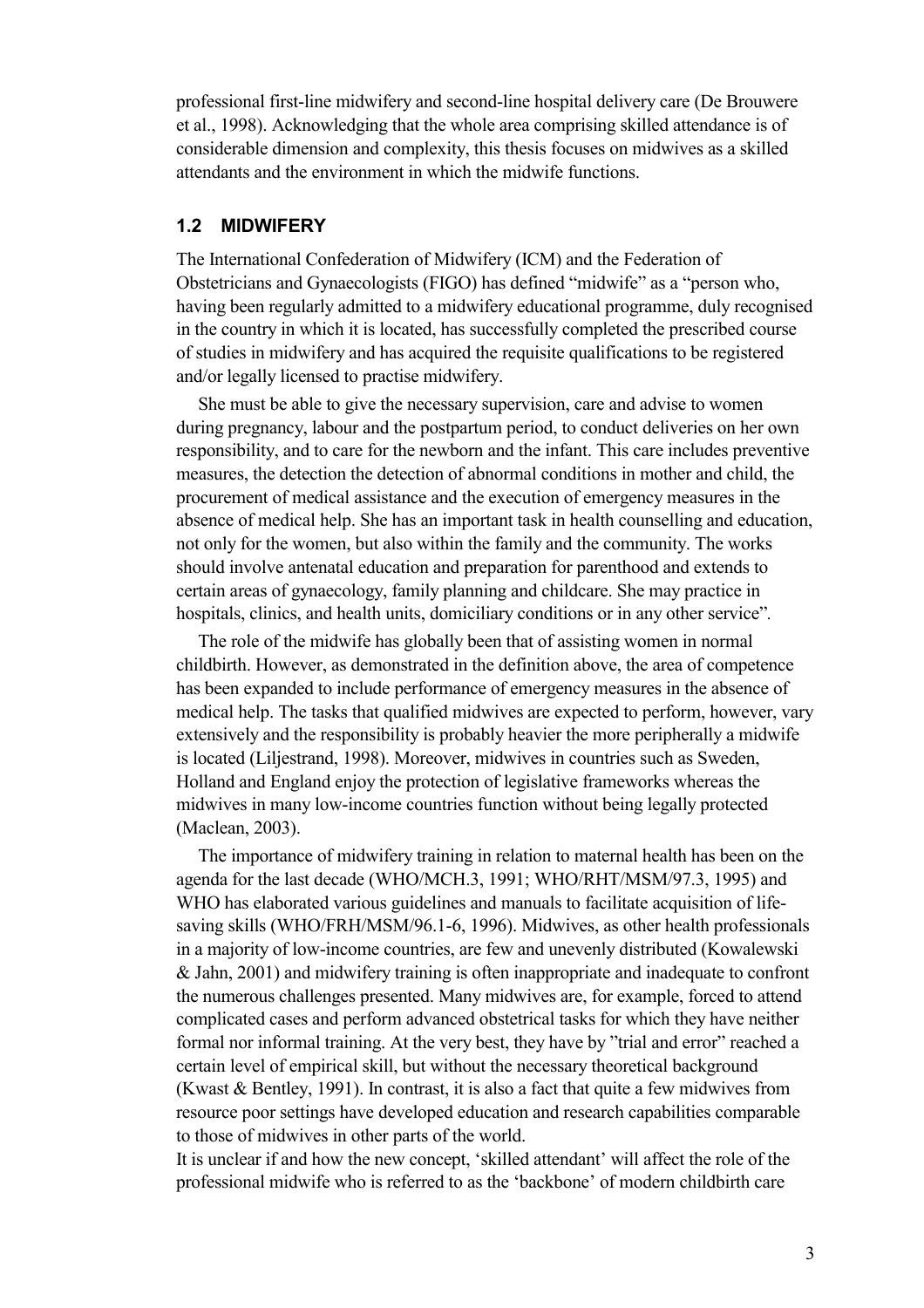professional first-line midwifery and second-line hospital delivery care (De Brouwere et al., 1998). Acknowledging that the whole area comprising skilled attendance is of considerable dimension and complexity, this thesis focuses on midwives as a skilled attendants and the environment in which the midwife functions.

#### **1.2 MIDWIFERY**

The International Confederation of Midwifery (ICM) and the Federation of Obstetricians and Gynaecologists (FIGO) has defined "midwife" as a "person who, having been regularly admitted to a midwifery educational programme, duly recognised in the country in which it is located, has successfully completed the prescribed course of studies in midwifery and has acquired the requisite qualifications to be registered and/or legally licensed to practise midwifery.

She must be able to give the necessary supervision, care and advise to women during pregnancy, labour and the postpartum period, to conduct deliveries on her own responsibility, and to care for the newborn and the infant. This care includes preventive measures, the detection the detection of abnormal conditions in mother and child, the procurement of medical assistance and the execution of emergency measures in the absence of medical help. She has an important task in health counselling and education, not only for the women, but also within the family and the community. The works should involve antenatal education and preparation for parenthood and extends to certain areas of gynaecology, family planning and childcare. She may practice in hospitals, clinics, and health units, domiciliary conditions or in any other service"*.* 

The role of the midwife has globally been that of assisting women in normal childbirth. However, as demonstrated in the definition above, the area of competence has been expanded to include performance of emergency measures in the absence of medical help. The tasks that qualified midwives are expected to perform, however, vary extensively and the responsibility is probably heavier the more peripherally a midwife is located (Liljestrand, 1998). Moreover, midwives in countries such as Sweden, Holland and England enjoy the protection of legislative frameworks whereas the midwives in many low-income countries function without being legally protected (Maclean, 2003).

The importance of midwifery training in relation to maternal health has been on the agenda for the last decade (WHO/MCH.3, 1991; WHO/RHT/MSM/97.3, 1995) and WHO has elaborated various guidelines and manuals to facilitate acquisition of lifesaving skills (WHO/FRH/MSM/96.1-6, 1996). Midwives, as other health professionals in a majority of low-income countries, are few and unevenly distributed (Kowalewski & Jahn, 2001) and midwifery training is often inappropriate and inadequate to confront the numerous challenges presented. Many midwives are, for example, forced to attend complicated cases and perform advanced obstetrical tasks for which they have neither formal nor informal training. At the very best, they have by "trial and error" reached a certain level of empirical skill, but without the necessary theoretical background (Kwast & Bentley, 1991). In contrast, it is also a fact that quite a few midwives from resource poor settings have developed education and research capabilities comparable to those of midwives in other parts of the world.

It is unclear if and how the new concept, 'skilled attendant' will affect the role of the professional midwife who is referred to as the 'backbone' of modern childbirth care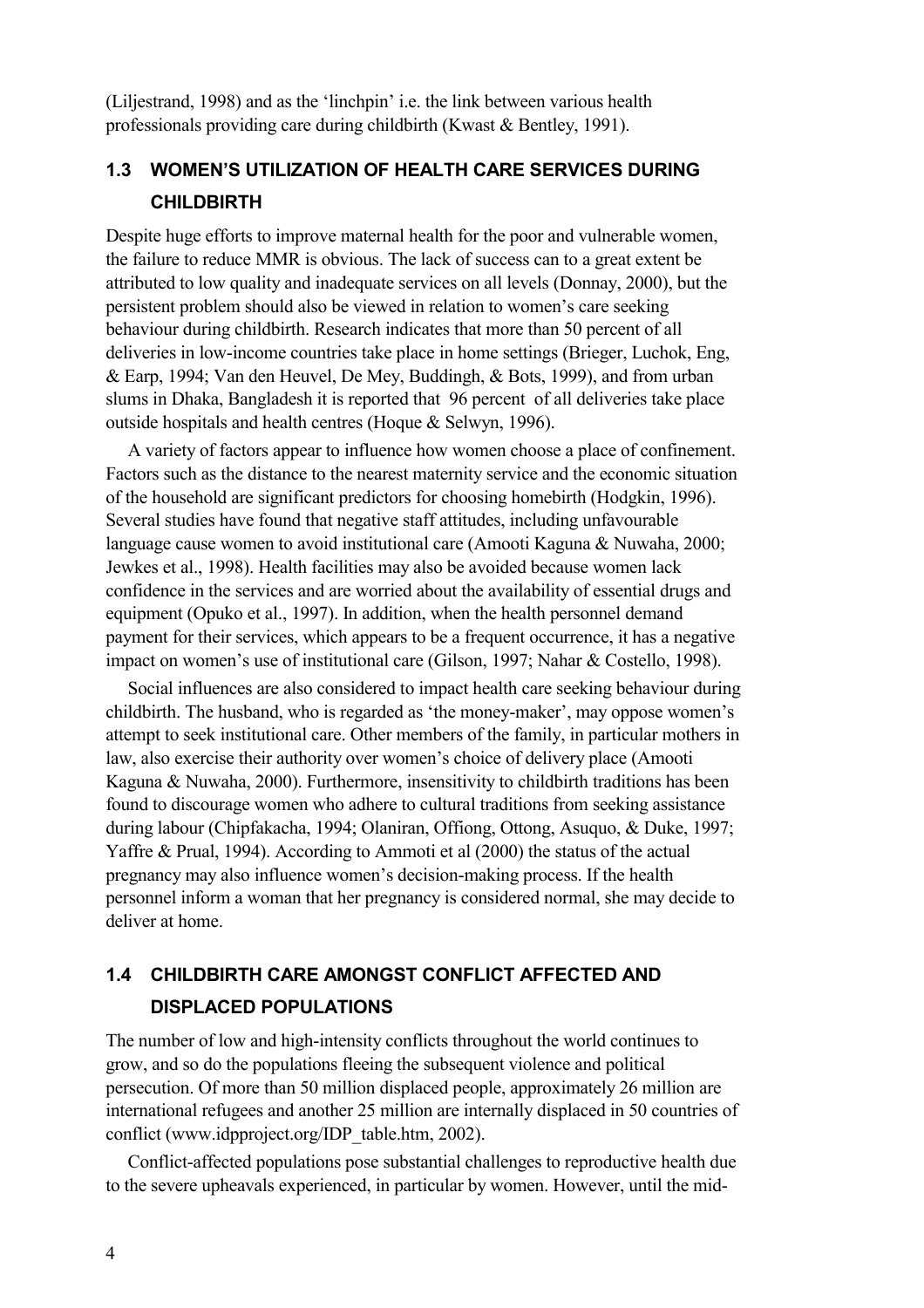(Liljestrand, 1998) and as the 'linchpin' i.e. the link between various health professionals providing care during childbirth (Kwast & Bentley, 1991).

### **1.3 WOMEN'S UTILIZATION OF HEALTH CARE SERVICES DURING CHILDBIRTH**

Despite huge efforts to improve maternal health for the poor and vulnerable women, the failure to reduce MMR is obvious. The lack of success can to a great extent be attributed to low quality and inadequate services on all levels (Donnay, 2000), but the persistent problem should also be viewed in relation to women's care seeking behaviour during childbirth. Research indicates that more than 50 percent of all deliveries in low-income countries take place in home settings (Brieger, Luchok, Eng, & Earp, 1994; Van den Heuvel, De Mey, Buddingh, & Bots, 1999), and from urban slums in Dhaka, Bangladesh it is reported that 96 percent of all deliveries take place outside hospitals and health centres (Hoque & Selwyn, 1996).

A variety of factors appear to influence how women choose a place of confinement. Factors such as the distance to the nearest maternity service and the economic situation of the household are significant predictors for choosing homebirth (Hodgkin, 1996). Several studies have found that negative staff attitudes, including unfavourable language cause women to avoid institutional care (Amooti Kaguna & Nuwaha, 2000; Jewkes et al., 1998). Health facilities may also be avoided because women lack confidence in the services and are worried about the availability of essential drugs and equipment (Opuko et al., 1997). In addition, when the health personnel demand payment for their services, which appears to be a frequent occurrence, it has a negative impact on women's use of institutional care (Gilson, 1997; Nahar & Costello, 1998).

Social influences are also considered to impact health care seeking behaviour during childbirth. The husband, who is regarded as 'the money-maker', may oppose women's attempt to seek institutional care. Other members of the family, in particular mothers in law, also exercise their authority over women's choice of delivery place (Amooti Kaguna & Nuwaha, 2000). Furthermore, insensitivity to childbirth traditions has been found to discourage women who adhere to cultural traditions from seeking assistance during labour (Chipfakacha, 1994; Olaniran, Offiong, Ottong, Asuquo, & Duke, 1997; Yaffre & Prual, 1994). According to Ammoti et al (2000) the status of the actual pregnancy may also influence women's decision-making process. If the health personnel inform a woman that her pregnancy is considered normal, she may decide to deliver at home.

## **1.4 CHILDBIRTH CARE AMONGST CONFLICT AFFECTED AND DISPLACED POPULATIONS**

The number of low and high-intensity conflicts throughout the world continues to grow, and so do the populations fleeing the subsequent violence and political persecution. Of more than 50 million displaced people, approximately 26 million are international refugees and another 25 million are internally displaced in 50 countries of conflict (www.idpproject.org/IDP\_table.htm, 2002).

Conflict-affected populations pose substantial challenges to reproductive health due to the severe upheavals experienced, in particular by women. However, until the mid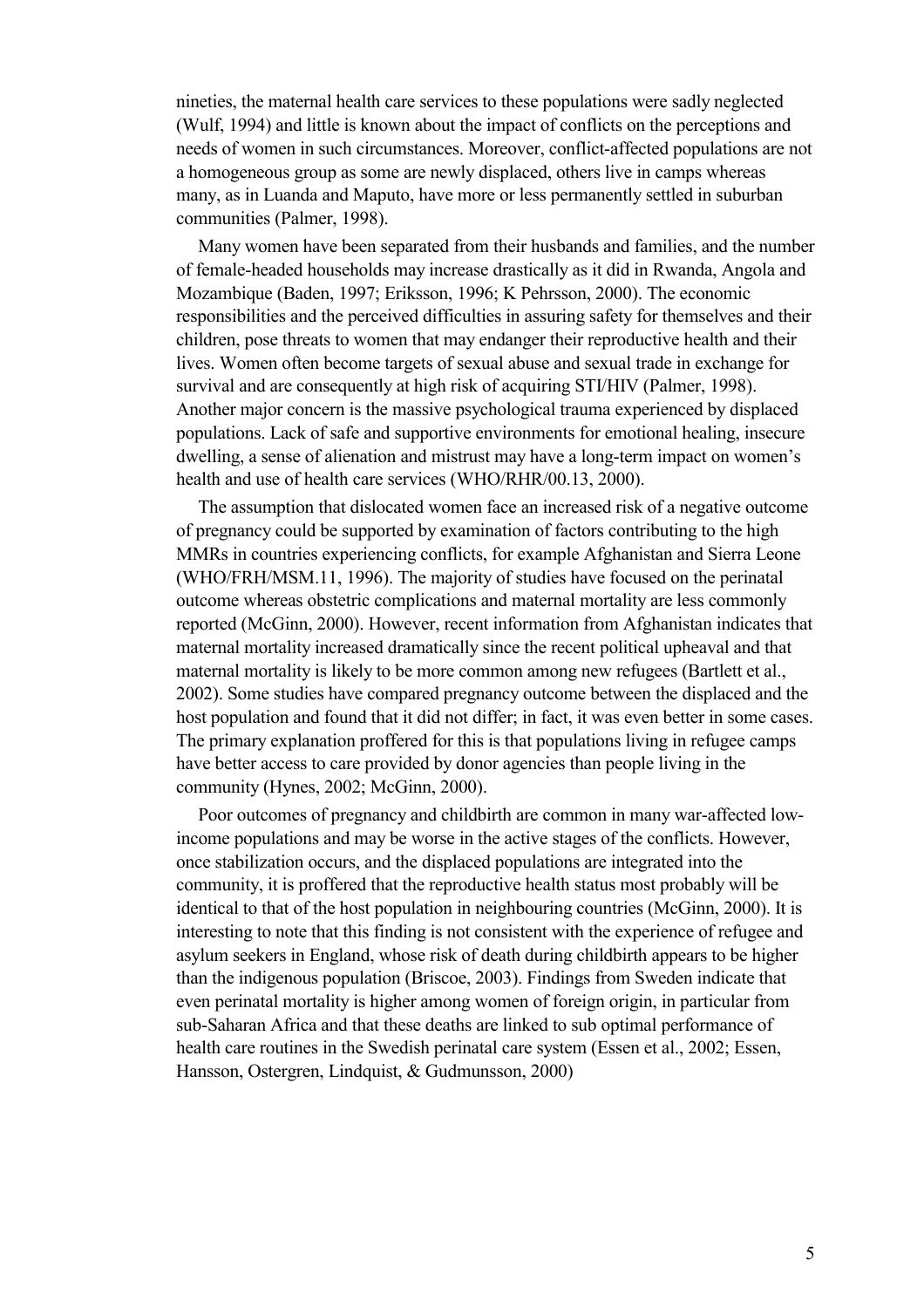nineties, the maternal health care services to these populations were sadly neglected (Wulf, 1994) and little is known about the impact of conflicts on the perceptions and needs of women in such circumstances. Moreover, conflict-affected populations are not a homogeneous group as some are newly displaced, others live in camps whereas many, as in Luanda and Maputo, have more or less permanently settled in suburban communities (Palmer, 1998).

Many women have been separated from their husbands and families, and the number of female-headed households may increase drastically as it did in Rwanda, Angola and Mozambique (Baden, 1997; Eriksson, 1996; K Pehrsson, 2000). The economic responsibilities and the perceived difficulties in assuring safety for themselves and their children, pose threats to women that may endanger their reproductive health and their lives. Women often become targets of sexual abuse and sexual trade in exchange for survival and are consequently at high risk of acquiring STI/HIV (Palmer, 1998). Another major concern is the massive psychological trauma experienced by displaced populations. Lack of safe and supportive environments for emotional healing, insecure dwelling, a sense of alienation and mistrust may have a long-term impact on women's health and use of health care services (WHO/RHR/00.13, 2000).

The assumption that dislocated women face an increased risk of a negative outcome of pregnancy could be supported by examination of factors contributing to the high MMRs in countries experiencing conflicts, for example Afghanistan and Sierra Leone (WHO/FRH/MSM.11, 1996). The majority of studies have focused on the perinatal outcome whereas obstetric complications and maternal mortality are less commonly reported (McGinn, 2000). However, recent information from Afghanistan indicates that maternal mortality increased dramatically since the recent political upheaval and that maternal mortality is likely to be more common among new refugees (Bartlett et al., 2002). Some studies have compared pregnancy outcome between the displaced and the host population and found that it did not differ; in fact, it was even better in some cases. The primary explanation proffered for this is that populations living in refugee camps have better access to care provided by donor agencies than people living in the community (Hynes, 2002; McGinn, 2000).

Poor outcomes of pregnancy and childbirth are common in many war-affected lowincome populations and may be worse in the active stages of the conflicts. However, once stabilization occurs, and the displaced populations are integrated into the community, it is proffered that the reproductive health status most probably will be identical to that of the host population in neighbouring countries (McGinn, 2000). It is interesting to note that this finding is not consistent with the experience of refugee and asylum seekers in England, whose risk of death during childbirth appears to be higher than the indigenous population (Briscoe, 2003). Findings from Sweden indicate that even perinatal mortality is higher among women of foreign origin, in particular from sub-Saharan Africa and that these deaths are linked to sub optimal performance of health care routines in the Swedish perinatal care system (Essen et al., 2002; Essen, Hansson, Ostergren, Lindquist, & Gudmunsson, 2000)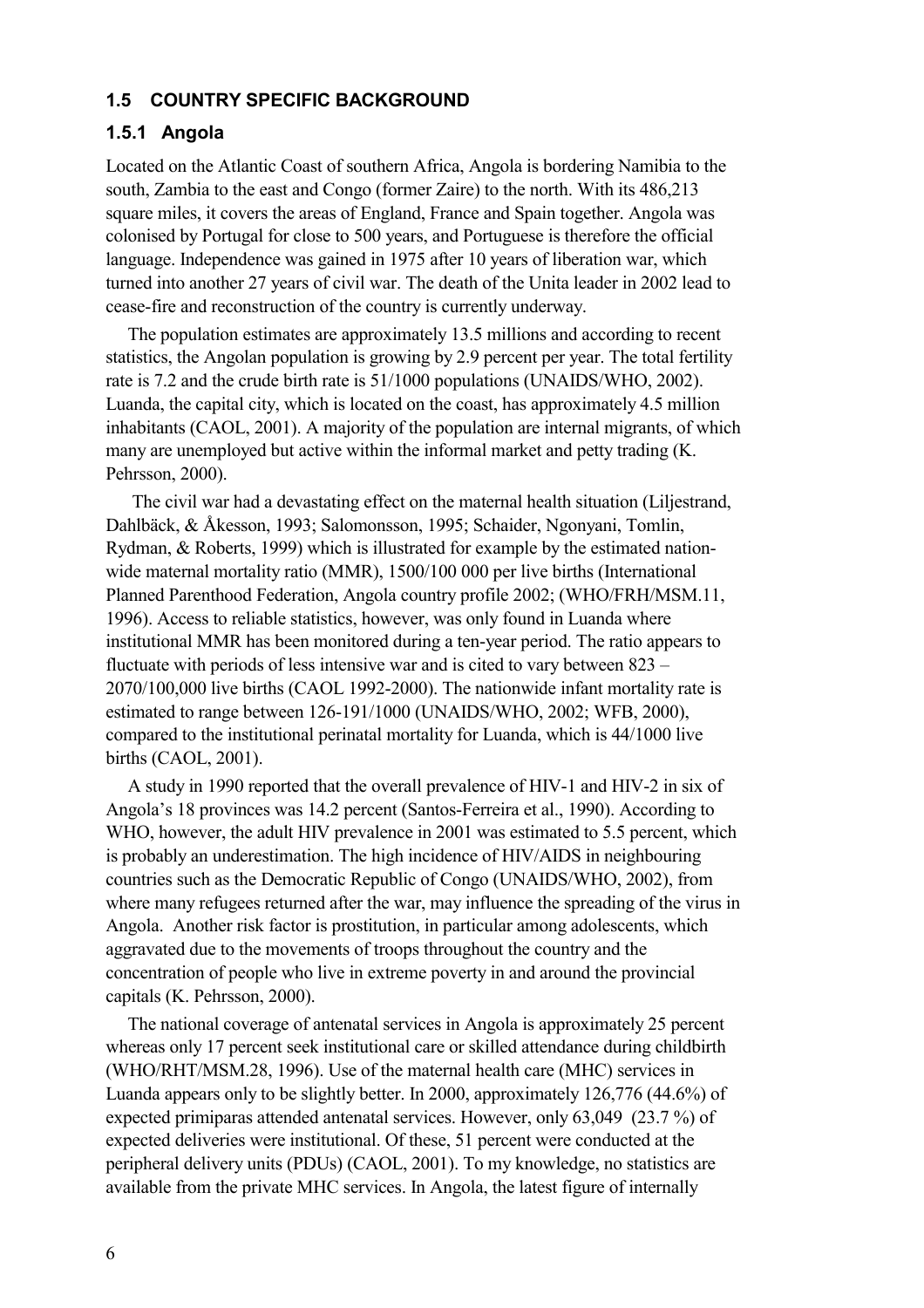#### **1.5 COUNTRY SPECIFIC BACKGROUND**

#### **1.5.1 Angola**

Located on the Atlantic Coast of southern Africa, Angola is bordering Namibia to the south, Zambia to the east and Congo (former Zaire) to the north. With its 486,213 square miles, it covers the areas of England, France and Spain together. Angola was colonised by Portugal for close to 500 years, and Portuguese is therefore the official language. Independence was gained in 1975 after 10 years of liberation war, which turned into another 27 years of civil war. The death of the Unita leader in 2002 lead to cease-fire and reconstruction of the country is currently underway.

The population estimates are approximately 13.5 millions and according to recent statistics, the Angolan population is growing by 2.9 percent per year. The total fertility rate is 7.2 and the crude birth rate is 51/1000 populations (UNAIDS/WHO, 2002). Luanda, the capital city, which is located on the coast, has approximately 4.5 million inhabitants (CAOL, 2001). A majority of the population are internal migrants, of which many are unemployed but active within the informal market and petty trading (K. Pehrsson, 2000).

 The civil war had a devastating effect on the maternal health situation (Liljestrand, Dahlbäck, & Åkesson, 1993; Salomonsson, 1995; Schaider, Ngonyani, Tomlin, Rydman, & Roberts, 1999) which is illustrated for example by the estimated nationwide maternal mortality ratio (MMR), 1500/100 000 per live births (International Planned Parenthood Federation, Angola country profile 2002; (WHO/FRH/MSM.11, 1996). Access to reliable statistics, however, was only found in Luanda where institutional MMR has been monitored during a ten-year period. The ratio appears to fluctuate with periods of less intensive war and is cited to vary between 823 – 2070/100,000 live births (CAOL 1992-2000). The nationwide infant mortality rate is estimated to range between 126-191/1000 (UNAIDS/WHO, 2002; WFB, 2000), compared to the institutional perinatal mortality for Luanda, which is 44/1000 live births (CAOL, 2001).

A study in 1990 reported that the overall prevalence of HIV-1 and HIV-2 in six of Angola's 18 provinces was 14.2 percent (Santos-Ferreira et al., 1990). According to WHO, however, the adult HIV prevalence in 2001 was estimated to 5.5 percent, which is probably an underestimation. The high incidence of HIV/AIDS in neighbouring countries such as the Democratic Republic of Congo (UNAIDS/WHO, 2002), from where many refugees returned after the war, may influence the spreading of the virus in Angola. Another risk factor is prostitution, in particular among adolescents, which aggravated due to the movements of troops throughout the country and the concentration of people who live in extreme poverty in and around the provincial capitals (K. Pehrsson, 2000).

The national coverage of antenatal services in Angola is approximately 25 percent whereas only 17 percent seek institutional care or skilled attendance during childbirth (WHO/RHT/MSM.28, 1996). Use of the maternal health care (MHC) services in Luanda appears only to be slightly better. In 2000, approximately 126,776 (44.6%) of expected primiparas attended antenatal services. However, only 63,049 (23.7 %) of expected deliveries were institutional. Of these, 51 percent were conducted at the peripheral delivery units (PDUs) (CAOL, 2001). To my knowledge, no statistics are available from the private MHC services. In Angola, the latest figure of internally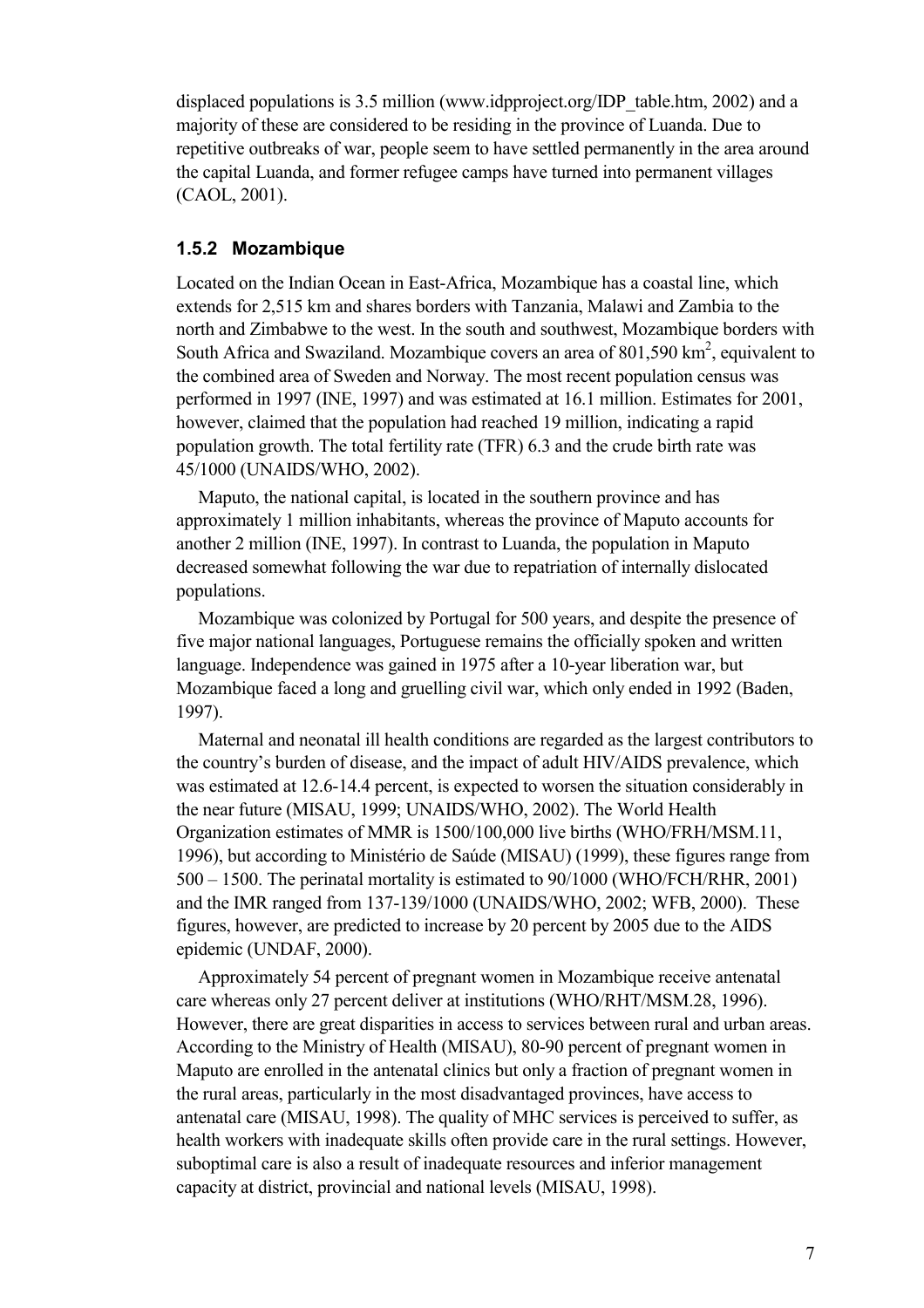displaced populations is 3.5 million (www.idpproject.org/IDP\_table.htm, 2002) and a majority of these are considered to be residing in the province of Luanda. Due to repetitive outbreaks of war, people seem to have settled permanently in the area around the capital Luanda, and former refugee camps have turned into permanent villages (CAOL, 2001).

#### **1.5.2 Mozambique**

Located on the Indian Ocean in East-Africa, Mozambique has a coastal line, which extends for 2,515 km and shares borders with Tanzania, Malawi and Zambia to the north and Zimbabwe to the west. In the south and southwest, Mozambique borders with South Africa and Swaziland. Mozambique covers an area of 801,590  $\text{km}^2$ , equivalent to the combined area of Sweden and Norway. The most recent population census was performed in 1997 (INE, 1997) and was estimated at 16.1 million. Estimates for 2001, however, claimed that the population had reached 19 million, indicating a rapid population growth. The total fertility rate (TFR) 6.3 and the crude birth rate was 45/1000 (UNAIDS/WHO, 2002).

Maputo, the national capital, is located in the southern province and has approximately 1 million inhabitants, whereas the province of Maputo accounts for another 2 million (INE, 1997). In contrast to Luanda, the population in Maputo decreased somewhat following the war due to repatriation of internally dislocated populations.

Mozambique was colonized by Portugal for 500 years, and despite the presence of five major national languages, Portuguese remains the officially spoken and written language. Independence was gained in 1975 after a 10-year liberation war, but Mozambique faced a long and gruelling civil war, which only ended in 1992 (Baden, 1997).

Maternal and neonatal ill health conditions are regarded as the largest contributors to the country's burden of disease, and the impact of adult HIV/AIDS prevalence, which was estimated at 12.6-14.4 percent, is expected to worsen the situation considerably in the near future (MISAU, 1999; UNAIDS/WHO, 2002). The World Health Organization estimates of MMR is 1500/100,000 live births (WHO/FRH/MSM.11, 1996), but according to Ministério de Saúde (MISAU) (1999), these figures range from 500 – 1500. The perinatal mortality is estimated to 90/1000 (WHO/FCH/RHR, 2001) and the IMR ranged from 137-139/1000 (UNAIDS/WHO, 2002; WFB, 2000). These figures, however, are predicted to increase by 20 percent by 2005 due to the AIDS epidemic (UNDAF, 2000).

Approximately 54 percent of pregnant women in Mozambique receive antenatal care whereas only 27 percent deliver at institutions (WHO/RHT/MSM.28, 1996). However, there are great disparities in access to services between rural and urban areas. According to the Ministry of Health (MISAU), 80-90 percent of pregnant women in Maputo are enrolled in the antenatal clinics but only a fraction of pregnant women in the rural areas, particularly in the most disadvantaged provinces, have access to antenatal care (MISAU, 1998). The quality of MHC services is perceived to suffer, as health workers with inadequate skills often provide care in the rural settings. However, suboptimal care is also a result of inadequate resources and inferior management capacity at district, provincial and national levels (MISAU, 1998).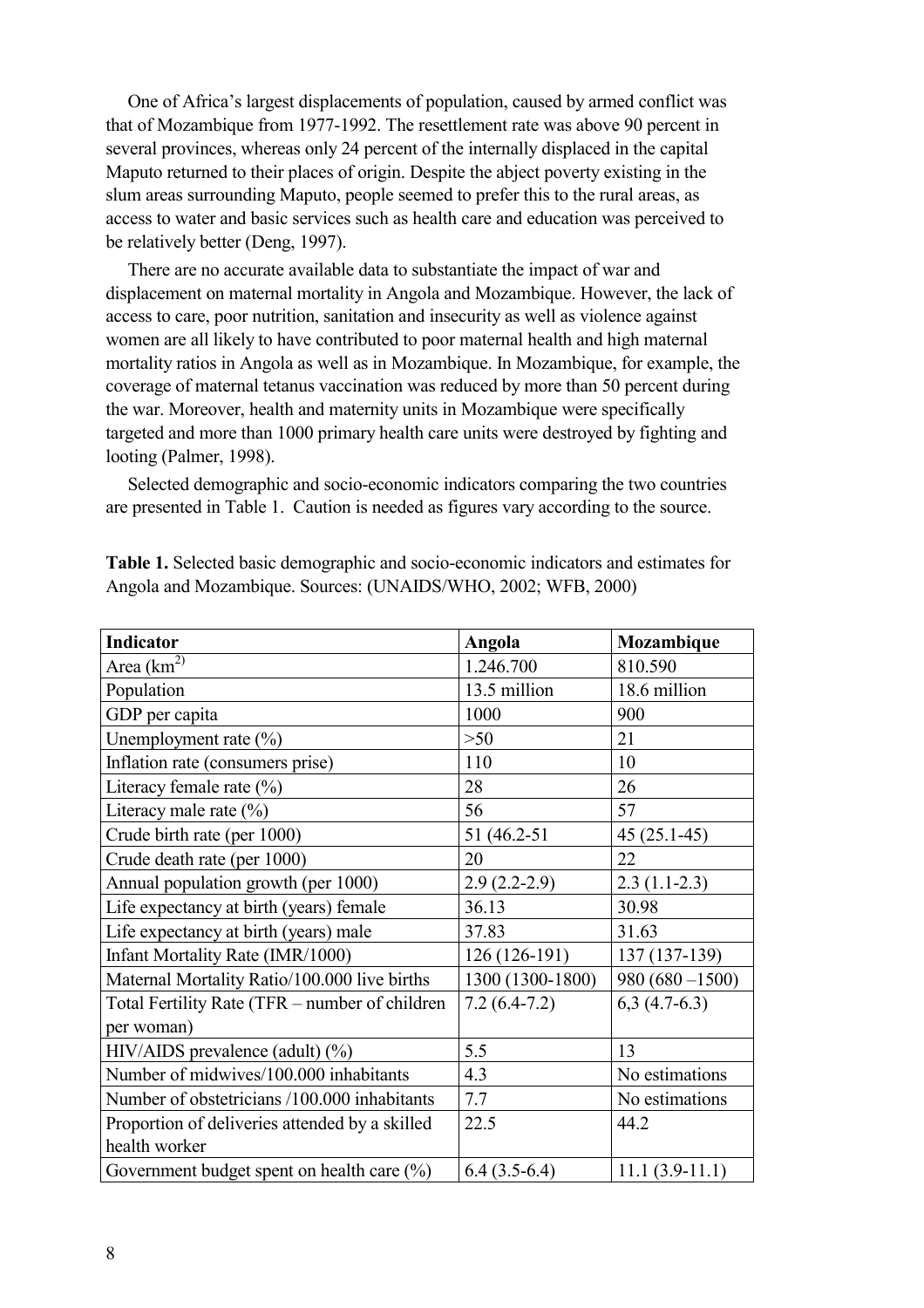One of Africa's largest displacements of population, caused by armed conflict was that of Mozambique from 1977-1992. The resettlement rate was above 90 percent in several provinces, whereas only 24 percent of the internally displaced in the capital Maputo returned to their places of origin. Despite the abject poverty existing in the slum areas surrounding Maputo, people seemed to prefer this to the rural areas, as access to water and basic services such as health care and education was perceived to be relatively better (Deng, 1997).

There are no accurate available data to substantiate the impact of war and displacement on maternal mortality in Angola and Mozambique. However, the lack of access to care, poor nutrition, sanitation and insecurity as well as violence against women are all likely to have contributed to poor maternal health and high maternal mortality ratios in Angola as well as in Mozambique. In Mozambique, for example, the coverage of maternal tetanus vaccination was reduced by more than 50 percent during the war. Moreover, health and maternity units in Mozambique were specifically targeted and more than 1000 primary health care units were destroyed by fighting and looting (Palmer, 1998).

Selected demographic and socio-economic indicators comparing the two countries are presented in Table 1. Caution is needed as figures vary according to the source.

| <b>Indicator</b>                               | <b>Angola</b>    | Mozambique        |
|------------------------------------------------|------------------|-------------------|
| Area $(\overline{\text{km}^2})$                | 1.246.700        | 810.590           |
| Population                                     | 13.5 million     | 18.6 million      |
| GDP per capita                                 | 1000             | 900               |
| Unemployment rate (%)                          | >50              | 21                |
| Inflation rate (consumers prise)               | 110              | 10                |
| Literacy female rate $(\% )$                   | 28               | 26                |
| Literacy male rate $(\%$ )                     | 56               | 57                |
| Crude birth rate (per 1000)                    | 51 (46.2-51)     | $45(25.1-45)$     |
| Crude death rate (per 1000)                    | 20               | 22                |
| Annual population growth (per 1000)            | $2.9(2.2-2.9)$   | $2.3(1.1-2.3)$    |
| Life expectancy at birth (years) female        | 36.13            | 30.98             |
| Life expectancy at birth (years) male          | 37.83            | 31.63             |
| Infant Mortality Rate (IMR/1000)               | $126(126-191)$   | $137(137-139)$    |
| Maternal Mortality Ratio/100.000 live births   | 1300 (1300-1800) | $980(680 - 1500)$ |
| Total Fertility Rate (TFR – number of children | $7.2(6.4-7.2)$   | $6,3(4.7-6.3)$    |
| per woman)                                     |                  |                   |
| $HIV/AIDS$ prevalence (adult) $(\%)$           | 5.5              | 13                |
| Number of midwives/100.000 inhabitants         | 4.3              | No estimations    |
| Number of obstetricians /100.000 inhabitants   | 7.7              | No estimations    |
| Proportion of deliveries attended by a skilled | 22.5             | 44.2              |
| health worker                                  |                  |                   |
| Government budget spent on health care $(\%)$  | $6.4(3.5-6.4)$   | $11.1(3.9-11.1)$  |

**Table 1.** Selected basic demographic and socio-economic indicators and estimates for Angola and Mozambique. Sources: (UNAIDS/WHO, 2002; WFB, 2000)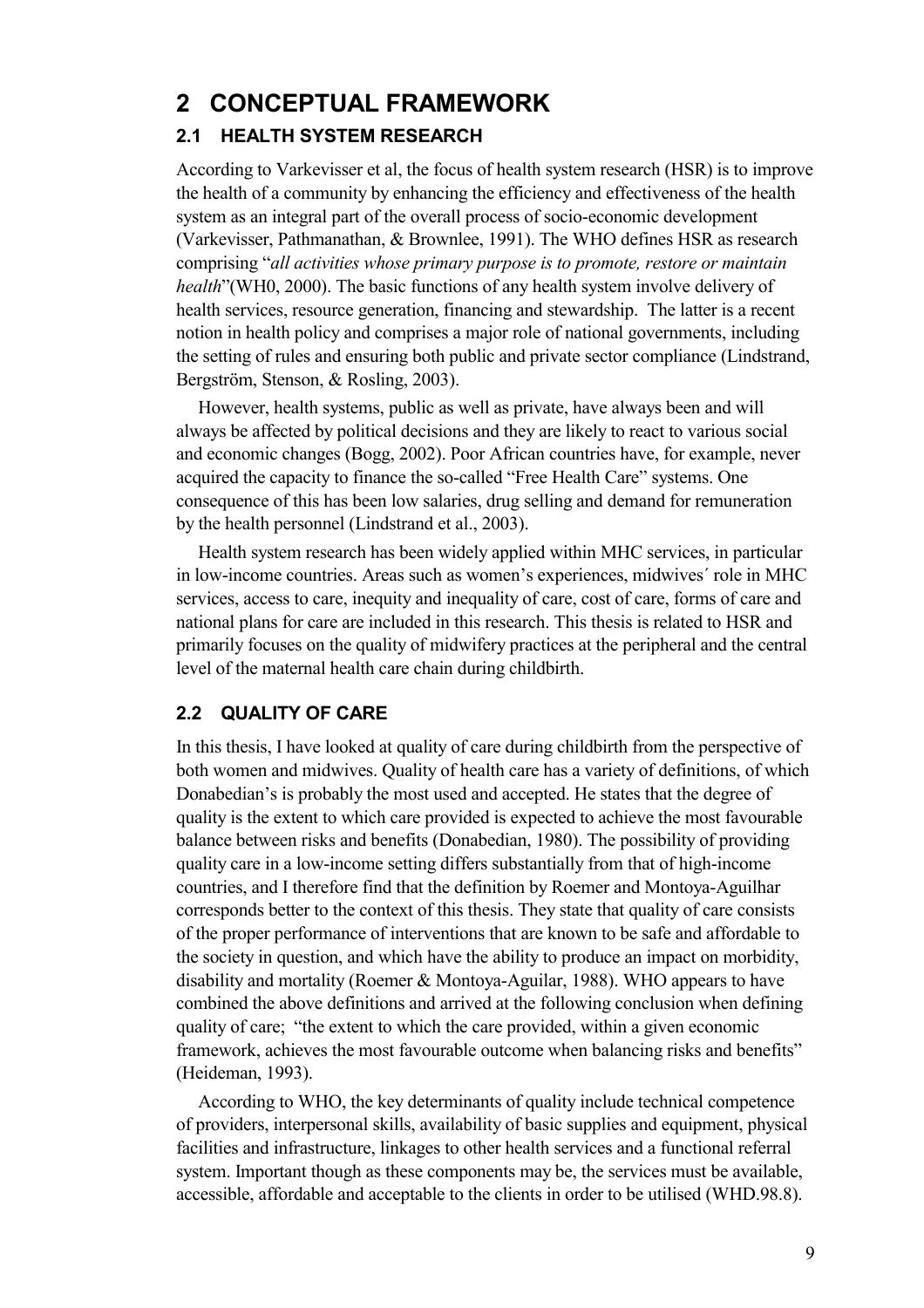## **2 CONCEPTUAL FRAMEWORK**

#### **2.1 HEALTH SYSTEM RESEARCH**

According to Varkevisser et al, the focus of health system research (HSR) is to improve the health of a community by enhancing the efficiency and effectiveness of the health system as an integral part of the overall process of socio-economic development (Varkevisser, Pathmanathan, & Brownlee, 1991). The WHO defines HSR as research comprising "*all activities whose primary purpose is to promote, restore or maintain health*"(WH0, 2000). The basic functions of any health system involve delivery of health services, resource generation, financing and stewardship. The latter is a recent notion in health policy and comprises a major role of national governments, including the setting of rules and ensuring both public and private sector compliance (Lindstrand, Bergström, Stenson, & Rosling, 2003).

However, health systems, public as well as private, have always been and will always be affected by political decisions and they are likely to react to various social and economic changes (Bogg, 2002). Poor African countries have, for example, never acquired the capacity to finance the so-called "Free Health Care" systems. One consequence of this has been low salaries, drug selling and demand for remuneration by the health personnel (Lindstrand et al., 2003).

Health system research has been widely applied within MHC services, in particular in low-income countries. Areas such as women's experiences, midwives´ role in MHC services, access to care, inequity and inequality of care, cost of care, forms of care and national plans for care are included in this research. This thesis is related to HSR and primarily focuses on the quality of midwifery practices at the peripheral and the central level of the maternal health care chain during childbirth.

#### **2.2 QUALITY OF CARE**

In this thesis, I have looked at quality of care during childbirth from the perspective of both women and midwives. Quality of health care has a variety of definitions, of which Donabedian's is probably the most used and accepted. He states that the degree of quality is the extent to which care provided is expected to achieve the most favourable balance between risks and benefits (Donabedian, 1980). The possibility of providing quality care in a low-income setting differs substantially from that of high-income countries, and I therefore find that the definition by Roemer and Montoya-Aguilhar corresponds better to the context of this thesis. They state that quality of care consists of the proper performance of interventions that are known to be safe and affordable to the society in question, and which have the ability to produce an impact on morbidity, disability and mortality (Roemer & Montoya-Aguilar, 1988). WHO appears to have combined the above definitions and arrived at the following conclusion when defining quality of care; "the extent to which the care provided, within a given economic framework, achieves the most favourable outcome when balancing risks and benefits" (Heideman, 1993).

According to WHO, the key determinants of quality include technical competence of providers, interpersonal skills, availability of basic supplies and equipment, physical facilities and infrastructure, linkages to other health services and a functional referral system. Important though as these components may be, the services must be available, accessible, affordable and acceptable to the clients in order to be utilised (WHD.98.8).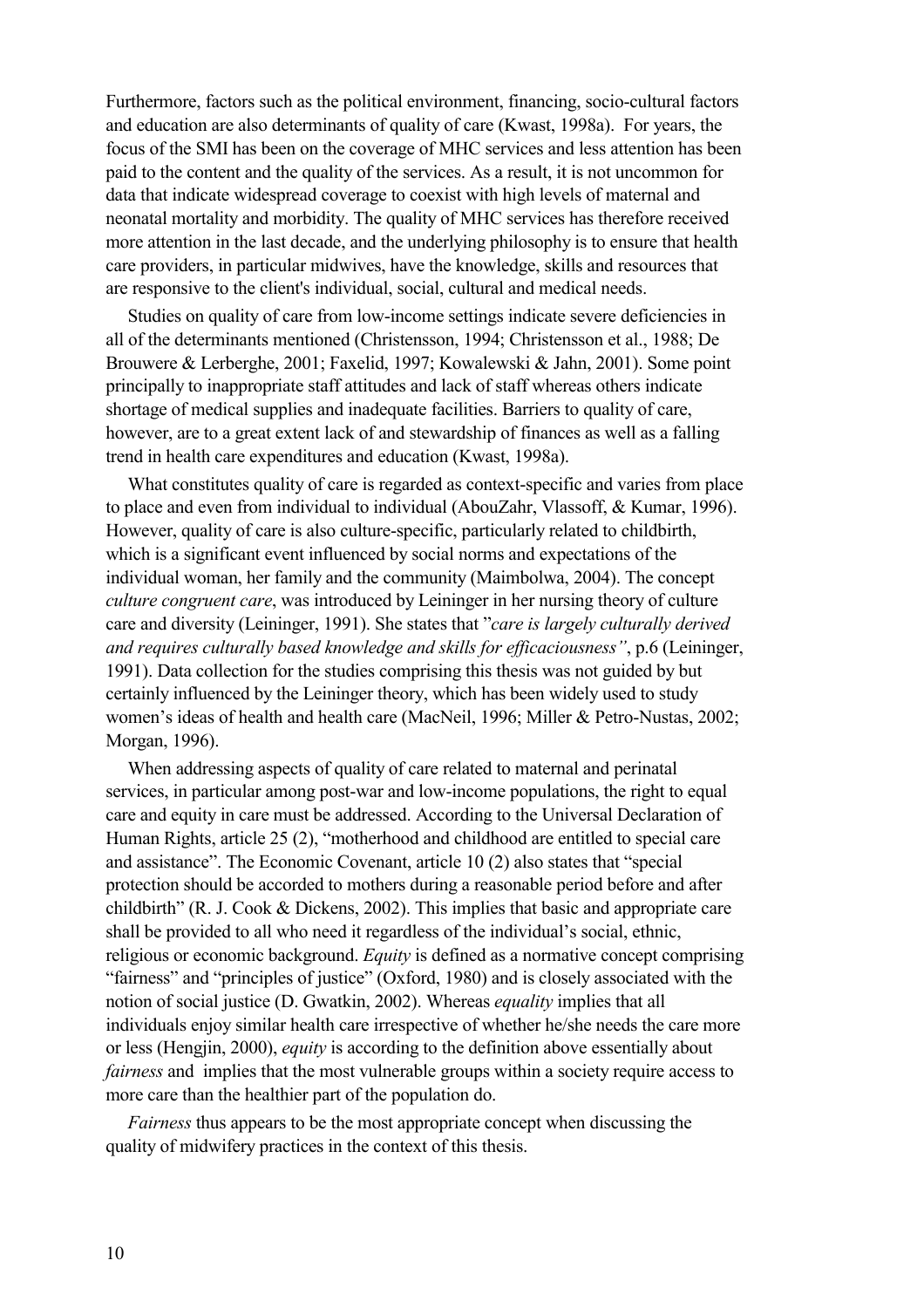Furthermore, factors such as the political environment, financing, socio-cultural factors and education are also determinants of quality of care (Kwast, 1998a). For years, the focus of the SMI has been on the coverage of MHC services and less attention has been paid to the content and the quality of the services. As a result, it is not uncommon for data that indicate widespread coverage to coexist with high levels of maternal and neonatal mortality and morbidity. The quality of MHC services has therefore received more attention in the last decade, and the underlying philosophy is to ensure that health care providers, in particular midwives, have the knowledge, skills and resources that are responsive to the client's individual, social, cultural and medical needs.

Studies on quality of care from low-income settings indicate severe deficiencies in all of the determinants mentioned (Christensson, 1994; Christensson et al., 1988; De Brouwere & Lerberghe, 2001; Faxelid, 1997; Kowalewski & Jahn, 2001). Some point principally to inappropriate staff attitudes and lack of staff whereas others indicate shortage of medical supplies and inadequate facilities. Barriers to quality of care, however, are to a great extent lack of and stewardship of finances as well as a falling trend in health care expenditures and education (Kwast, 1998a).

What constitutes quality of care is regarded as context-specific and varies from place to place and even from individual to individual (AbouZahr, Vlassoff, & Kumar, 1996). However, quality of care is also culture-specific, particularly related to childbirth, which is a significant event influenced by social norms and expectations of the individual woman, her family and the community (Maimbolwa, 2004). The concept *culture congruent care*, was introduced by Leininger in her nursing theory of culture care and diversity (Leininger, 1991). She states that "*care is largely culturally derived and requires culturally based knowledge and skills for efficaciousness"*, p.6 (Leininger, 1991). Data collection for the studies comprising this thesis was not guided by but certainly influenced by the Leininger theory, which has been widely used to study women's ideas of health and health care (MacNeil, 1996; Miller & Petro-Nustas, 2002; Morgan, 1996).

When addressing aspects of quality of care related to maternal and perinatal services, in particular among post-war and low-income populations, the right to equal care and equity in care must be addressed. According to the Universal Declaration of Human Rights, article 25 (2), "motherhood and childhood are entitled to special care and assistance". The Economic Covenant, article 10 (2) also states that "special protection should be accorded to mothers during a reasonable period before and after childbirth" (R. J. Cook & Dickens, 2002). This implies that basic and appropriate care shall be provided to all who need it regardless of the individual's social, ethnic, religious or economic background. *Equity* is defined as a normative concept comprising "fairness" and "principles of justice" (Oxford, 1980) and is closely associated with the notion of social justice (D. Gwatkin, 2002). Whereas *equality* implies that all individuals enjoy similar health care irrespective of whether he/she needs the care more or less (Hengjin, 2000), *equity* is according to the definition above essentially about *fairness* and implies that the most vulnerable groups within a society require access to more care than the healthier part of the population do.

*Fairness* thus appears to be the most appropriate concept when discussing the quality of midwifery practices in the context of this thesis.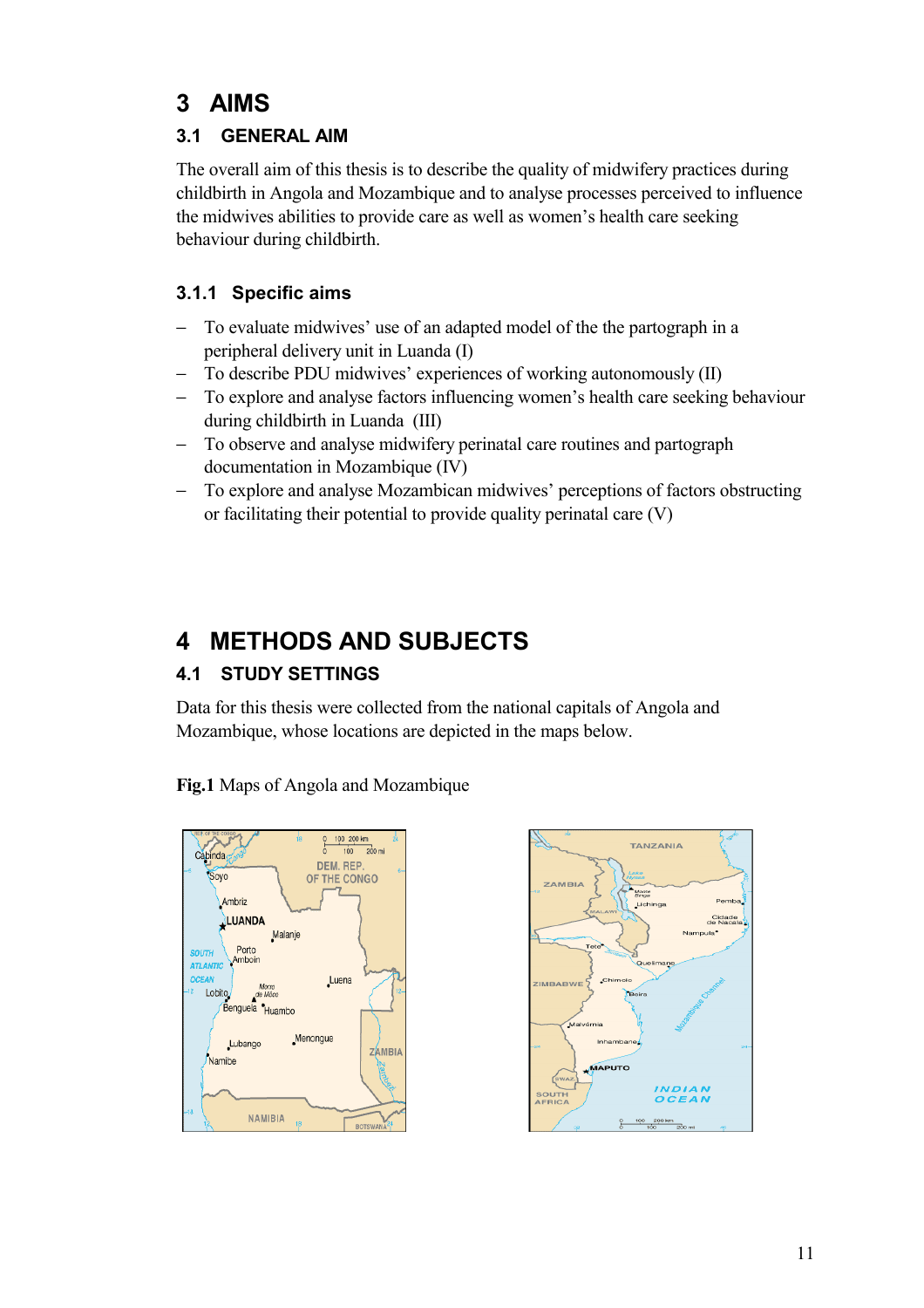## **3 AIMS**

## **3.1 GENERAL AIM**

The overall aim of this thesis is to describe the quality of midwifery practices during childbirth in Angola and Mozambique and to analyse processes perceived to influence the midwives abilities to provide care as well as women's health care seeking behaviour during childbirth.

### **3.1.1 Specific aims**

- To evaluate midwives' use of an adapted model of the the partograph in a peripheral delivery unit in Luanda (I)
- − To describe PDU midwives' experiences of working autonomously (II)
- To explore and analyse factors influencing women's health care seeking behaviour during childbirth in Luanda (III)
- − To observe and analyse midwifery perinatal care routines and partograph documentation in Mozambique (IV)
- − To explore and analyse Mozambican midwives' perceptions of factors obstructing or facilitating their potential to provide quality perinatal care (V)

## **4 METHODS AND SUBJECTS**

## **4.1 STUDY SETTINGS**

Data for this thesis were collected from the national capitals of Angola and Mozambique, whose locations are depicted in the maps below.

**Fig.1** Maps of Angola and Mozambique



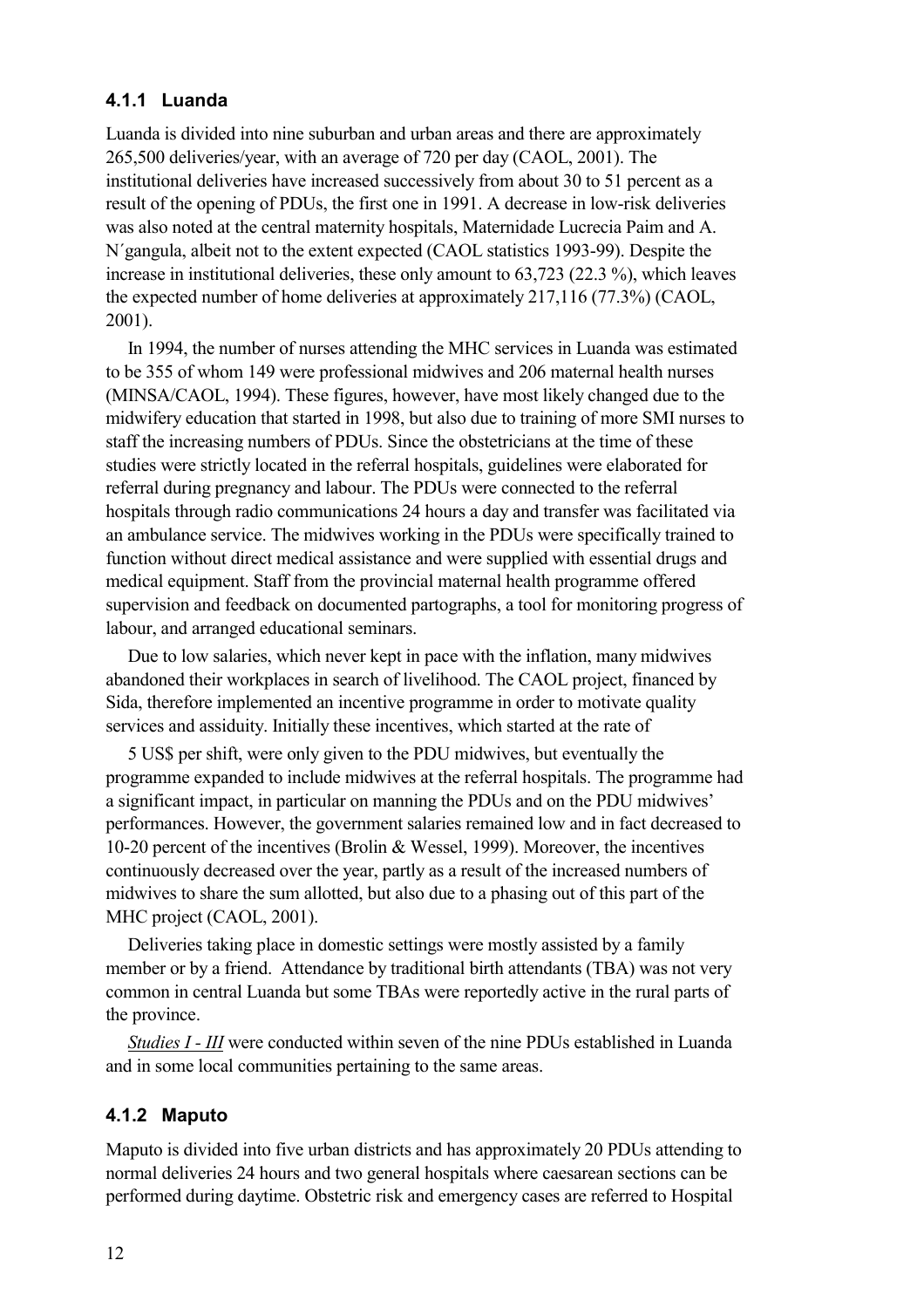#### **4.1.1 Luanda**

Luanda is divided into nine suburban and urban areas and there are approximately 265,500 deliveries/year, with an average of 720 per day (CAOL, 2001). The institutional deliveries have increased successively from about 30 to 51 percent as a result of the opening of PDUs, the first one in 1991. A decrease in low-risk deliveries was also noted at the central maternity hospitals, Maternidade Lucrecia Paim and A. N´gangula, albeit not to the extent expected (CAOL statistics 1993-99). Despite the increase in institutional deliveries, these only amount to 63,723 (22.3 %), which leaves the expected number of home deliveries at approximately 217,116 (77.3%) (CAOL, 2001).

In 1994, the number of nurses attending the MHC services in Luanda was estimated to be 355 of whom 149 were professional midwives and 206 maternal health nurses (MINSA/CAOL, 1994). These figures, however, have most likely changed due to the midwifery education that started in 1998, but also due to training of more SMI nurses to staff the increasing numbers of PDUs. Since the obstetricians at the time of these studies were strictly located in the referral hospitals, guidelines were elaborated for referral during pregnancy and labour. The PDUs were connected to the referral hospitals through radio communications 24 hours a day and transfer was facilitated via an ambulance service. The midwives working in the PDUs were specifically trained to function without direct medical assistance and were supplied with essential drugs and medical equipment. Staff from the provincial maternal health programme offered supervision and feedback on documented partographs, a tool for monitoring progress of labour, and arranged educational seminars.

Due to low salaries, which never kept in pace with the inflation, many midwives abandoned their workplaces in search of livelihood. The CAOL project, financed by Sida, therefore implemented an incentive programme in order to motivate quality services and assiduity. Initially these incentives, which started at the rate of

5 US\$ per shift, were only given to the PDU midwives, but eventually the programme expanded to include midwives at the referral hospitals. The programme had a significant impact, in particular on manning the PDUs and on the PDU midwives' performances. However, the government salaries remained low and in fact decreased to 10-20 percent of the incentives (Brolin & Wessel, 1999). Moreover, the incentives continuously decreased over the year, partly as a result of the increased numbers of midwives to share the sum allotted, but also due to a phasing out of this part of the MHC project (CAOL, 2001).

Deliveries taking place in domestic settings were mostly assisted by a family member or by a friend. Attendance by traditional birth attendants (TBA) was not very common in central Luanda but some TBAs were reportedly active in the rural parts of the province.

*Studies I - III* were conducted within seven of the nine PDUs established in Luanda and in some local communities pertaining to the same areas.

#### **4.1.2 Maputo**

Maputo is divided into five urban districts and has approximately 20 PDUs attending to normal deliveries 24 hours and two general hospitals where caesarean sections can be performed during daytime. Obstetric risk and emergency cases are referred to Hospital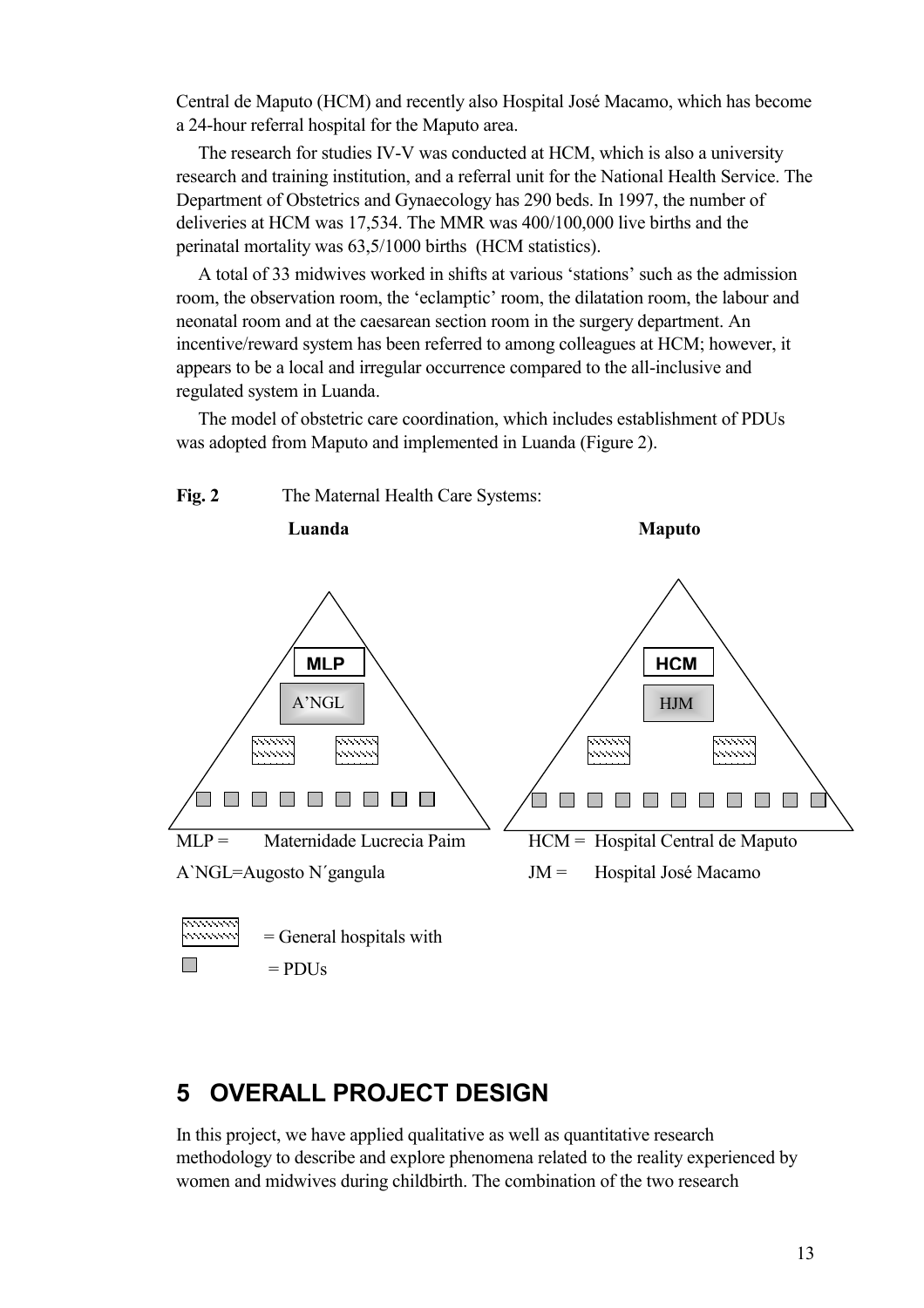Central de Maputo (HCM) and recently also Hospital José Macamo, which has become a 24-hour referral hospital for the Maputo area.

The research for studies IV-V was conducted at HCM, which is also a university research and training institution, and a referral unit for the National Health Service. The Department of Obstetrics and Gynaecology has 290 beds. In 1997, the number of deliveries at HCM was 17,534. The MMR was 400/100,000 live births and the perinatal mortality was 63,5/1000 births (HCM statistics).

A total of 33 midwives worked in shifts at various 'stations' such as the admission room, the observation room, the 'eclamptic' room, the dilatation room, the labour and neonatal room and at the caesarean section room in the surgery department. An incentive/reward system has been referred to among colleagues at HCM; however, it appears to be a local and irregular occurrence compared to the all-inclusive and regulated system in Luanda.

The model of obstetric care coordination, which includes establishment of PDUs was adopted from Maputo and implemented in Luanda (Figure 2).



## **5 OVERALL PROJECT DESIGN**

In this project, we have applied qualitative as well as quantitative research methodology to describe and explore phenomena related to the reality experienced by women and midwives during childbirth. The combination of the two research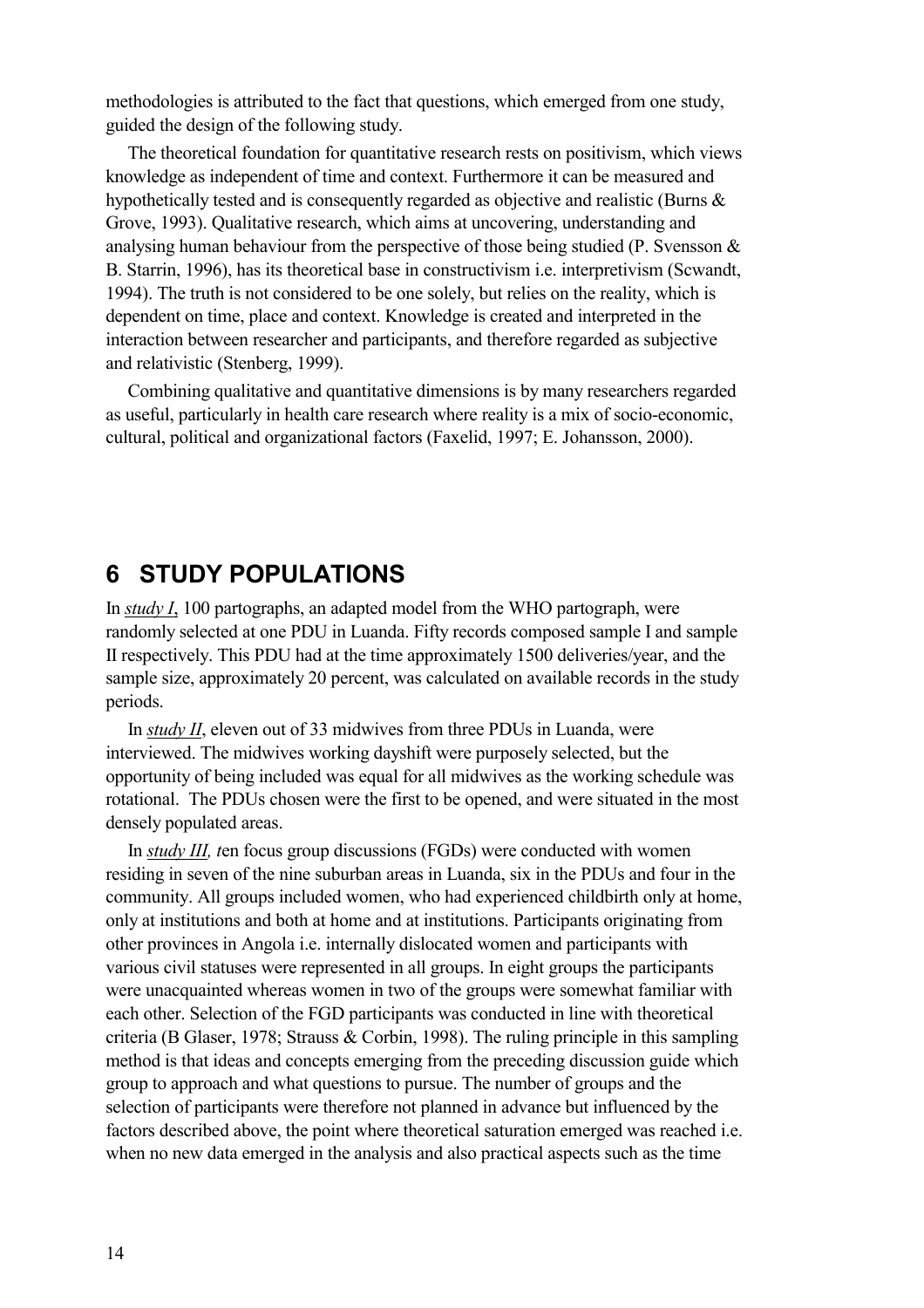methodologies is attributed to the fact that questions, which emerged from one study, guided the design of the following study.

The theoretical foundation for quantitative research rests on positivism, which views knowledge as independent of time and context. Furthermore it can be measured and hypothetically tested and is consequently regarded as objective and realistic (Burns & Grove, 1993). Qualitative research, which aims at uncovering, understanding and analysing human behaviour from the perspective of those being studied (P. Svensson & B. Starrin, 1996), has its theoretical base in constructivism i.e. interpretivism (Scwandt, 1994). The truth is not considered to be one solely, but relies on the reality, which is dependent on time, place and context. Knowledge is created and interpreted in the interaction between researcher and participants, and therefore regarded as subjective and relativistic (Stenberg, 1999).

Combining qualitative and quantitative dimensions is by many researchers regarded as useful, particularly in health care research where reality is a mix of socio-economic, cultural, political and organizational factors (Faxelid, 1997; E. Johansson, 2000).

## **6 STUDY POPULATIONS**

In *study I*, 100 partographs, an adapted model from the WHO partograph, were randomly selected at one PDU in Luanda. Fifty records composed sample I and sample II respectively. This PDU had at the time approximately 1500 deliveries/year, and the sample size, approximately 20 percent, was calculated on available records in the study periods.

In *study II*, eleven out of 33 midwives from three PDUs in Luanda, were interviewed. The midwives working dayshift were purposely selected, but the opportunity of being included was equal for all midwives as the working schedule was rotational. The PDUs chosen were the first to be opened, and were situated in the most densely populated areas.

In *study III, t*en focus group discussions (FGDs) were conducted with women residing in seven of the nine suburban areas in Luanda, six in the PDUs and four in the community. All groups included women, who had experienced childbirth only at home, only at institutions and both at home and at institutions. Participants originating from other provinces in Angola i.e. internally dislocated women and participants with various civil statuses were represented in all groups. In eight groups the participants were unacquainted whereas women in two of the groups were somewhat familiar with each other. Selection of the FGD participants was conducted in line with theoretical criteria (B Glaser, 1978; Strauss & Corbin, 1998). The ruling principle in this sampling method is that ideas and concepts emerging from the preceding discussion guide which group to approach and what questions to pursue. The number of groups and the selection of participants were therefore not planned in advance but influenced by the factors described above, the point where theoretical saturation emerged was reached i.e. when no new data emerged in the analysis and also practical aspects such as the time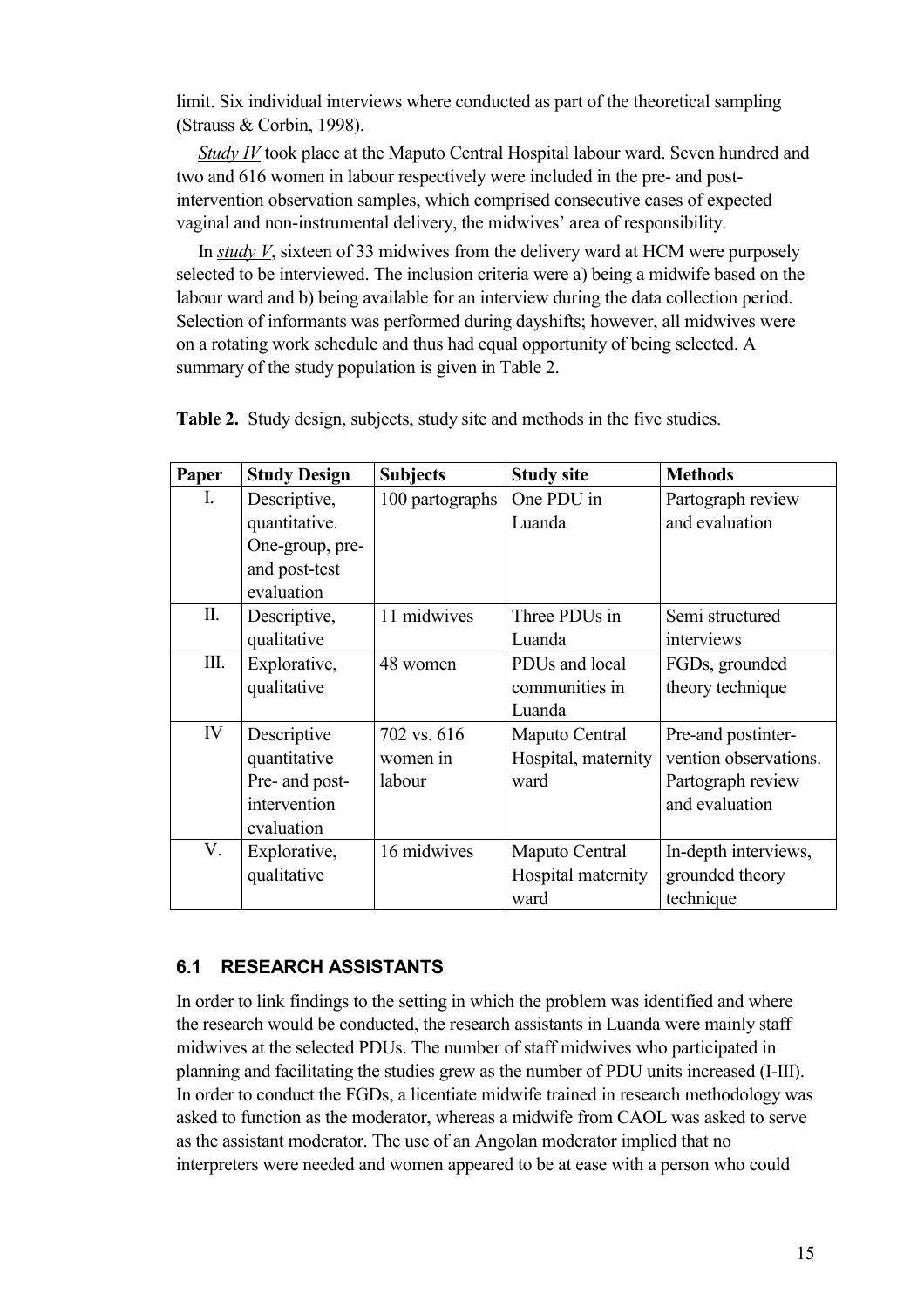limit. Six individual interviews where conducted as part of the theoretical sampling (Strauss & Corbin, 1998).

*Study IV* took place at the Maputo Central Hospital labour ward. Seven hundred and two and 616 women in labour respectively were included in the pre- and postintervention observation samples, which comprised consecutive cases of expected vaginal and non-instrumental delivery, the midwives' area of responsibility.

In *study V*, sixteen of 33 midwives from the delivery ward at HCM were purposely selected to be interviewed. The inclusion criteria were a) being a midwife based on the labour ward and b) being available for an interview during the data collection period. Selection of informants was performed during dayshifts; however, all midwives were on a rotating work schedule and thus had equal opportunity of being selected. A summary of the study population is given in Table 2.

| Paper          | <b>Study Design</b> | <b>Subjects</b> | <b>Study site</b>   | <b>Methods</b>        |
|----------------|---------------------|-----------------|---------------------|-----------------------|
| $\mathbf{I}$ . | Descriptive,        | 100 partographs | One PDU in          | Partograph review     |
|                | quantitative.       |                 | Luanda              | and evaluation        |
|                | One-group, pre-     |                 |                     |                       |
|                | and post-test       |                 |                     |                       |
|                | evaluation          |                 |                     |                       |
| $\prod$ .      | Descriptive,        | 11 midwives     | Three PDUs in       | Semi structured       |
|                | qualitative         |                 | Luanda              | interviews            |
| Ш.             | Explorative,        | 48 women        | PDUs and local      | FGDs, grounded        |
|                | qualitative         |                 | communities in      | theory technique      |
|                |                     |                 | Luanda              |                       |
| IV             | Descriptive         | 702 vs. 616     | Maputo Central      | Pre-and postinter-    |
|                | quantitative        | women in        | Hospital, maternity | vention observations. |
|                | Pre- and post-      | labour          | ward                | Partograph review     |
|                | intervention        |                 |                     | and evaluation        |
|                | evaluation          |                 |                     |                       |
| V.             | Explorative,        | 16 midwives     | Maputo Central      | In-depth interviews,  |
|                | qualitative         |                 | Hospital maternity  | grounded theory       |
|                |                     |                 | ward                | technique             |

**Table 2.** Study design, subjects, study site and methods in the five studies.

#### **6.1 RESEARCH ASSISTANTS**

In order to link findings to the setting in which the problem was identified and where the research would be conducted, the research assistants in Luanda were mainly staff midwives at the selected PDUs. The number of staff midwives who participated in planning and facilitating the studies grew as the number of PDU units increased (I-III). In order to conduct the FGDs, a licentiate midwife trained in research methodology was asked to function as the moderator, whereas a midwife from CAOL was asked to serve as the assistant moderator. The use of an Angolan moderator implied that no interpreters were needed and women appeared to be at ease with a person who could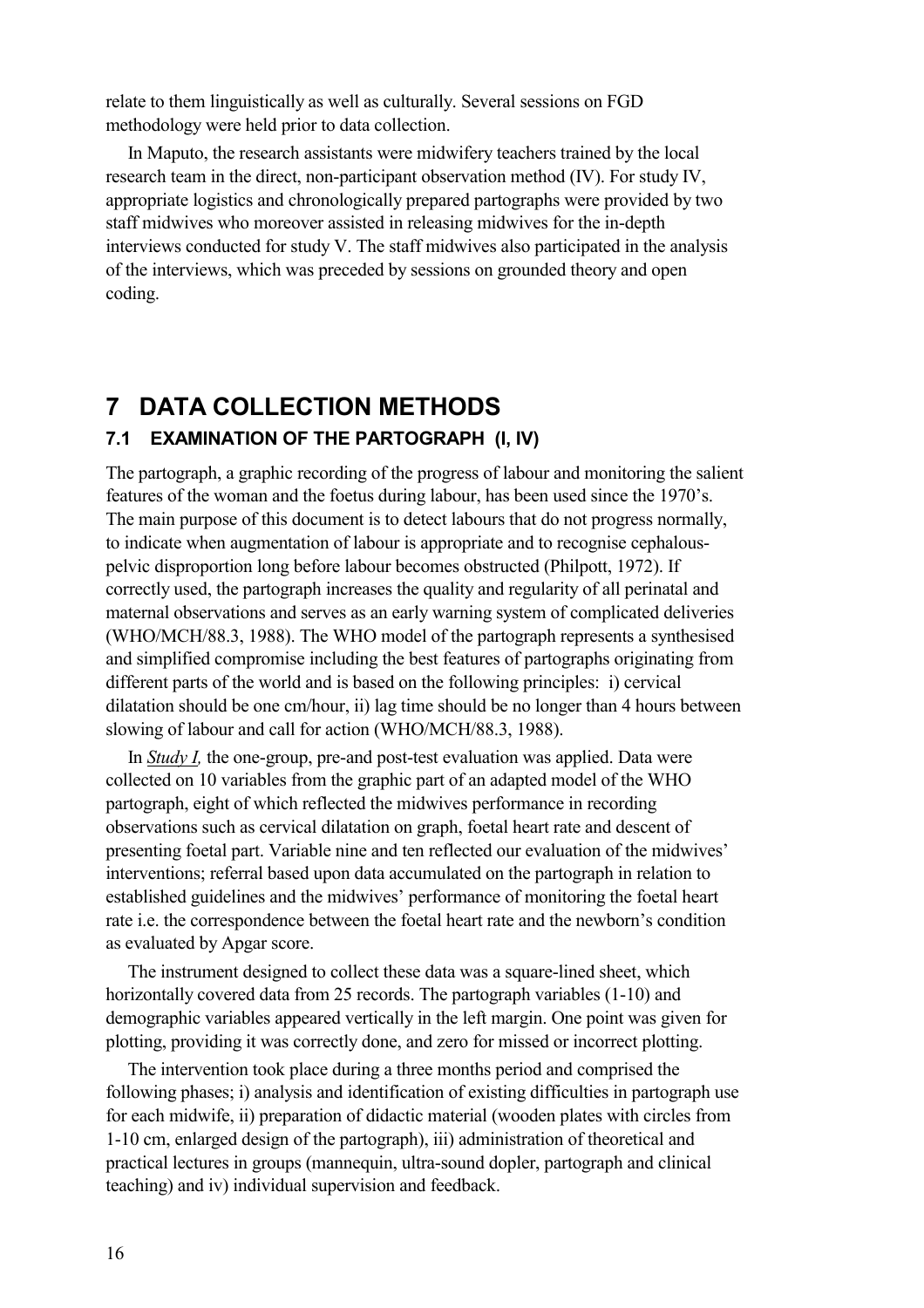relate to them linguistically as well as culturally. Several sessions on FGD methodology were held prior to data collection.

In Maputo, the research assistants were midwifery teachers trained by the local research team in the direct, non-participant observation method (IV). For study IV, appropriate logistics and chronologically prepared partographs were provided by two staff midwives who moreover assisted in releasing midwives for the in-depth interviews conducted for study V. The staff midwives also participated in the analysis of the interviews, which was preceded by sessions on grounded theory and open coding.

## **7 DATA COLLECTION METHODS**

#### **7.1 EXAMINATION OF THE PARTOGRAPH (I, IV)**

The partograph, a graphic recording of the progress of labour and monitoring the salient features of the woman and the foetus during labour, has been used since the 1970's. The main purpose of this document is to detect labours that do not progress normally, to indicate when augmentation of labour is appropriate and to recognise cephalouspelvic disproportion long before labour becomes obstructed (Philpott, 1972). If correctly used, the partograph increases the quality and regularity of all perinatal and maternal observations and serves as an early warning system of complicated deliveries (WHO/MCH/88.3, 1988). The WHO model of the partograph represents a synthesised and simplified compromise including the best features of partographs originating from different parts of the world and is based on the following principles: i) cervical dilatation should be one cm/hour, ii) lag time should be no longer than 4 hours between slowing of labour and call for action (WHO/MCH/88.3, 1988).

In *Study I,* the one-group, pre-and post-test evaluation was applied. Data were collected on 10 variables from the graphic part of an adapted model of the WHO partograph, eight of which reflected the midwives performance in recording observations such as cervical dilatation on graph, foetal heart rate and descent of presenting foetal part. Variable nine and ten reflected our evaluation of the midwives' interventions; referral based upon data accumulated on the partograph in relation to established guidelines and the midwives' performance of monitoring the foetal heart rate i.e. the correspondence between the foetal heart rate and the newborn's condition as evaluated by Apgar score.

The instrument designed to collect these data was a square-lined sheet, which horizontally covered data from 25 records. The partograph variables (1-10) and demographic variables appeared vertically in the left margin. One point was given for plotting, providing it was correctly done, and zero for missed or incorrect plotting.

The intervention took place during a three months period and comprised the following phases; i) analysis and identification of existing difficulties in partograph use for each midwife, ii) preparation of didactic material (wooden plates with circles from 1-10 cm, enlarged design of the partograph), iii) administration of theoretical and practical lectures in groups (mannequin, ultra-sound dopler, partograph and clinical teaching) and iv) individual supervision and feedback.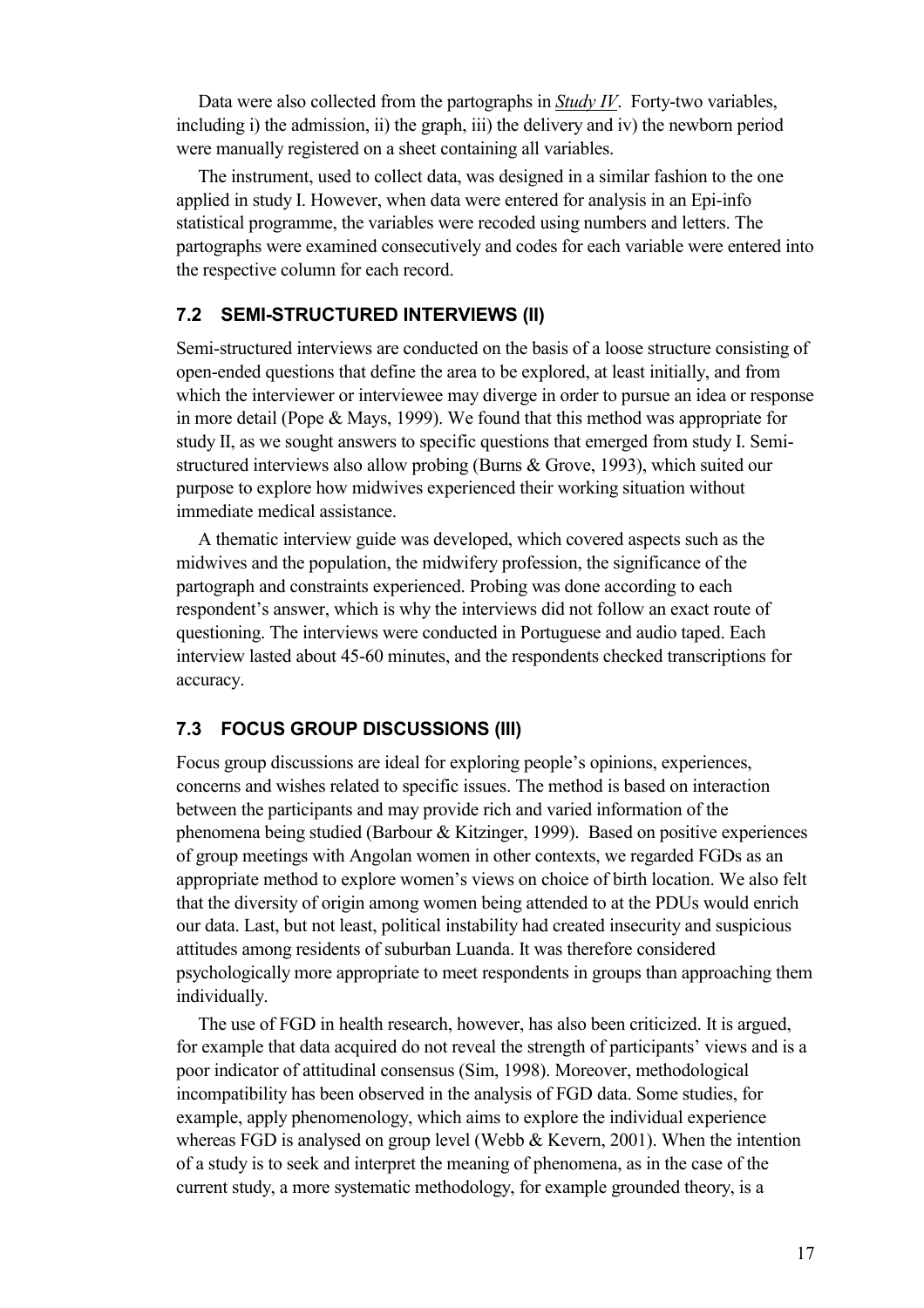Data were also collected from the partographs in *Study IV*. Forty-two variables, including i) the admission, ii) the graph, iii) the delivery and iv) the newborn period were manually registered on a sheet containing all variables.

The instrument, used to collect data, was designed in a similar fashion to the one applied in study I. However, when data were entered for analysis in an Epi-info statistical programme, the variables were recoded using numbers and letters. The partographs were examined consecutively and codes for each variable were entered into the respective column for each record.

#### **7.2 SEMI-STRUCTURED INTERVIEWS (II)**

Semi-structured interviews are conducted on the basis of a loose structure consisting of open-ended questions that define the area to be explored, at least initially, and from which the interviewer or interviewee may diverge in order to pursue an idea or response in more detail (Pope & Mays, 1999). We found that this method was appropriate for study II, as we sought answers to specific questions that emerged from study I. Semistructured interviews also allow probing (Burns & Grove, 1993), which suited our purpose to explore how midwives experienced their working situation without immediate medical assistance.

A thematic interview guide was developed, which covered aspects such as the midwives and the population, the midwifery profession, the significance of the partograph and constraints experienced. Probing was done according to each respondent's answer, which is why the interviews did not follow an exact route of questioning. The interviews were conducted in Portuguese and audio taped. Each interview lasted about 45-60 minutes, and the respondents checked transcriptions for accuracy.

#### **7.3 FOCUS GROUP DISCUSSIONS (III)**

Focus group discussions are ideal for exploring people's opinions, experiences, concerns and wishes related to specific issues. The method is based on interaction between the participants and may provide rich and varied information of the phenomena being studied (Barbour & Kitzinger, 1999). Based on positive experiences of group meetings with Angolan women in other contexts, we regarded FGDs as an appropriate method to explore women's views on choice of birth location. We also felt that the diversity of origin among women being attended to at the PDUs would enrich our data. Last, but not least, political instability had created insecurity and suspicious attitudes among residents of suburban Luanda. It was therefore considered psychologically more appropriate to meet respondents in groups than approaching them individually.

The use of FGD in health research, however, has also been criticized. It is argued, for example that data acquired do not reveal the strength of participants' views and is a poor indicator of attitudinal consensus (Sim, 1998). Moreover, methodological incompatibility has been observed in the analysis of FGD data. Some studies, for example, apply phenomenology, which aims to explore the individual experience whereas FGD is analysed on group level (Webb & Kevern, 2001). When the intention of a study is to seek and interpret the meaning of phenomena, as in the case of the current study, a more systematic methodology, for example grounded theory, is a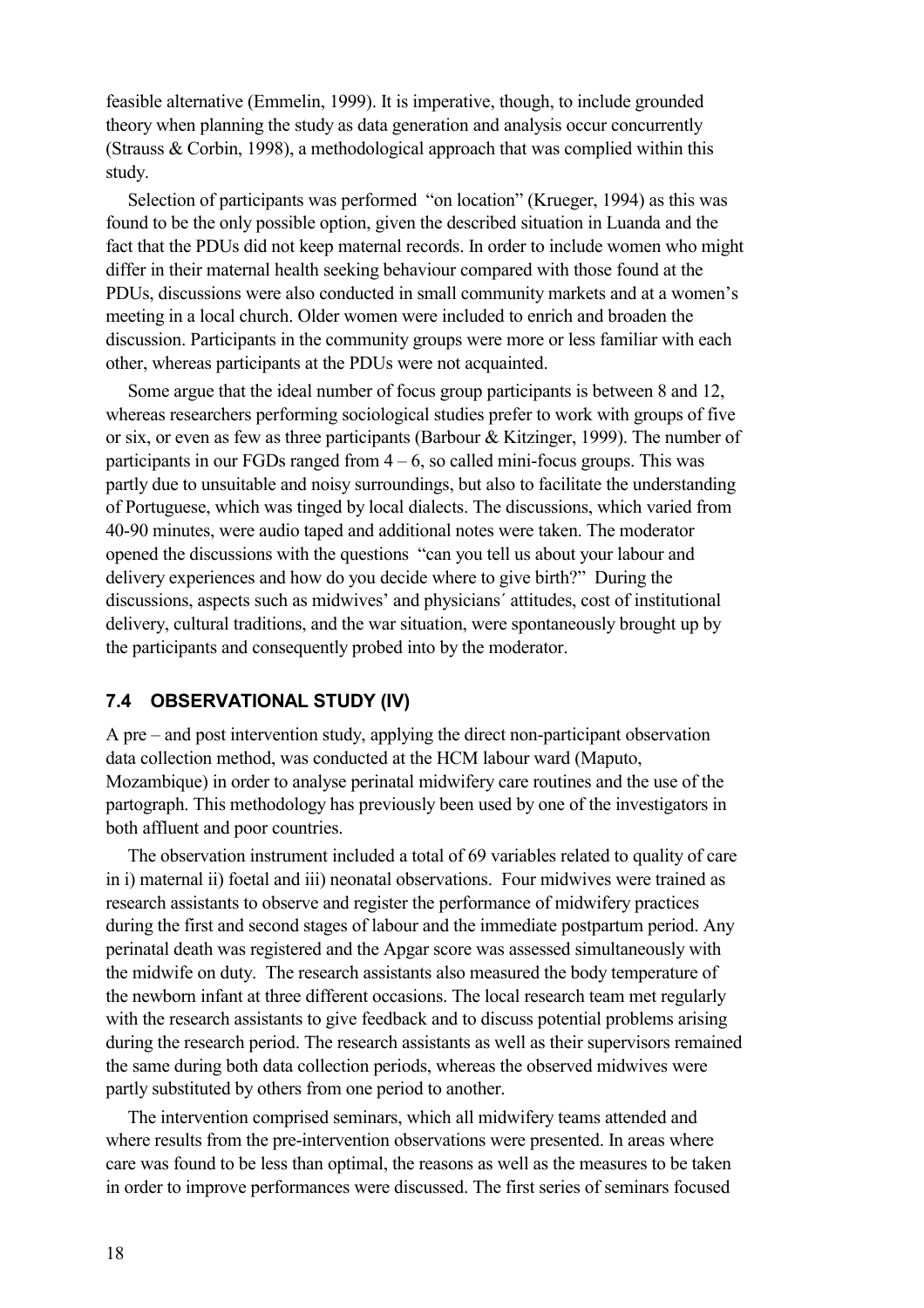feasible alternative (Emmelin, 1999). It is imperative, though, to include grounded theory when planning the study as data generation and analysis occur concurrently (Strauss & Corbin, 1998), a methodological approach that was complied within this study.

Selection of participants was performed "on location" (Krueger, 1994) as this was found to be the only possible option, given the described situation in Luanda and the fact that the PDUs did not keep maternal records. In order to include women who might differ in their maternal health seeking behaviour compared with those found at the PDUs, discussions were also conducted in small community markets and at a women's meeting in a local church. Older women were included to enrich and broaden the discussion. Participants in the community groups were more or less familiar with each other, whereas participants at the PDUs were not acquainted.

Some argue that the ideal number of focus group participants is between 8 and 12, whereas researchers performing sociological studies prefer to work with groups of five or six, or even as few as three participants (Barbour & Kitzinger, 1999). The number of participants in our FGDs ranged from  $4 - 6$ , so called mini-focus groups. This was partly due to unsuitable and noisy surroundings, but also to facilitate the understanding of Portuguese, which was tinged by local dialects. The discussions, which varied from 40-90 minutes, were audio taped and additional notes were taken. The moderator opened the discussions with the questions "can you tell us about your labour and delivery experiences and how do you decide where to give birth?" During the discussions, aspects such as midwives' and physicians´ attitudes, cost of institutional delivery, cultural traditions, and the war situation, were spontaneously brought up by the participants and consequently probed into by the moderator.

#### **7.4 OBSERVATIONAL STUDY (IV)**

A pre – and post intervention study, applying the direct non-participant observation data collection method, was conducted at the HCM labour ward (Maputo, Mozambique) in order to analyse perinatal midwifery care routines and the use of the partograph. This methodology has previously been used by one of the investigators in both affluent and poor countries.

The observation instrument included a total of 69 variables related to quality of care in i) maternal ii) foetal and iii) neonatal observations. Four midwives were trained as research assistants to observe and register the performance of midwifery practices during the first and second stages of labour and the immediate postpartum period. Any perinatal death was registered and the Apgar score was assessed simultaneously with the midwife on duty. The research assistants also measured the body temperature of the newborn infant at three different occasions. The local research team met regularly with the research assistants to give feedback and to discuss potential problems arising during the research period. The research assistants as well as their supervisors remained the same during both data collection periods, whereas the observed midwives were partly substituted by others from one period to another.

The intervention comprised seminars, which all midwifery teams attended and where results from the pre-intervention observations were presented. In areas where care was found to be less than optimal, the reasons as well as the measures to be taken in order to improve performances were discussed. The first series of seminars focused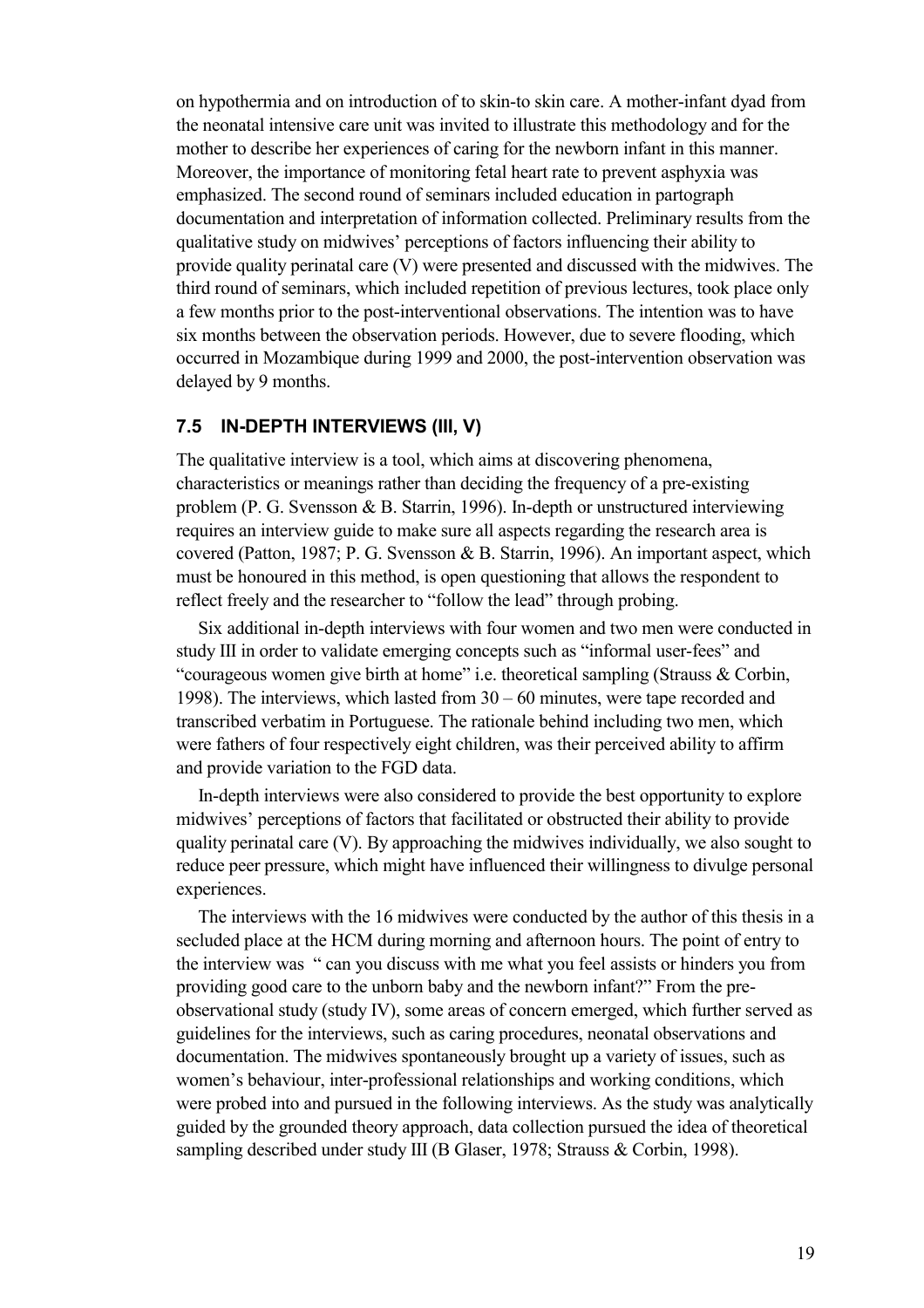on hypothermia and on introduction of to skin-to skin care. A mother-infant dyad from the neonatal intensive care unit was invited to illustrate this methodology and for the mother to describe her experiences of caring for the newborn infant in this manner. Moreover, the importance of monitoring fetal heart rate to prevent asphyxia was emphasized. The second round of seminars included education in partograph documentation and interpretation of information collected. Preliminary results from the qualitative study on midwives' perceptions of factors influencing their ability to provide quality perinatal care (V) were presented and discussed with the midwives. The third round of seminars, which included repetition of previous lectures, took place only a few months prior to the post-interventional observations. The intention was to have six months between the observation periods. However, due to severe flooding, which occurred in Mozambique during 1999 and 2000, the post-intervention observation was delayed by 9 months.

#### **7.5 IN-DEPTH INTERVIEWS (III, V)**

The qualitative interview is a tool, which aims at discovering phenomena, characteristics or meanings rather than deciding the frequency of a pre-existing problem (P. G. Svensson & B. Starrin, 1996). In-depth or unstructured interviewing requires an interview guide to make sure all aspects regarding the research area is covered (Patton, 1987; P. G. Svensson & B. Starrin, 1996). An important aspect, which must be honoured in this method, is open questioning that allows the respondent to reflect freely and the researcher to "follow the lead" through probing.

Six additional in-depth interviews with four women and two men were conducted in study III in order to validate emerging concepts such as "informal user-fees" and "courageous women give birth at home" i.e. theoretical sampling (Strauss & Corbin, 1998). The interviews, which lasted from 30 – 60 minutes, were tape recorded and transcribed verbatim in Portuguese. The rationale behind including two men, which were fathers of four respectively eight children, was their perceived ability to affirm and provide variation to the FGD data.

In-depth interviews were also considered to provide the best opportunity to explore midwives' perceptions of factors that facilitated or obstructed their ability to provide quality perinatal care (V). By approaching the midwives individually, we also sought to reduce peer pressure, which might have influenced their willingness to divulge personal experiences.

The interviews with the 16 midwives were conducted by the author of this thesis in a secluded place at the HCM during morning and afternoon hours. The point of entry to the interview was " can you discuss with me what you feel assists or hinders you from providing good care to the unborn baby and the newborn infant?" From the preobservational study (study IV), some areas of concern emerged, which further served as guidelines for the interviews, such as caring procedures, neonatal observations and documentation. The midwives spontaneously brought up a variety of issues, such as women's behaviour, inter-professional relationships and working conditions, which were probed into and pursued in the following interviews. As the study was analytically guided by the grounded theory approach, data collection pursued the idea of theoretical sampling described under study III (B Glaser, 1978; Strauss & Corbin, 1998).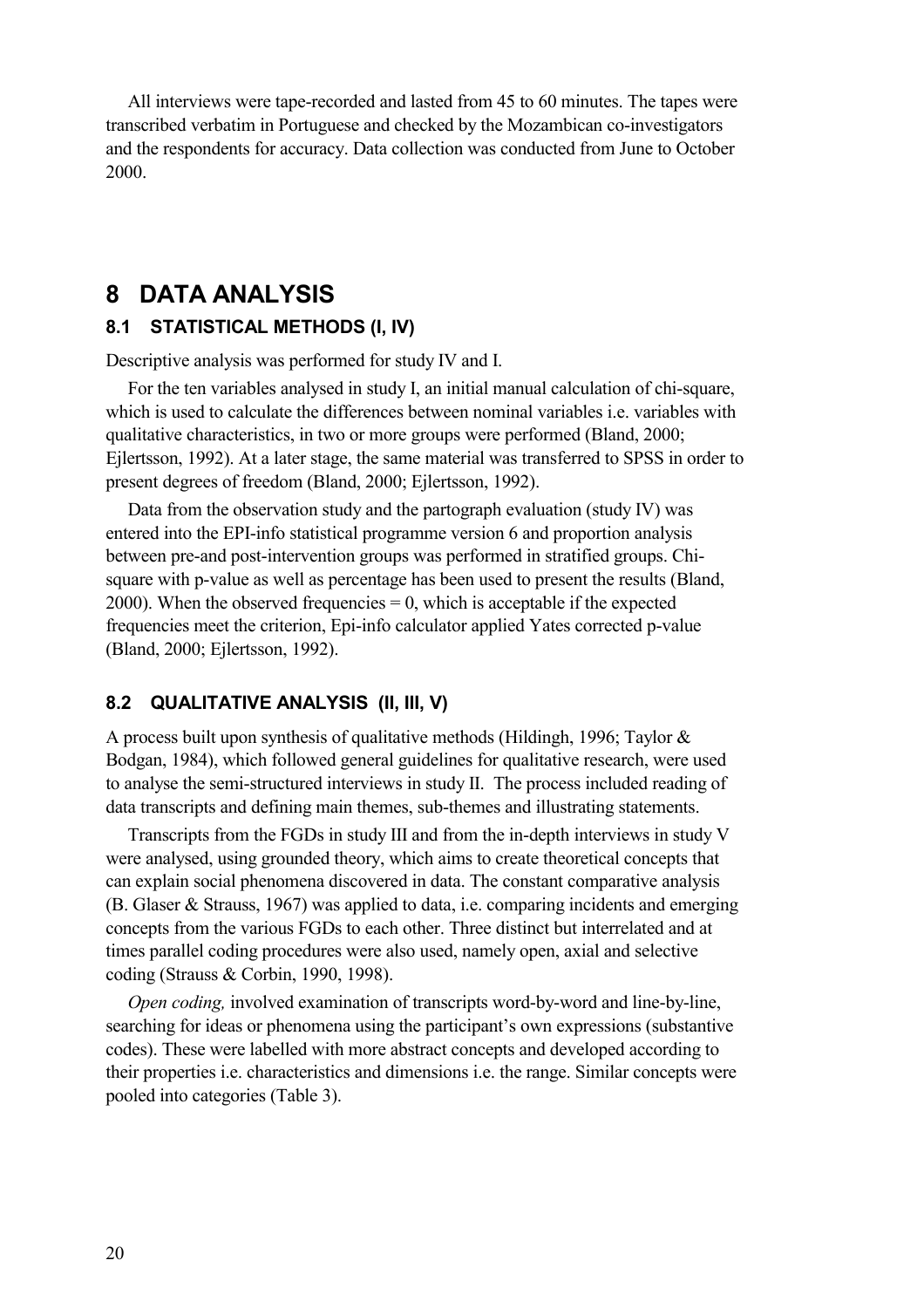All interviews were tape-recorded and lasted from 45 to 60 minutes. The tapes were transcribed verbatim in Portuguese and checked by the Mozambican co-investigators and the respondents for accuracy. Data collection was conducted from June to October 2000.

## **8 DATA ANALYSIS**

#### **8.1 STATISTICAL METHODS (I, IV)**

Descriptive analysis was performed for study IV and I.

For the ten variables analysed in study I, an initial manual calculation of chi-square, which is used to calculate the differences between nominal variables i.e. variables with qualitative characteristics, in two or more groups were performed (Bland, 2000; Ejlertsson, 1992). At a later stage, the same material was transferred to SPSS in order to present degrees of freedom (Bland, 2000; Ejlertsson, 1992).

Data from the observation study and the partograph evaluation (study IV) was entered into the EPI-info statistical programme version 6 and proportion analysis between pre-and post-intervention groups was performed in stratified groups. Chisquare with p-value as well as percentage has been used to present the results (Bland, 2000). When the observed frequencies  $= 0$ , which is acceptable if the expected frequencies meet the criterion, Epi-info calculator applied Yates corrected p-value (Bland, 2000; Ejlertsson, 1992).

#### **8.2 QUALITATIVE ANALYSIS (II, III, V)**

A process built upon synthesis of qualitative methods (Hildingh, 1996; Taylor & Bodgan, 1984), which followed general guidelines for qualitative research, were used to analyse the semi-structured interviews in study II. The process included reading of data transcripts and defining main themes, sub-themes and illustrating statements.

Transcripts from the FGDs in study III and from the in-depth interviews in study V were analysed, using grounded theory, which aims to create theoretical concepts that can explain social phenomena discovered in data. The constant comparative analysis (B. Glaser & Strauss, 1967) was applied to data, i.e. comparing incidents and emerging concepts from the various FGDs to each other. Three distinct but interrelated and at times parallel coding procedures were also used, namely open, axial and selective coding (Strauss & Corbin, 1990, 1998).

*Open coding,* involved examination of transcripts word-by-word and line-by-line, searching for ideas or phenomena using the participant's own expressions (substantive codes). These were labelled with more abstract concepts and developed according to their properties i.e. characteristics and dimensions i.e. the range. Similar concepts were pooled into categories (Table 3).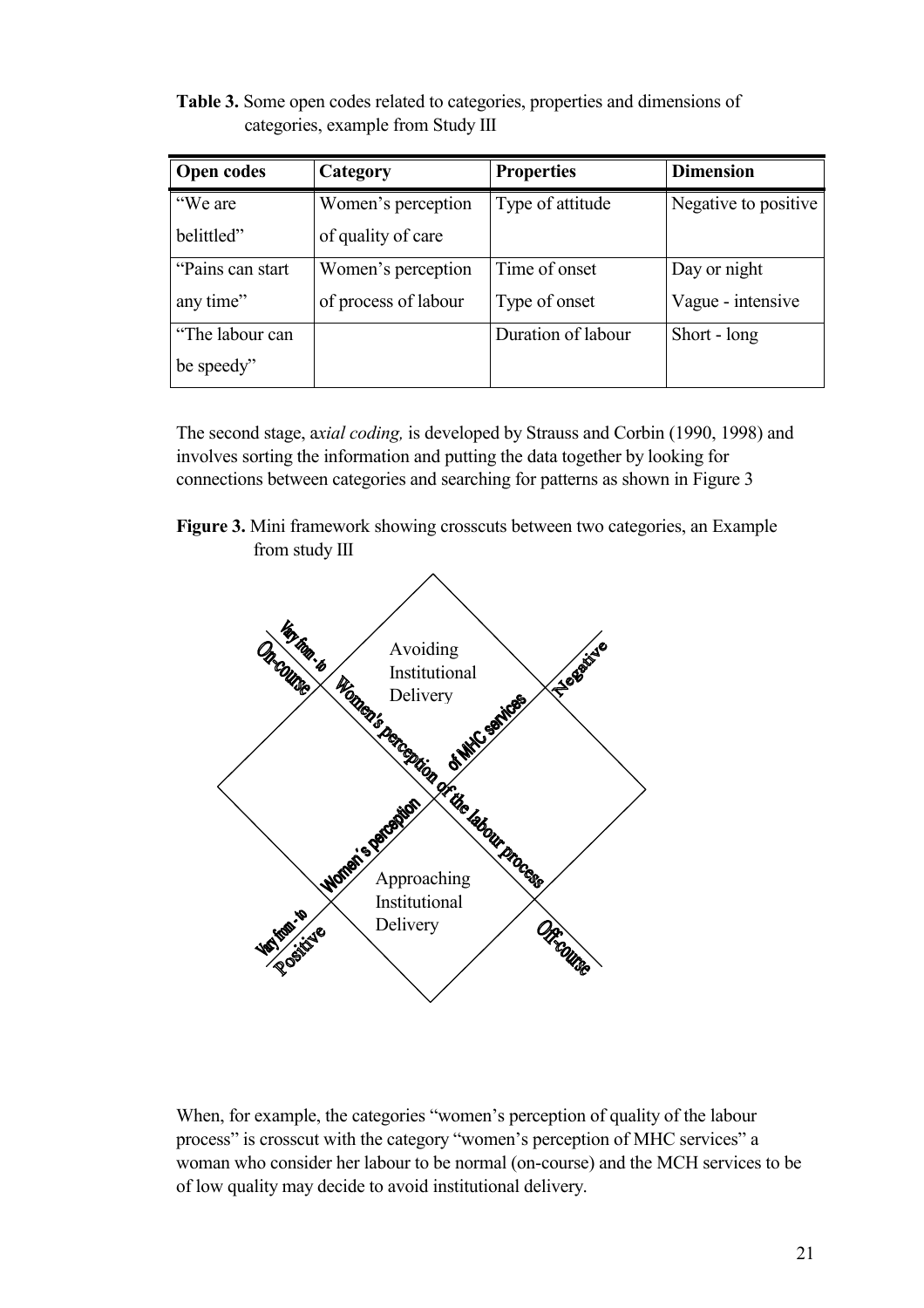**Table 3.** Some open codes related to categories, properties and dimensions of categories, example from Study III

| <b>Open codes</b> | Category             | <b>Properties</b>  | <b>Dimension</b>     |
|-------------------|----------------------|--------------------|----------------------|
| "We are           | Women's perception   | Type of attitude   | Negative to positive |
| belittled"        | of quality of care   |                    |                      |
| "Pains can start  | Women's perception   | Time of onset      | Day or night         |
| any time"         | of process of labour | Type of onset      | Vague - intensive    |
| "The labour can   |                      | Duration of labour | Short - long         |
| be speedy"        |                      |                    |                      |

The second stage, a*xial coding,* is developed by Strauss and Corbin (1990, 1998) and involves sorting the information and putting the data together by looking for connections between categories and searching for patterns as shown in Figure 3

**Figure 3.** Mini framework showing crosscuts between two categories, an Example from study III



When, for example, the categories "women's perception of quality of the labour process" is crosscut with the category "women's perception of MHC services" a woman who consider her labour to be normal (on-course) and the MCH services to be of low quality may decide to avoid institutional delivery.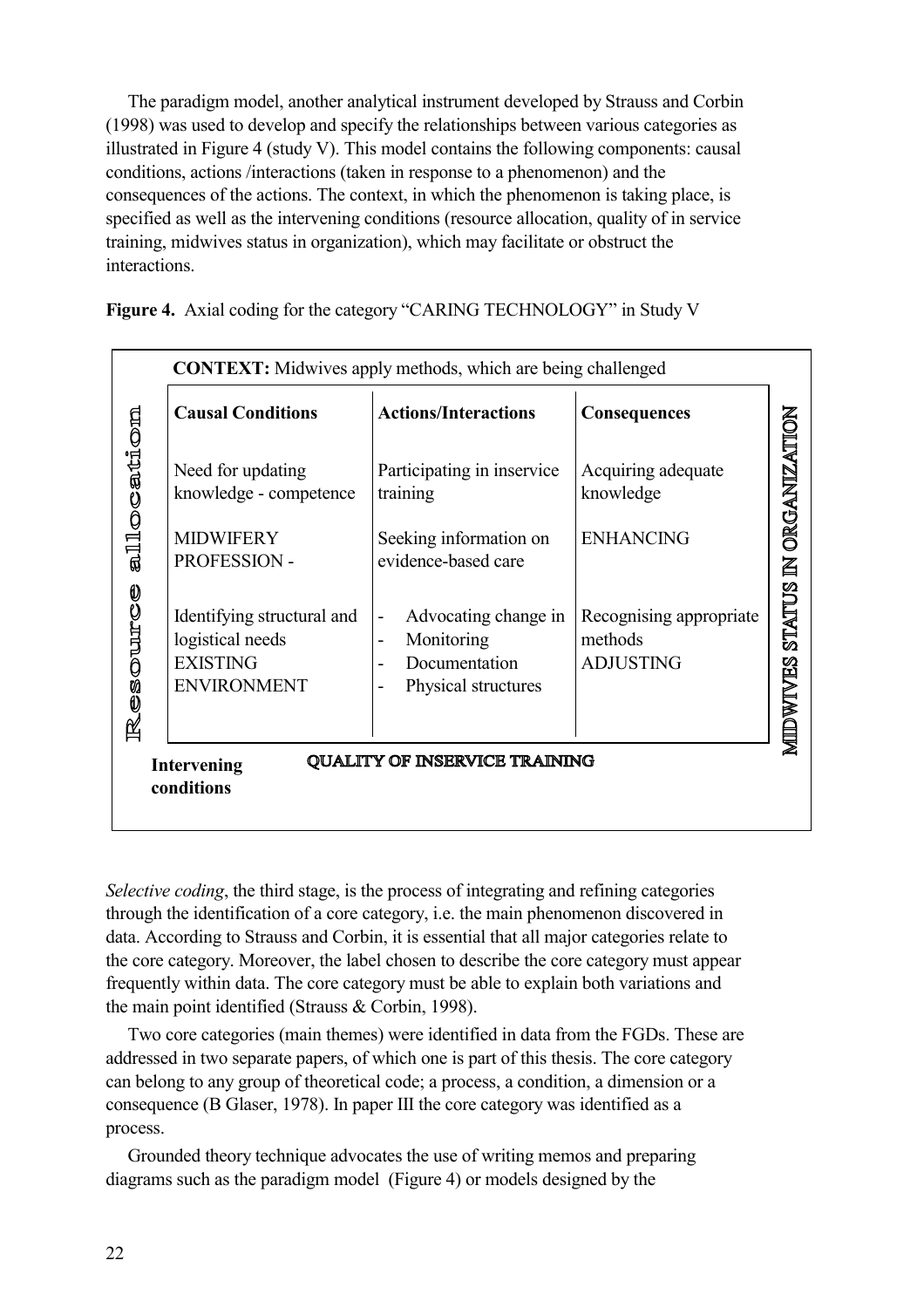The paradigm model, another analytical instrument developed by Strauss and Corbin (1998) was used to develop and specify the relationships between various categories as illustrated in Figure 4 (study V). This model contains the following components: causal conditions, actions /interactions (taken in response to a phenomenon) and the consequences of the actions. The context, in which the phenomenon is taking place, is specified as well as the intervening conditions (resource allocation, quality of in service training, midwives status in organization), which may facilitate or obstruct the interactions.

**Figure 4.** Axial coding for the category "CARING TECHNOLOGY" in Study V

|                                                                          |                                                                                         | <b>CONTEXT:</b> Midwives apply methods, which are being challenged                                                                         |                                                        |                    |
|--------------------------------------------------------------------------|-----------------------------------------------------------------------------------------|--------------------------------------------------------------------------------------------------------------------------------------------|--------------------------------------------------------|--------------------|
|                                                                          | <b>Causal Conditions</b>                                                                | <b>Actions/Interactions</b>                                                                                                                | <b>Consequences</b>                                    |                    |
| allocation                                                               | Need for updating<br>knowledge - competence                                             | Participating in inservice<br>training                                                                                                     | Acquiring adequate<br>knowledge                        | IN ORGANIZATION    |
|                                                                          | <b>MIDWIFERY</b><br>PROFESSION -                                                        | Seeking information on<br>evidence-based care                                                                                              | <b>ENHANCING</b>                                       |                    |
| CONDICAT<br>囶                                                            | Identifying structural and<br>logistical needs<br><b>EXISTING</b><br><b>ENVIRONMENT</b> | Advocating change in<br>$\qquad \qquad \blacksquare$<br>Monitoring<br>Documentation<br>Physical structures<br>$\qquad \qquad \blacksquare$ | Recognising appropriate<br>methods<br><b>ADJUSTING</b> | STATUS<br>MIDWIVES |
| <b>QUALITY OF INSERVICE TRAINING</b><br><b>Intervening</b><br>conditions |                                                                                         |                                                                                                                                            |                                                        |                    |
|                                                                          |                                                                                         |                                                                                                                                            |                                                        |                    |

*Selective coding*, the third stage, is the process of integrating and refining categories through the identification of a core category, i.e. the main phenomenon discovered in data. According to Strauss and Corbin, it is essential that all major categories relate to the core category. Moreover, the label chosen to describe the core category must appear frequently within data. The core category must be able to explain both variations and the main point identified (Strauss & Corbin, 1998).

Two core categories (main themes) were identified in data from the FGDs. These are addressed in two separate papers, of which one is part of this thesis. The core category can belong to any group of theoretical code; a process, a condition, a dimension or a consequence (B Glaser, 1978). In paper III the core category was identified as a process.

Grounded theory technique advocates the use of writing memos and preparing diagrams such as the paradigm model (Figure 4) or models designed by the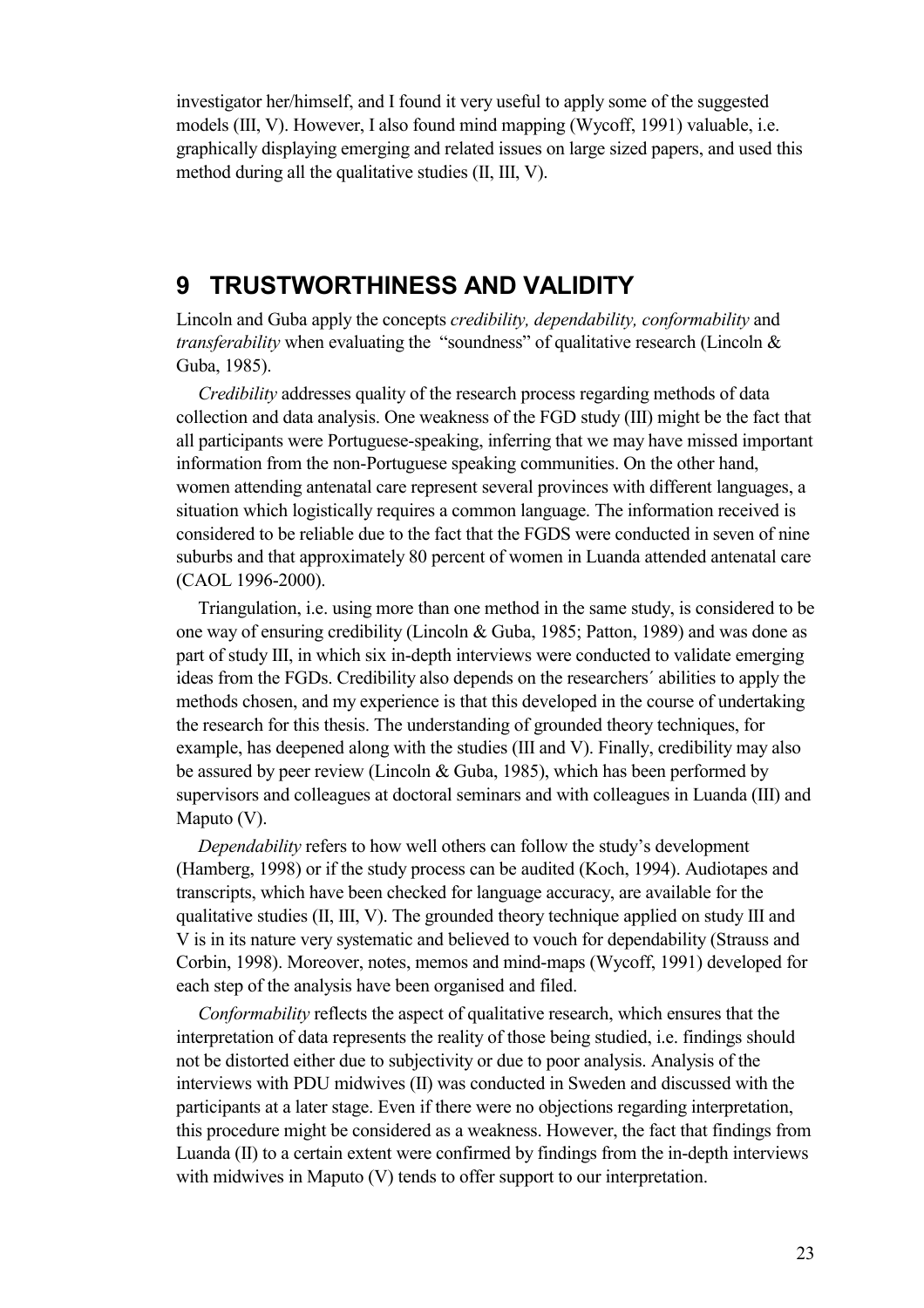investigator her/himself, and I found it very useful to apply some of the suggested models (III, V). However, I also found mind mapping (Wycoff, 1991) valuable, i.e. graphically displaying emerging and related issues on large sized papers, and used this method during all the qualitative studies (II, III, V).

## **9 TRUSTWORTHINESS AND VALIDITY**

Lincoln and Guba apply the concepts *credibility, dependability, conformability* and *transferability* when evaluating the "soundness" of qualitative research (Lincoln & Guba, 1985).

*Credibility* addresses quality of the research process regarding methods of data collection and data analysis. One weakness of the FGD study (III) might be the fact that all participants were Portuguese-speaking, inferring that we may have missed important information from the non-Portuguese speaking communities. On the other hand, women attending antenatal care represent several provinces with different languages, a situation which logistically requires a common language. The information received is considered to be reliable due to the fact that the FGDS were conducted in seven of nine suburbs and that approximately 80 percent of women in Luanda attended antenatal care (CAOL 1996-2000).

Triangulation, i.e. using more than one method in the same study, is considered to be one way of ensuring credibility (Lincoln & Guba, 1985; Patton, 1989) and was done as part of study III, in which six in-depth interviews were conducted to validate emerging ideas from the FGDs. Credibility also depends on the researchers´ abilities to apply the methods chosen, and my experience is that this developed in the course of undertaking the research for this thesis. The understanding of grounded theory techniques, for example, has deepened along with the studies (III and V). Finally, credibility may also be assured by peer review (Lincoln & Guba, 1985), which has been performed by supervisors and colleagues at doctoral seminars and with colleagues in Luanda (III) and Maputo (V).

*Dependability* refers to how well others can follow the study's development (Hamberg, 1998) or if the study process can be audited (Koch, 1994). Audiotapes and transcripts, which have been checked for language accuracy, are available for the qualitative studies (II, III, V). The grounded theory technique applied on study III and V is in its nature very systematic and believed to vouch for dependability (Strauss and Corbin, 1998). Moreover, notes, memos and mind-maps (Wycoff, 1991) developed for each step of the analysis have been organised and filed.

*Conformability* reflects the aspect of qualitative research, which ensures that the interpretation of data represents the reality of those being studied, i.e. findings should not be distorted either due to subjectivity or due to poor analysis. Analysis of the interviews with PDU midwives (II) was conducted in Sweden and discussed with the participants at a later stage. Even if there were no objections regarding interpretation, this procedure might be considered as a weakness. However, the fact that findings from Luanda (II) to a certain extent were confirmed by findings from the in-depth interviews with midwives in Maputo (V) tends to offer support to our interpretation.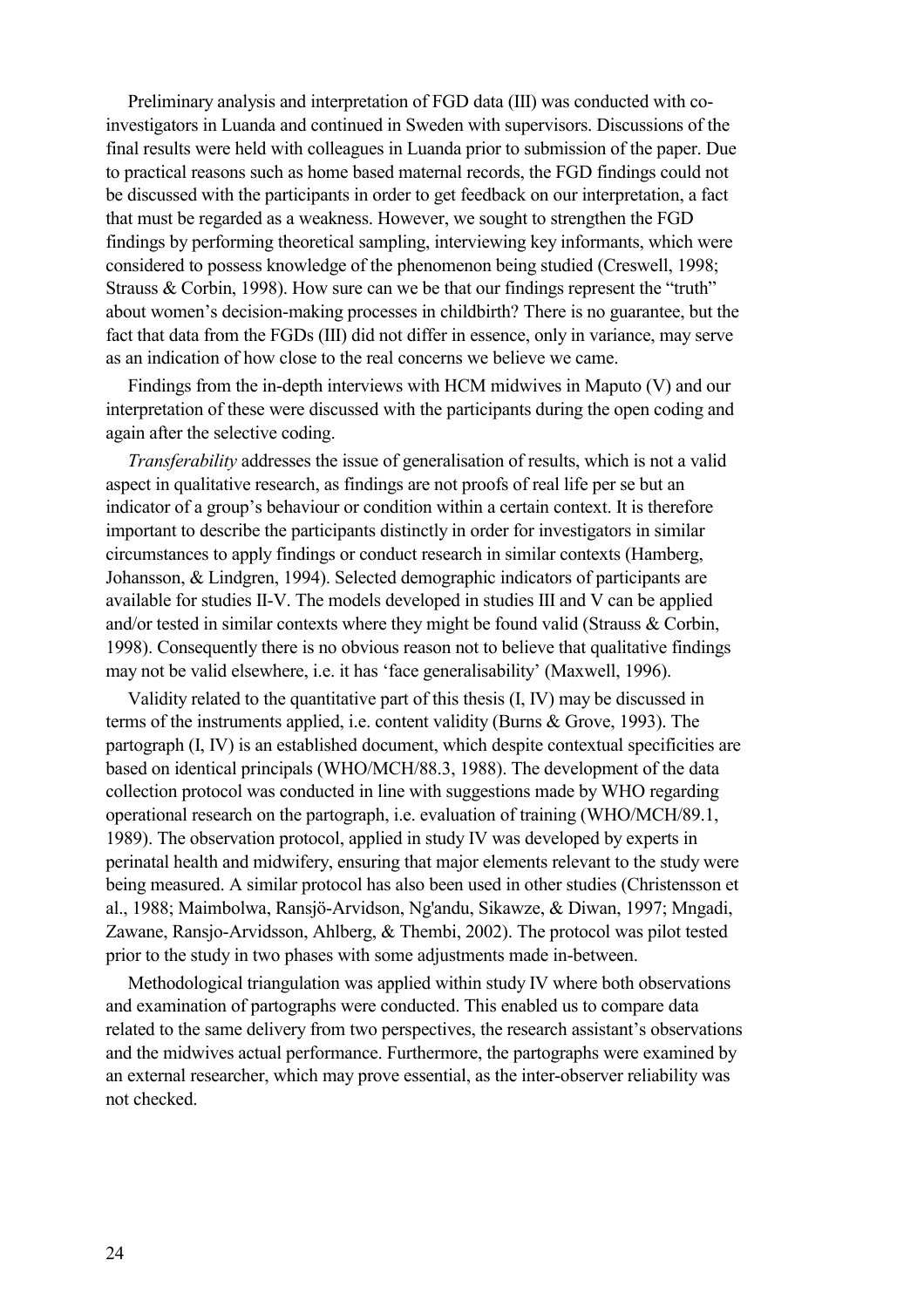Preliminary analysis and interpretation of FGD data (III) was conducted with coinvestigators in Luanda and continued in Sweden with supervisors. Discussions of the final results were held with colleagues in Luanda prior to submission of the paper. Due to practical reasons such as home based maternal records, the FGD findings could not be discussed with the participants in order to get feedback on our interpretation, a fact that must be regarded as a weakness. However, we sought to strengthen the FGD findings by performing theoretical sampling, interviewing key informants, which were considered to possess knowledge of the phenomenon being studied (Creswell, 1998; Strauss & Corbin, 1998). How sure can we be that our findings represent the "truth" about women's decision-making processes in childbirth? There is no guarantee, but the fact that data from the FGDs (III) did not differ in essence, only in variance, may serve as an indication of how close to the real concerns we believe we came.

Findings from the in-depth interviews with HCM midwives in Maputo (V) and our interpretation of these were discussed with the participants during the open coding and again after the selective coding.

*Transferability* addresses the issue of generalisation of results, which is not a valid aspect in qualitative research, as findings are not proofs of real life per se but an indicator of a group's behaviour or condition within a certain context. It is therefore important to describe the participants distinctly in order for investigators in similar circumstances to apply findings or conduct research in similar contexts (Hamberg, Johansson, & Lindgren, 1994). Selected demographic indicators of participants are available for studies II-V. The models developed in studies III and V can be applied and/or tested in similar contexts where they might be found valid (Strauss & Corbin, 1998). Consequently there is no obvious reason not to believe that qualitative findings may not be valid elsewhere, i.e. it has 'face generalisability' (Maxwell, 1996).

Validity related to the quantitative part of this thesis (I, IV) may be discussed in terms of the instruments applied, i.e. content validity (Burns & Grove, 1993). The partograph (I, IV) is an established document, which despite contextual specificities are based on identical principals (WHO/MCH/88.3, 1988). The development of the data collection protocol was conducted in line with suggestions made by WHO regarding operational research on the partograph, i.e. evaluation of training (WHO/MCH/89.1, 1989). The observation protocol, applied in study IV was developed by experts in perinatal health and midwifery, ensuring that major elements relevant to the study were being measured. A similar protocol has also been used in other studies (Christensson et al., 1988; Maimbolwa, Ransjö-Arvidson, Ng'andu, Sikawze, & Diwan, 1997; Mngadi, Zawane, Ransjo-Arvidsson, Ahlberg, & Thembi, 2002). The protocol was pilot tested prior to the study in two phases with some adjustments made in-between.

Methodological triangulation was applied within study IV where both observations and examination of partographs were conducted. This enabled us to compare data related to the same delivery from two perspectives, the research assistant's observations and the midwives actual performance. Furthermore, the partographs were examined by an external researcher, which may prove essential, as the inter-observer reliability was not checked.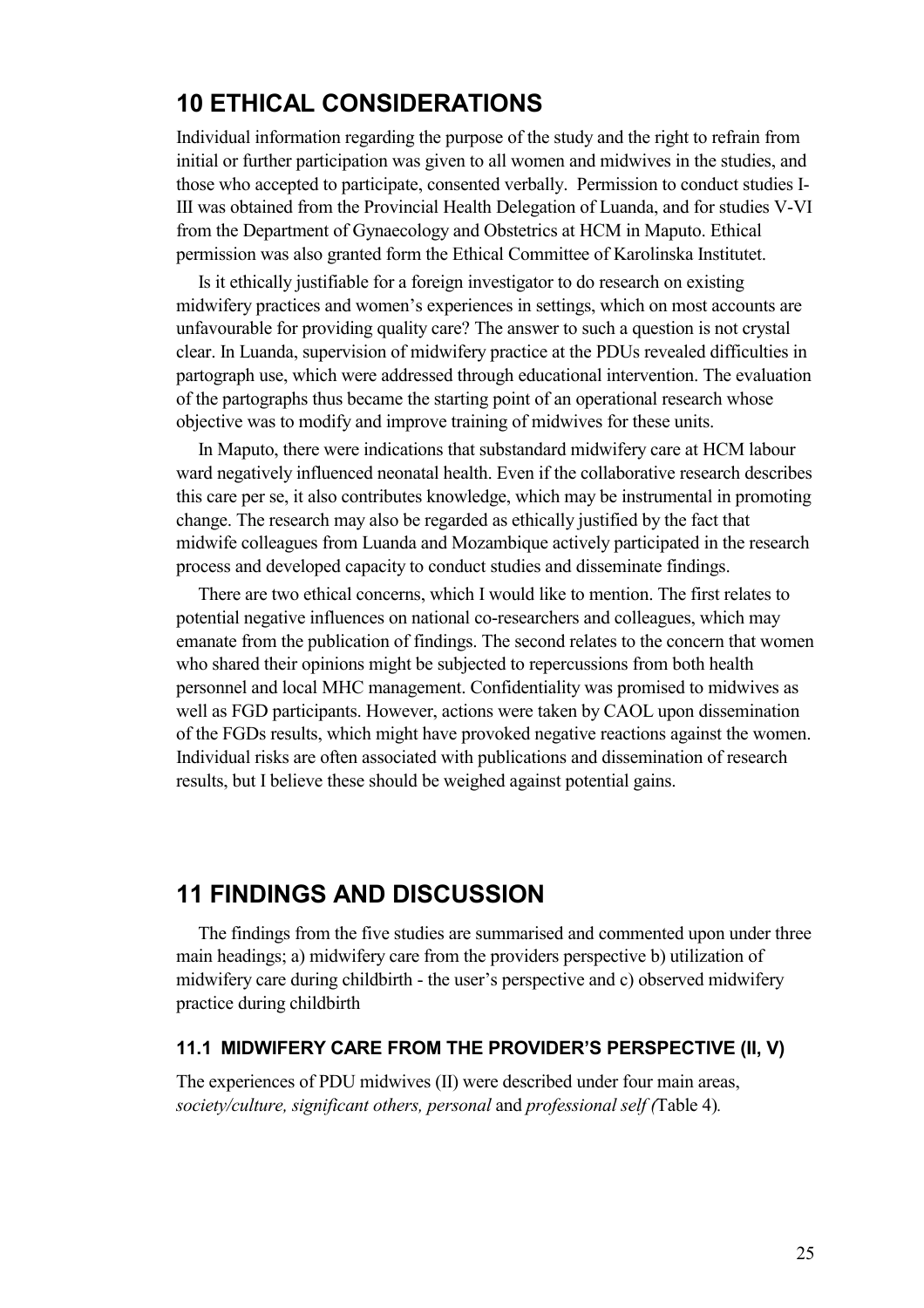## **10 ETHICAL CONSIDERATIONS**

Individual information regarding the purpose of the study and the right to refrain from initial or further participation was given to all women and midwives in the studies, and those who accepted to participate, consented verbally. Permission to conduct studies I-III was obtained from the Provincial Health Delegation of Luanda, and for studies V-VI from the Department of Gynaecology and Obstetrics at HCM in Maputo. Ethical permission was also granted form the Ethical Committee of Karolinska Institutet.

Is it ethically justifiable for a foreign investigator to do research on existing midwifery practices and women's experiences in settings, which on most accounts are unfavourable for providing quality care? The answer to such a question is not crystal clear. In Luanda, supervision of midwifery practice at the PDUs revealed difficulties in partograph use, which were addressed through educational intervention. The evaluation of the partographs thus became the starting point of an operational research whose objective was to modify and improve training of midwives for these units.

In Maputo, there were indications that substandard midwifery care at HCM labour ward negatively influenced neonatal health. Even if the collaborative research describes this care per se, it also contributes knowledge, which may be instrumental in promoting change. The research may also be regarded as ethically justified by the fact that midwife colleagues from Luanda and Mozambique actively participated in the research process and developed capacity to conduct studies and disseminate findings.

There are two ethical concerns, which I would like to mention. The first relates to potential negative influences on national co-researchers and colleagues, which may emanate from the publication of findings. The second relates to the concern that women who shared their opinions might be subjected to repercussions from both health personnel and local MHC management. Confidentiality was promised to midwives as well as FGD participants. However, actions were taken by CAOL upon dissemination of the FGDs results, which might have provoked negative reactions against the women. Individual risks are often associated with publications and dissemination of research results, but I believe these should be weighed against potential gains.

## **11 FINDINGS AND DISCUSSION**

The findings from the five studies are summarised and commented upon under three main headings; a) midwifery care from the providers perspective b) utilization of midwifery care during childbirth - the user's perspective and c) observed midwifery practice during childbirth

#### **11.1 MIDWIFERY CARE FROM THE PROVIDER'S PERSPECTIVE (II, V)**

The experiences of PDU midwives (II) were described under four main areas, *society/culture, significant others, personal* and *professional self (*Table 4)*.*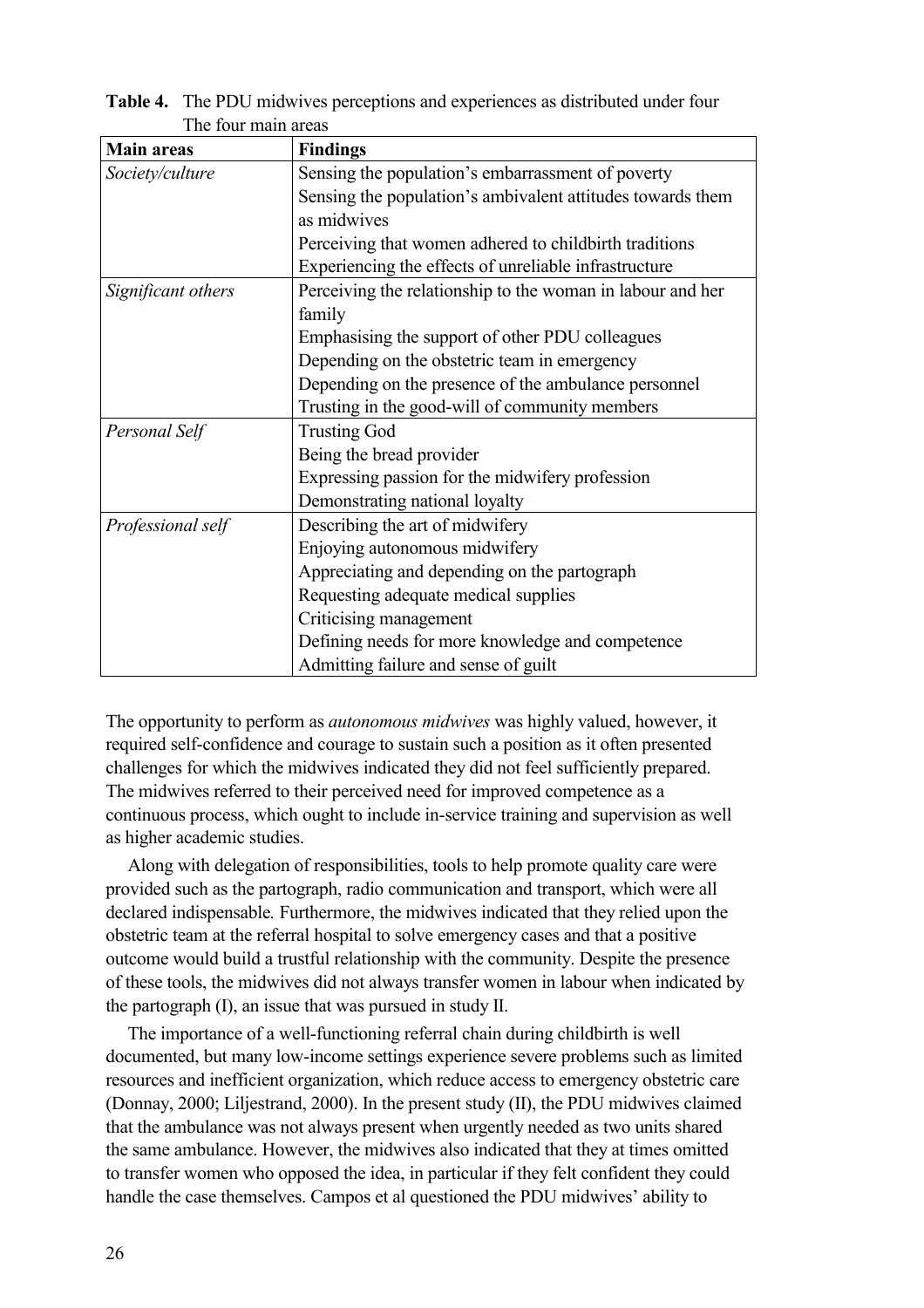| <b>Main areas</b>  | <b>Findings</b>                                            |
|--------------------|------------------------------------------------------------|
| Society/culture    | Sensing the population's embarrassment of poverty          |
|                    | Sensing the population's ambivalent attitudes towards them |
|                    | as midwives                                                |
|                    | Perceiving that women adhered to childbirth traditions     |
|                    | Experiencing the effects of unreliable infrastructure      |
| Significant others | Perceiving the relationship to the woman in labour and her |
|                    | family                                                     |
|                    | Emphasising the support of other PDU colleagues            |
|                    | Depending on the obstetric team in emergency               |
|                    | Depending on the presence of the ambulance personnel       |
|                    | Trusting in the good-will of community members             |
| Personal Self      | <b>Trusting God</b>                                        |
|                    | Being the bread provider                                   |
|                    | Expressing passion for the midwifery profession            |
|                    | Demonstrating national loyalty                             |
| Professional self  | Describing the art of midwifery                            |
|                    | Enjoying autonomous midwifery                              |
|                    | Appreciating and depending on the partograph               |
|                    | Requesting adequate medical supplies                       |
|                    | Criticising management                                     |
|                    | Defining needs for more knowledge and competence           |
|                    | Admitting failure and sense of guilt                       |

**Table 4.** The PDU midwives perceptions and experiences as distributed under four The four main areas

The opportunity to perform as *autonomous midwives* was highly valued, however, it required self-confidence and courage to sustain such a position as it often presented challenges for which the midwives indicated they did not feel sufficiently prepared. The midwives referred to their perceived need for improved competence as a continuous process, which ought to include in-service training and supervision as well as higher academic studies.

Along with delegation of responsibilities, tools to help promote quality care were provided such as the partograph, radio communication and transport, which were all declared indispensable*.* Furthermore, the midwives indicated that they relied upon the obstetric team at the referral hospital to solve emergency cases and that a positive outcome would build a trustful relationship with the community. Despite the presence of these tools, the midwives did not always transfer women in labour when indicated by the partograph (I), an issue that was pursued in study II.

The importance of a well-functioning referral chain during childbirth is well documented, but many low-income settings experience severe problems such as limited resources and inefficient organization, which reduce access to emergency obstetric care (Donnay, 2000; Liljestrand, 2000). In the present study (II), the PDU midwives claimed that the ambulance was not always present when urgently needed as two units shared the same ambulance. However, the midwives also indicated that they at times omitted to transfer women who opposed the idea, in particular if they felt confident they could handle the case themselves. Campos et al questioned the PDU midwives' ability to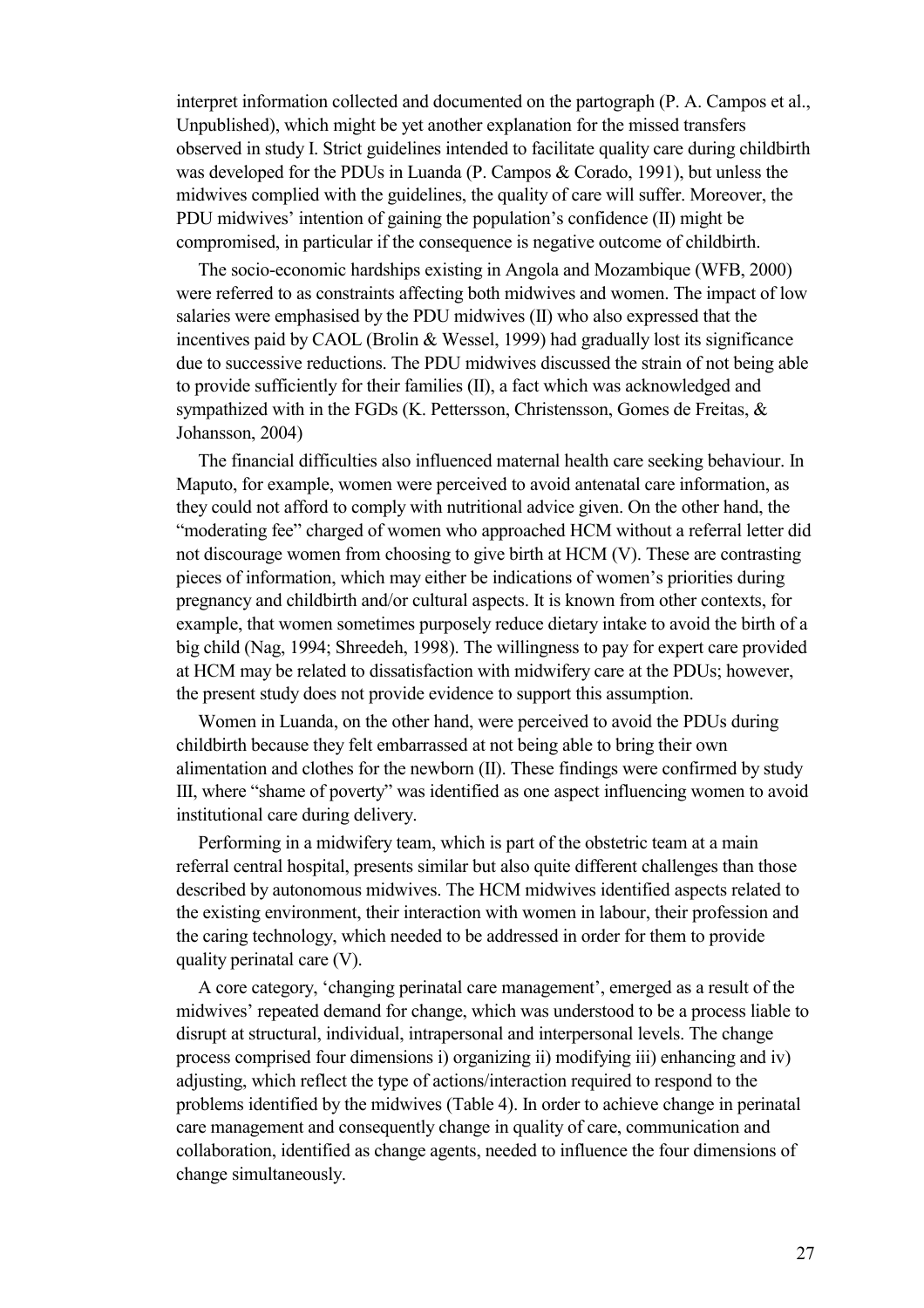interpret information collected and documented on the partograph (P. A. Campos et al., Unpublished), which might be yet another explanation for the missed transfers observed in study I. Strict guidelines intended to facilitate quality care during childbirth was developed for the PDUs in Luanda (P. Campos & Corado, 1991), but unless the midwives complied with the guidelines, the quality of care will suffer. Moreover, the PDU midwives' intention of gaining the population's confidence (II) might be compromised, in particular if the consequence is negative outcome of childbirth.

The socio-economic hardships existing in Angola and Mozambique (WFB, 2000) were referred to as constraints affecting both midwives and women. The impact of low salaries were emphasised by the PDU midwives (II) who also expressed that the incentives paid by CAOL (Brolin & Wessel, 1999) had gradually lost its significance due to successive reductions. The PDU midwives discussed the strain of not being able to provide sufficiently for their families (II), a fact which was acknowledged and sympathized with in the FGDs (K. Pettersson, Christensson, Gomes de Freitas, & Johansson, 2004)

The financial difficulties also influenced maternal health care seeking behaviour. In Maputo, for example, women were perceived to avoid antenatal care information, as they could not afford to comply with nutritional advice given. On the other hand, the "moderating fee" charged of women who approached HCM without a referral letter did not discourage women from choosing to give birth at HCM (V). These are contrasting pieces of information, which may either be indications of women's priorities during pregnancy and childbirth and/or cultural aspects. It is known from other contexts, for example, that women sometimes purposely reduce dietary intake to avoid the birth of a big child (Nag, 1994; Shreedeh, 1998). The willingness to pay for expert care provided at HCM may be related to dissatisfaction with midwifery care at the PDUs; however, the present study does not provide evidence to support this assumption.

Women in Luanda, on the other hand, were perceived to avoid the PDUs during childbirth because they felt embarrassed at not being able to bring their own alimentation and clothes for the newborn (II). These findings were confirmed by study III, where "shame of poverty" was identified as one aspect influencing women to avoid institutional care during delivery.

Performing in a midwifery team, which is part of the obstetric team at a main referral central hospital, presents similar but also quite different challenges than those described by autonomous midwives. The HCM midwives identified aspects related to the existing environment, their interaction with women in labour, their profession and the caring technology, which needed to be addressed in order for them to provide quality perinatal care (V).

A core category, 'changing perinatal care management', emerged as a result of the midwives' repeated demand for change, which was understood to be a process liable to disrupt at structural, individual, intrapersonal and interpersonal levels. The change process comprised four dimensions i) organizing ii) modifying iii) enhancing and iv) adjusting, which reflect the type of actions/interaction required to respond to the problems identified by the midwives (Table 4). In order to achieve change in perinatal care management and consequently change in quality of care, communication and collaboration, identified as change agents, needed to influence the four dimensions of change simultaneously.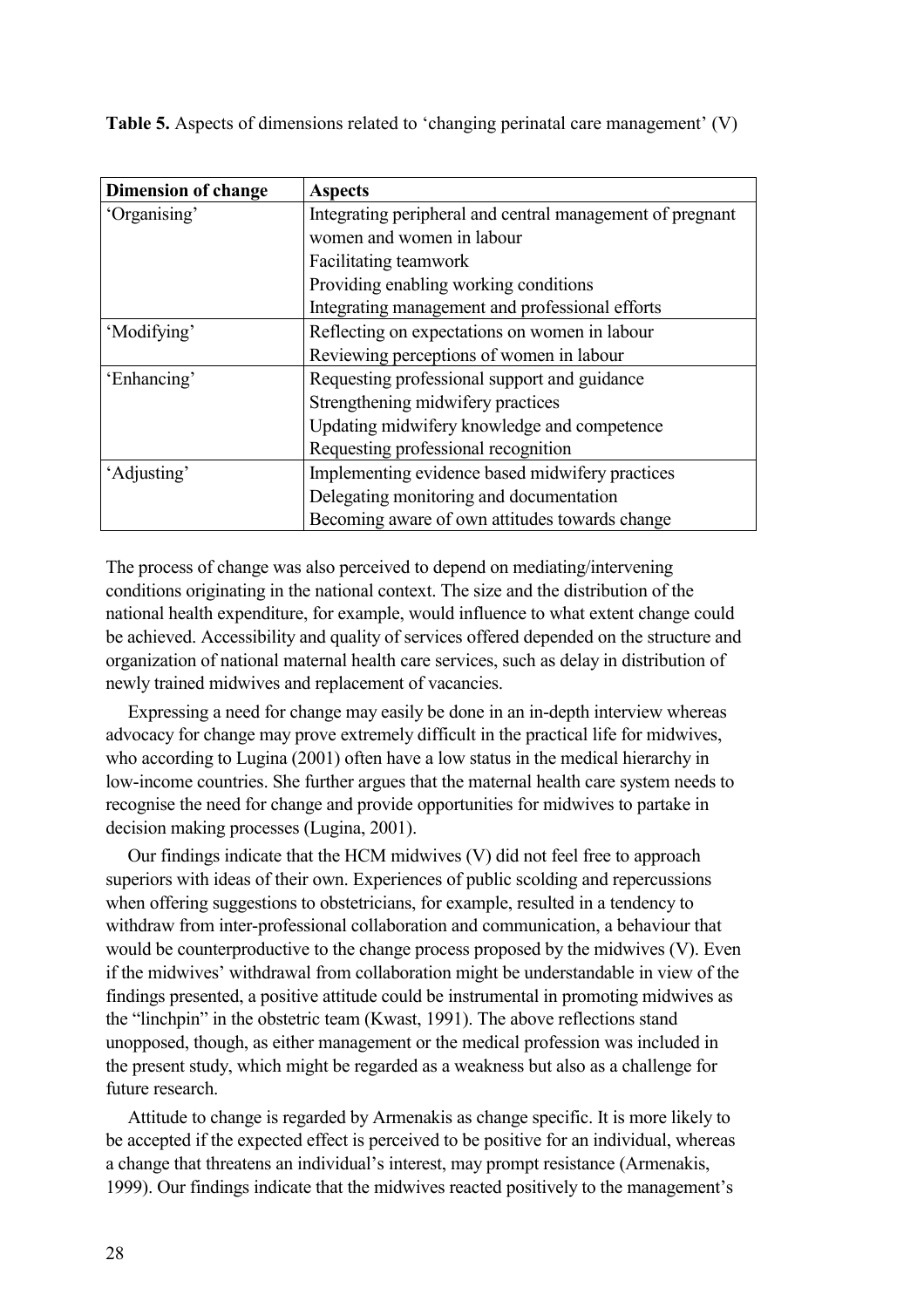**Table 5.** Aspects of dimensions related to 'changing perinatal care management' (V)

| <b>Dimension of change</b> | <b>Aspects</b>                                            |
|----------------------------|-----------------------------------------------------------|
| 'Organising'               | Integrating peripheral and central management of pregnant |
|                            | women and women in labour                                 |
|                            | Facilitating teamwork                                     |
|                            | Providing enabling working conditions                     |
|                            | Integrating management and professional efforts           |
| 'Modifying'                | Reflecting on expectations on women in labour             |
|                            | Reviewing perceptions of women in labour                  |
| 'Enhancing'                | Requesting professional support and guidance              |
|                            | Strengthening midwifery practices                         |
|                            | Updating midwifery knowledge and competence               |
|                            | Requesting professional recognition                       |
| 'Adjusting'                | Implementing evidence based midwifery practices           |
|                            | Delegating monitoring and documentation                   |
|                            | Becoming aware of own attitudes towards change            |

The process of change was also perceived to depend on mediating/intervening conditions originating in the national context. The size and the distribution of the national health expenditure, for example, would influence to what extent change could be achieved. Accessibility and quality of services offered depended on the structure and organization of national maternal health care services, such as delay in distribution of newly trained midwives and replacement of vacancies.

Expressing a need for change may easily be done in an in-depth interview whereas advocacy for change may prove extremely difficult in the practical life for midwives, who according to Lugina (2001) often have a low status in the medical hierarchy in low-income countries. She further argues that the maternal health care system needs to recognise the need for change and provide opportunities for midwives to partake in decision making processes (Lugina, 2001).

Our findings indicate that the HCM midwives (V) did not feel free to approach superiors with ideas of their own. Experiences of public scolding and repercussions when offering suggestions to obstetricians, for example, resulted in a tendency to withdraw from inter-professional collaboration and communication, a behaviour that would be counterproductive to the change process proposed by the midwives (V). Even if the midwives' withdrawal from collaboration might be understandable in view of the findings presented, a positive attitude could be instrumental in promoting midwives as the "linchpin" in the obstetric team (Kwast, 1991). The above reflections stand unopposed, though, as either management or the medical profession was included in the present study, which might be regarded as a weakness but also as a challenge for future research.

Attitude to change is regarded by Armenakis as change specific. It is more likely to be accepted if the expected effect is perceived to be positive for an individual, whereas a change that threatens an individual's interest, may prompt resistance (Armenakis, 1999). Our findings indicate that the midwives reacted positively to the management's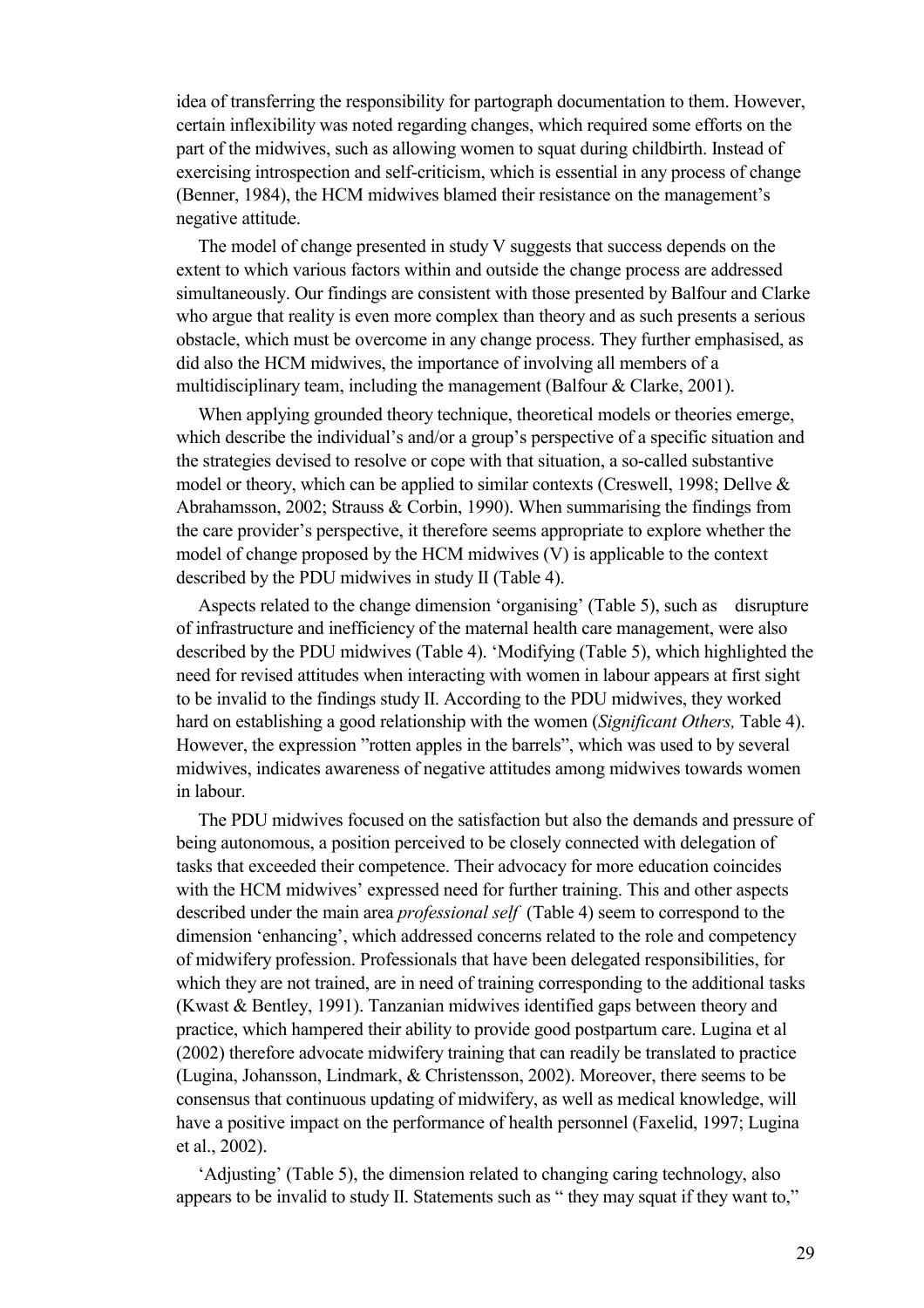idea of transferring the responsibility for partograph documentation to them. However, certain inflexibility was noted regarding changes, which required some efforts on the part of the midwives, such as allowing women to squat during childbirth. Instead of exercising introspection and self-criticism, which is essential in any process of change (Benner, 1984), the HCM midwives blamed their resistance on the management's negative attitude.

The model of change presented in study V suggests that success depends on the extent to which various factors within and outside the change process are addressed simultaneously. Our findings are consistent with those presented by Balfour and Clarke who argue that reality is even more complex than theory and as such presents a serious obstacle, which must be overcome in any change process. They further emphasised, as did also the HCM midwives, the importance of involving all members of a multidisciplinary team, including the management (Balfour  $\&$  Clarke, 2001).

When applying grounded theory technique, theoretical models or theories emerge, which describe the individual's and/or a group's perspective of a specific situation and the strategies devised to resolve or cope with that situation, a so-called substantive model or theory, which can be applied to similar contexts (Creswell, 1998; Dellve & Abrahamsson, 2002; Strauss & Corbin, 1990). When summarising the findings from the care provider's perspective, it therefore seems appropriate to explore whether the model of change proposed by the HCM midwives (V) is applicable to the context described by the PDU midwives in study II (Table 4).

Aspects related to the change dimension 'organising' (Table 5), such as disrupture of infrastructure and inefficiency of the maternal health care management, were also described by the PDU midwives (Table 4). 'Modifying (Table 5), which highlighted the need for revised attitudes when interacting with women in labour appears at first sight to be invalid to the findings study II. According to the PDU midwives, they worked hard on establishing a good relationship with the women (*Significant Others,* Table 4). However, the expression "rotten apples in the barrels", which was used to by several midwives, indicates awareness of negative attitudes among midwives towards women in labour.

The PDU midwives focused on the satisfaction but also the demands and pressure of being autonomous, a position perceived to be closely connected with delegation of tasks that exceeded their competence. Their advocacy for more education coincides with the HCM midwives' expressed need for further training. This and other aspects described under the main area *professional self* (Table 4) seem to correspond to the dimension 'enhancing', which addressed concerns related to the role and competency of midwifery profession. Professionals that have been delegated responsibilities, for which they are not trained, are in need of training corresponding to the additional tasks (Kwast & Bentley, 1991). Tanzanian midwives identified gaps between theory and practice, which hampered their ability to provide good postpartum care. Lugina et al (2002) therefore advocate midwifery training that can readily be translated to practice (Lugina, Johansson, Lindmark, & Christensson, 2002). Moreover, there seems to be consensus that continuous updating of midwifery, as well as medical knowledge, will have a positive impact on the performance of health personnel (Faxelid, 1997; Lugina et al., 2002).

'Adjusting' (Table 5), the dimension related to changing caring technology, also appears to be invalid to study II. Statements such as " they may squat if they want to,"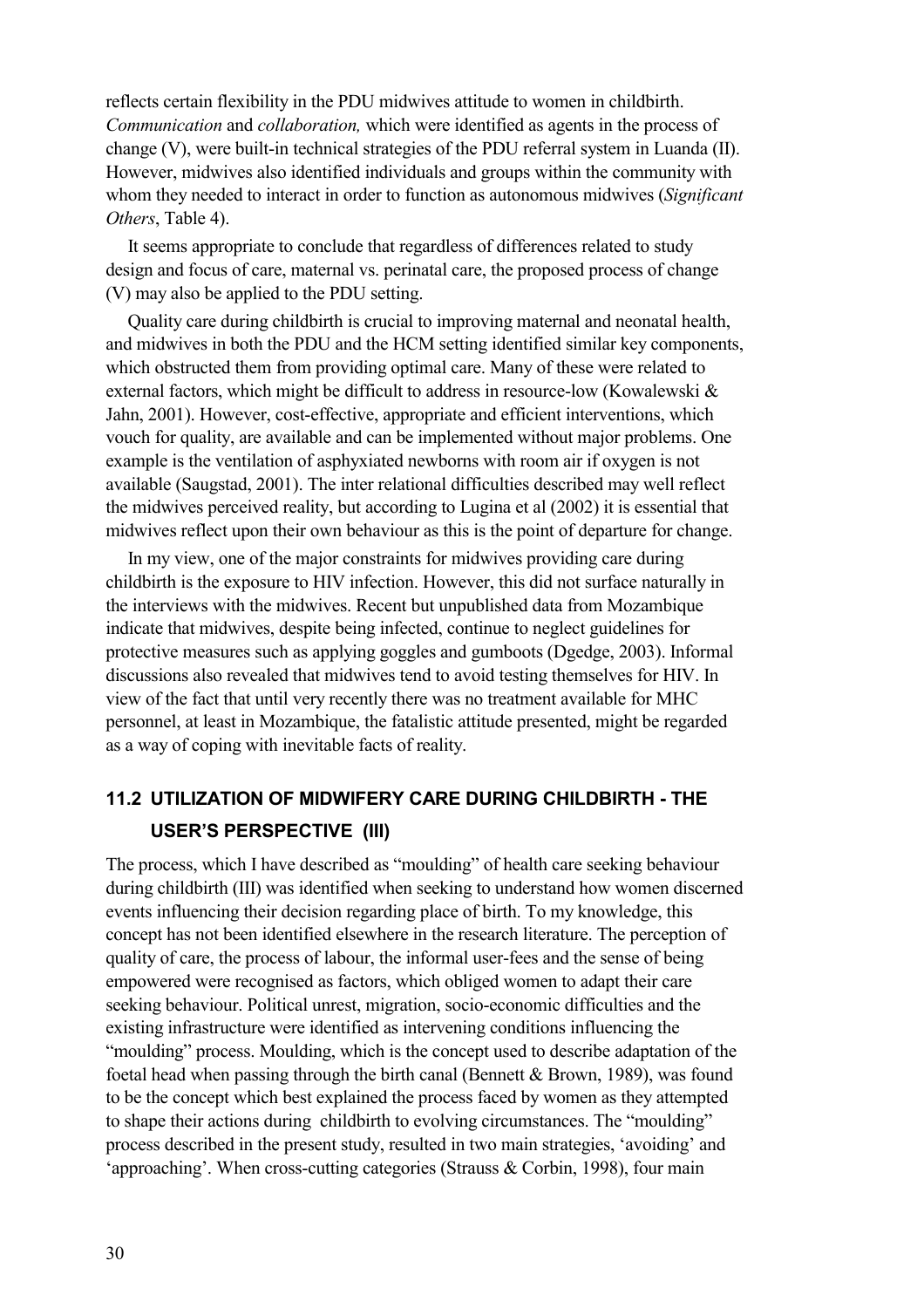reflects certain flexibility in the PDU midwives attitude to women in childbirth. *Communication* and *collaboration,* which were identified as agents in the process of change (V), were built-in technical strategies of the PDU referral system in Luanda (II). However, midwives also identified individuals and groups within the community with whom they needed to interact in order to function as autonomous midwives (*Significant Others*, Table 4).

It seems appropriate to conclude that regardless of differences related to study design and focus of care, maternal vs. perinatal care, the proposed process of change (V) may also be applied to the PDU setting.

Quality care during childbirth is crucial to improving maternal and neonatal health, and midwives in both the PDU and the HCM setting identified similar key components, which obstructed them from providing optimal care. Many of these were related to external factors, which might be difficult to address in resource-low (Kowalewski & Jahn, 2001). However, cost-effective, appropriate and efficient interventions, which vouch for quality, are available and can be implemented without major problems. One example is the ventilation of asphyxiated newborns with room air if oxygen is not available (Saugstad, 2001). The inter relational difficulties described may well reflect the midwives perceived reality, but according to Lugina et al (2002) it is essential that midwives reflect upon their own behaviour as this is the point of departure for change.

In my view, one of the major constraints for midwives providing care during childbirth is the exposure to HIV infection. However, this did not surface naturally in the interviews with the midwives. Recent but unpublished data from Mozambique indicate that midwives, despite being infected, continue to neglect guidelines for protective measures such as applying goggles and gumboots (Dgedge, 2003). Informal discussions also revealed that midwives tend to avoid testing themselves for HIV. In view of the fact that until very recently there was no treatment available for MHC personnel, at least in Mozambique, the fatalistic attitude presented, might be regarded as a way of coping with inevitable facts of reality.

## **11.2 UTILIZATION OF MIDWIFERY CARE DURING CHILDBIRTH - THE USER'S PERSPECTIVE (III)**

The process, which I have described as "moulding" of health care seeking behaviour during childbirth (III) was identified when seeking to understand how women discerned events influencing their decision regarding place of birth. To my knowledge, this concept has not been identified elsewhere in the research literature. The perception of quality of care, the process of labour, the informal user-fees and the sense of being empowered were recognised as factors, which obliged women to adapt their care seeking behaviour. Political unrest, migration, socio-economic difficulties and the existing infrastructure were identified as intervening conditions influencing the "moulding" process. Moulding, which is the concept used to describe adaptation of the foetal head when passing through the birth canal (Bennett & Brown, 1989), was found to be the concept which best explained the process faced by women as they attempted to shape their actions during childbirth to evolving circumstances. The "moulding" process described in the present study, resulted in two main strategies, 'avoiding' and 'approaching'. When cross-cutting categories (Strauss & Corbin, 1998), four main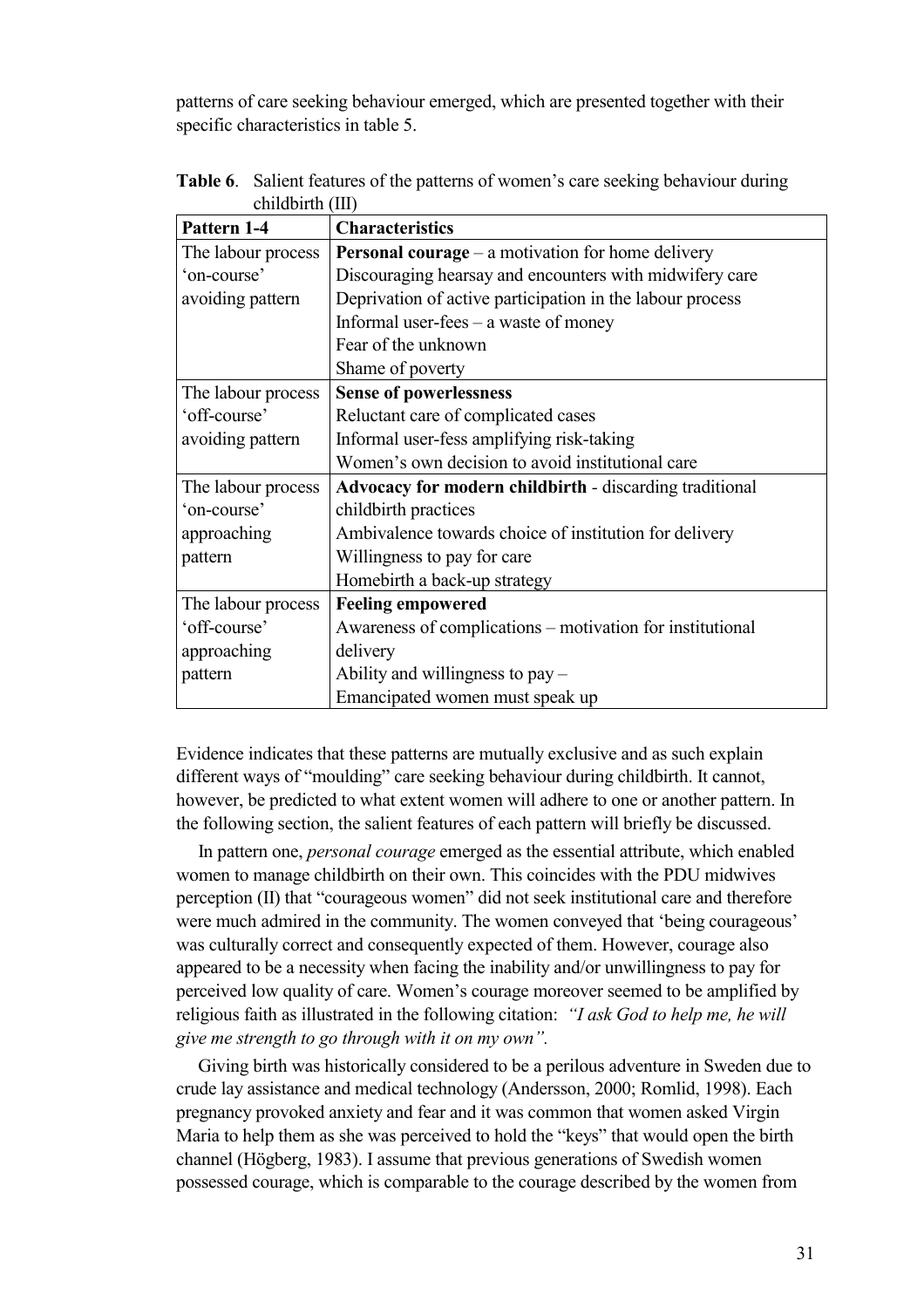patterns of care seeking behaviour emerged, which are presented together with their specific characteristics in table 5.

| Pattern 1-4        | <b>Characteristics</b>                                         |
|--------------------|----------------------------------------------------------------|
| The labour process | <b>Personal courage</b> $-$ a motivation for home delivery     |
| 'on-course'        | Discouraging hearsay and encounters with midwifery care        |
| avoiding pattern   | Deprivation of active participation in the labour process      |
|                    | Informal user-fees $-$ a waste of money                        |
|                    | Fear of the unknown                                            |
|                    | Shame of poverty                                               |
| The labour process | <b>Sense of powerlessness</b>                                  |
| 'off-course'       | Reluctant care of complicated cases                            |
| avoiding pattern   | Informal user-fess amplifying risk-taking                      |
|                    | Women's own decision to avoid institutional care               |
| The labour process | <b>Advocacy for modern childbirth - discarding traditional</b> |
| 'on-course'        | childbirth practices                                           |
| approaching        | Ambivalence towards choice of institution for delivery         |
| pattern            | Willingness to pay for care                                    |
|                    | Homebirth a back-up strategy                                   |
| The labour process | <b>Feeling empowered</b>                                       |
| 'off-course'       | Awareness of complications – motivation for institutional      |
| approaching        | delivery                                                       |
| pattern            | Ability and willingness to $pay -$                             |
|                    | Emancipated women must speak up                                |

**Table 6**. Salient features of the patterns of women's care seeking behaviour during childbirth (III)

Evidence indicates that these patterns are mutually exclusive and as such explain different ways of "moulding" care seeking behaviour during childbirth. It cannot, however, be predicted to what extent women will adhere to one or another pattern. In the following section, the salient features of each pattern will briefly be discussed.

In pattern one, *personal courage* emerged as the essential attribute, which enabled women to manage childbirth on their own. This coincides with the PDU midwives perception (II) that "courageous women" did not seek institutional care and therefore were much admired in the community. The women conveyed that 'being courageous' was culturally correct and consequently expected of them. However, courage also appeared to be a necessity when facing the inability and/or unwillingness to pay for perceived low quality of care. Women's courage moreover seemed to be amplified by religious faith as illustrated in the following citation: *"I ask God to help me, he will give me strength to go through with it on my own".* 

Giving birth was historically considered to be a perilous adventure in Sweden due to crude lay assistance and medical technology (Andersson, 2000; Romlid, 1998). Each pregnancy provoked anxiety and fear and it was common that women asked Virgin Maria to help them as she was perceived to hold the "keys" that would open the birth channel (Högberg, 1983). I assume that previous generations of Swedish women possessed courage, which is comparable to the courage described by the women from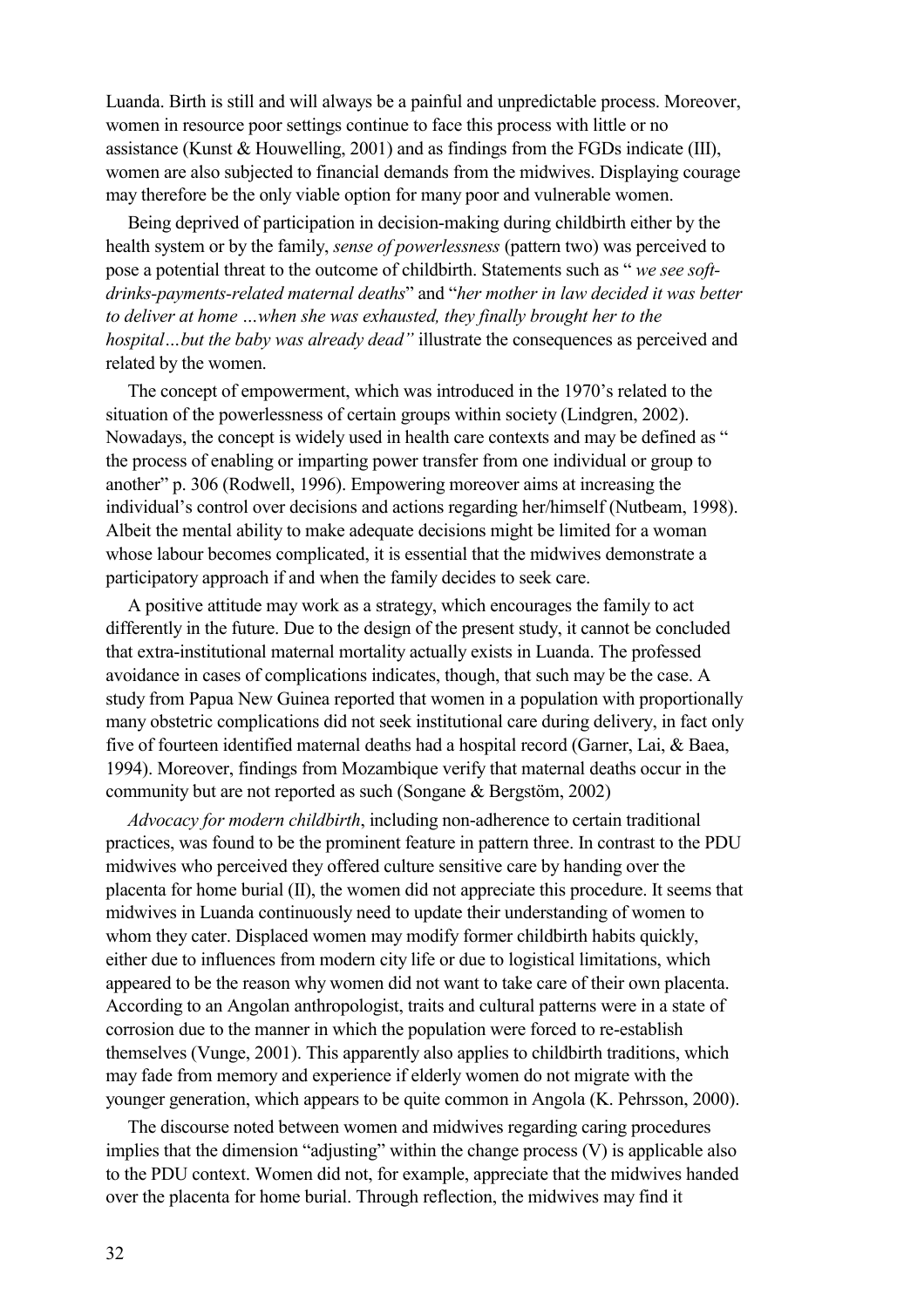Luanda. Birth is still and will always be a painful and unpredictable process. Moreover, women in resource poor settings continue to face this process with little or no assistance (Kunst & Houwelling, 2001) and as findings from the FGDs indicate (III), women are also subjected to financial demands from the midwives. Displaying courage may therefore be the only viable option for many poor and vulnerable women.

Being deprived of participation in decision-making during childbirth either by the health system or by the family, *sense of powerlessness* (pattern two) was perceived to pose a potential threat to the outcome of childbirth. Statements such as " *we see softdrinks-payments-related maternal deaths*" and "*her mother in law decided it was better to deliver at home …when she was exhausted, they finally brought her to the hospital…but the baby was already dead"* illustrate the consequences as perceived and related by the women.

The concept of empowerment, which was introduced in the 1970's related to the situation of the powerlessness of certain groups within society (Lindgren, 2002). Nowadays, the concept is widely used in health care contexts and may be defined as " the process of enabling or imparting power transfer from one individual or group to another" p. 306 (Rodwell, 1996). Empowering moreover aims at increasing the individual's control over decisions and actions regarding her/himself (Nutbeam, 1998). Albeit the mental ability to make adequate decisions might be limited for a woman whose labour becomes complicated, it is essential that the midwives demonstrate a participatory approach if and when the family decides to seek care.

A positive attitude may work as a strategy, which encourages the family to act differently in the future. Due to the design of the present study, it cannot be concluded that extra-institutional maternal mortality actually exists in Luanda. The professed avoidance in cases of complications indicates, though, that such may be the case. A study from Papua New Guinea reported that women in a population with proportionally many obstetric complications did not seek institutional care during delivery, in fact only five of fourteen identified maternal deaths had a hospital record (Garner, Lai, & Baea, 1994). Moreover, findings from Mozambique verify that maternal deaths occur in the community but are not reported as such (Songane & Bergstöm, 2002)

*Advocacy for modern childbirth*, including non-adherence to certain traditional practices, was found to be the prominent feature in pattern three. In contrast to the PDU midwives who perceived they offered culture sensitive care by handing over the placenta for home burial (II), the women did not appreciate this procedure. It seems that midwives in Luanda continuously need to update their understanding of women to whom they cater. Displaced women may modify former childbirth habits quickly, either due to influences from modern city life or due to logistical limitations, which appeared to be the reason why women did not want to take care of their own placenta. According to an Angolan anthropologist, traits and cultural patterns were in a state of corrosion due to the manner in which the population were forced to re-establish themselves (Vunge, 2001). This apparently also applies to childbirth traditions, which may fade from memory and experience if elderly women do not migrate with the younger generation, which appears to be quite common in Angola (K. Pehrsson, 2000).

The discourse noted between women and midwives regarding caring procedures implies that the dimension "adjusting" within the change process (V) is applicable also to the PDU context. Women did not, for example, appreciate that the midwives handed over the placenta for home burial. Through reflection, the midwives may find it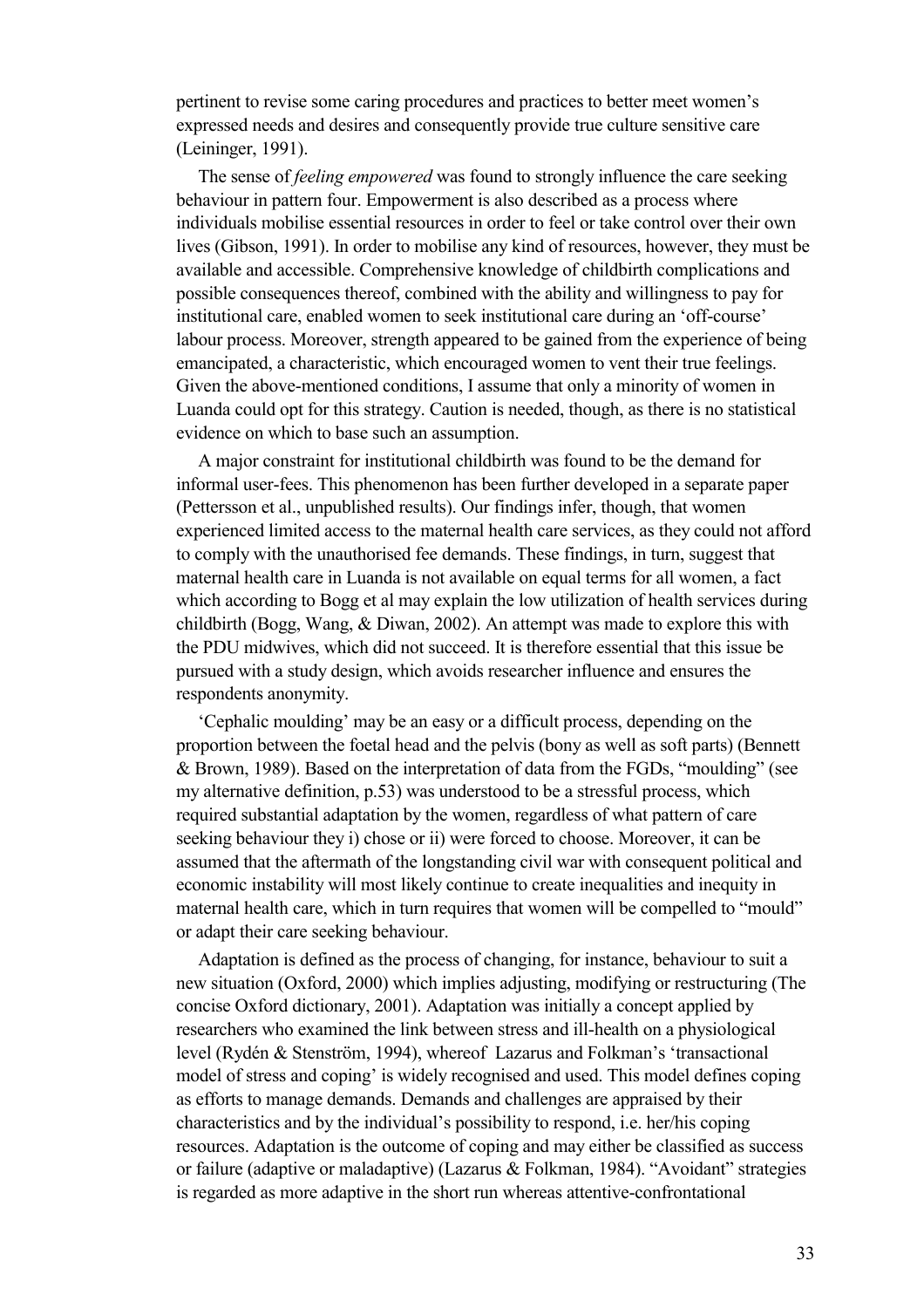pertinent to revise some caring procedures and practices to better meet women's expressed needs and desires and consequently provide true culture sensitive care (Leininger, 1991).

The sense of *feeling empowered* was found to strongly influence the care seeking behaviour in pattern four. Empowerment is also described as a process where individuals mobilise essential resources in order to feel or take control over their own lives (Gibson, 1991). In order to mobilise any kind of resources, however, they must be available and accessible. Comprehensive knowledge of childbirth complications and possible consequences thereof, combined with the ability and willingness to pay for institutional care, enabled women to seek institutional care during an 'off-course' labour process. Moreover, strength appeared to be gained from the experience of being emancipated, a characteristic, which encouraged women to vent their true feelings. Given the above-mentioned conditions, I assume that only a minority of women in Luanda could opt for this strategy. Caution is needed, though, as there is no statistical evidence on which to base such an assumption.

A major constraint for institutional childbirth was found to be the demand for informal user-fees. This phenomenon has been further developed in a separate paper (Pettersson et al., unpublished results). Our findings infer, though, that women experienced limited access to the maternal health care services, as they could not afford to comply with the unauthorised fee demands. These findings, in turn, suggest that maternal health care in Luanda is not available on equal terms for all women, a fact which according to Bogg et al may explain the low utilization of health services during childbirth (Bogg, Wang, & Diwan, 2002). An attempt was made to explore this with the PDU midwives, which did not succeed. It is therefore essential that this issue be pursued with a study design, which avoids researcher influence and ensures the respondents anonymity.

'Cephalic moulding' may be an easy or a difficult process, depending on the proportion between the foetal head and the pelvis (bony as well as soft parts) (Bennett & Brown, 1989). Based on the interpretation of data from the FGDs, "moulding" (see my alternative definition, p.53) was understood to be a stressful process, which required substantial adaptation by the women, regardless of what pattern of care seeking behaviour they i) chose or ii) were forced to choose. Moreover, it can be assumed that the aftermath of the longstanding civil war with consequent political and economic instability will most likely continue to create inequalities and inequity in maternal health care, which in turn requires that women will be compelled to "mould" or adapt their care seeking behaviour.

Adaptation is defined as the process of changing, for instance, behaviour to suit a new situation (Oxford, 2000) which implies adjusting, modifying or restructuring (The concise Oxford dictionary, 2001). Adaptation was initially a concept applied by researchers who examined the link between stress and ill-health on a physiological level (Rydén & Stenström, 1994), whereof Lazarus and Folkman's 'transactional model of stress and coping' is widely recognised and used. This model defines coping as efforts to manage demands. Demands and challenges are appraised by their characteristics and by the individual's possibility to respond, i.e. her/his coping resources. Adaptation is the outcome of coping and may either be classified as success or failure (adaptive or maladaptive) (Lazarus & Folkman, 1984). "Avoidant" strategies is regarded as more adaptive in the short run whereas attentive-confrontational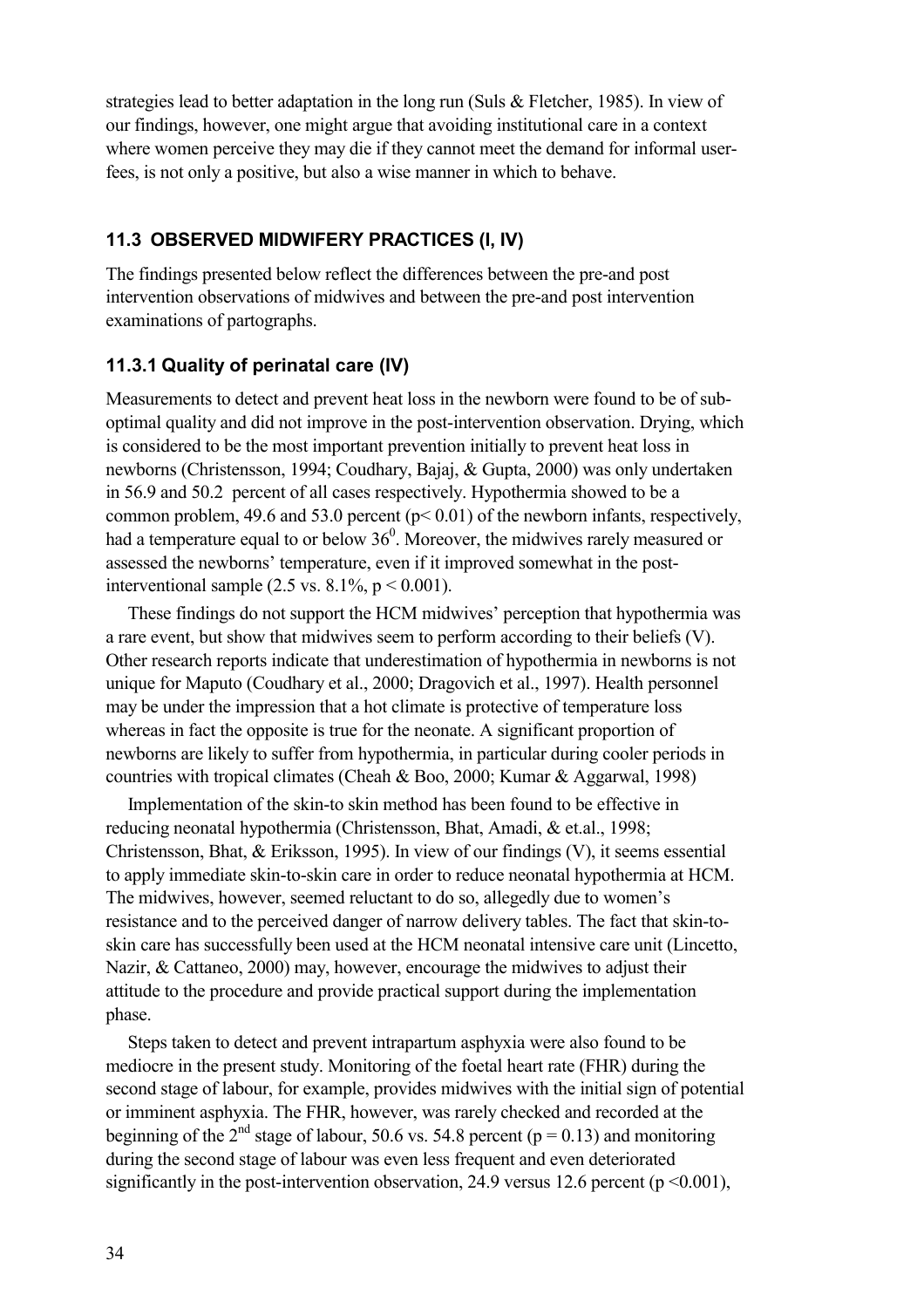strategies lead to better adaptation in the long run (Suls & Fletcher, 1985). In view of our findings, however, one might argue that avoiding institutional care in a context where women perceive they may die if they cannot meet the demand for informal userfees, is not only a positive, but also a wise manner in which to behave.

#### **11.3 OBSERVED MIDWIFERY PRACTICES (I, IV)**

The findings presented below reflect the differences between the pre-and post intervention observations of midwives and between the pre-and post intervention examinations of partographs.

#### **11.3.1 Quality of perinatal care (IV)**

Measurements to detect and prevent heat loss in the newborn were found to be of suboptimal quality and did not improve in the post-intervention observation. Drying, which is considered to be the most important prevention initially to prevent heat loss in newborns (Christensson, 1994; Coudhary, Bajaj, & Gupta, 2000) was only undertaken in 56.9 and 50.2 percent of all cases respectively. Hypothermia showed to be a common problem, 49.6 and 53.0 percent ( $p < 0.01$ ) of the newborn infants, respectively, had a temperature equal to or below  $36^{\circ}$ . Moreover, the midwives rarely measured or assessed the newborns' temperature, even if it improved somewhat in the postinterventional sample  $(2.5 \text{ vs. } 8.1\% , p < 0.001)$ .

These findings do not support the HCM midwives' perception that hypothermia was a rare event, but show that midwives seem to perform according to their beliefs (V). Other research reports indicate that underestimation of hypothermia in newborns is not unique for Maputo (Coudhary et al., 2000; Dragovich et al., 1997). Health personnel may be under the impression that a hot climate is protective of temperature loss whereas in fact the opposite is true for the neonate. A significant proportion of newborns are likely to suffer from hypothermia, in particular during cooler periods in countries with tropical climates (Cheah & Boo, 2000; Kumar & Aggarwal, 1998)

Implementation of the skin-to skin method has been found to be effective in reducing neonatal hypothermia (Christensson, Bhat, Amadi, & et.al., 1998; Christensson, Bhat, & Eriksson, 1995). In view of our findings (V), it seems essential to apply immediate skin-to-skin care in order to reduce neonatal hypothermia at HCM. The midwives, however, seemed reluctant to do so, allegedly due to women's resistance and to the perceived danger of narrow delivery tables. The fact that skin-toskin care has successfully been used at the HCM neonatal intensive care unit (Lincetto, Nazir, & Cattaneo, 2000) may, however, encourage the midwives to adjust their attitude to the procedure and provide practical support during the implementation phase.

Steps taken to detect and prevent intrapartum asphyxia were also found to be mediocre in the present study. Monitoring of the foetal heart rate (FHR) during the second stage of labour, for example, provides midwives with the initial sign of potential or imminent asphyxia. The FHR, however, was rarely checked and recorded at the beginning of the  $2^{nd}$  stage of labour, 50.6 vs. 54.8 percent (p = 0.13) and monitoring during the second stage of labour was even less frequent and even deteriorated significantly in the post-intervention observation, 24.9 versus 12.6 percent ( $p \le 0.001$ ).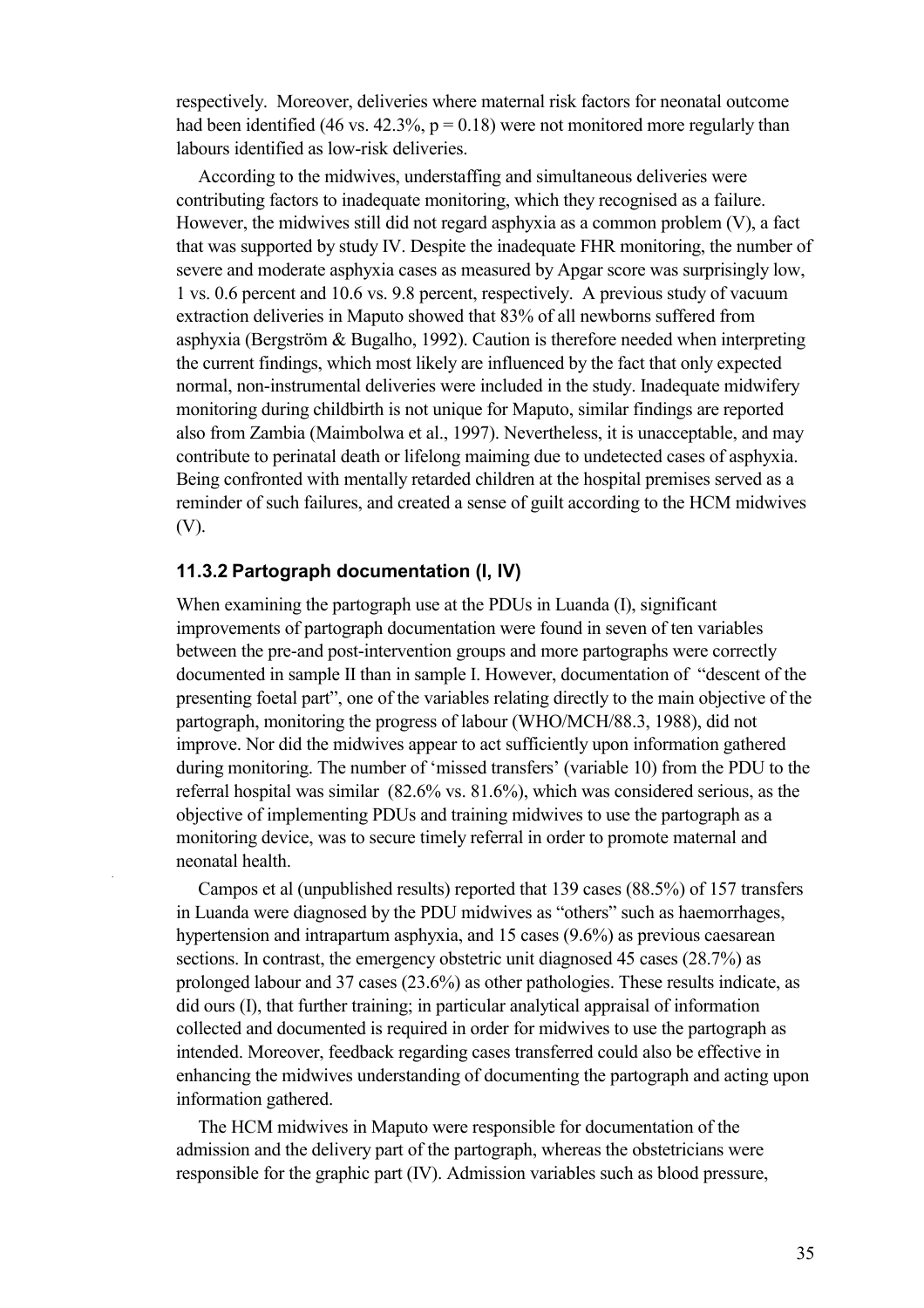respectively. Moreover, deliveries where maternal risk factors for neonatal outcome had been identified (46 vs. 42.3%,  $p = 0.18$ ) were not monitored more regularly than labours identified as low-risk deliveries.

According to the midwives, understaffing and simultaneous deliveries were contributing factors to inadequate monitoring, which they recognised as a failure. However, the midwives still did not regard asphyxia as a common problem (V), a fact that was supported by study IV. Despite the inadequate FHR monitoring, the number of severe and moderate asphyxia cases as measured by Apgar score was surprisingly low, 1 vs. 0.6 percent and 10.6 vs. 9.8 percent, respectively. A previous study of vacuum extraction deliveries in Maputo showed that 83% of all newborns suffered from asphyxia (Bergström & Bugalho, 1992). Caution is therefore needed when interpreting the current findings, which most likely are influenced by the fact that only expected normal, non-instrumental deliveries were included in the study. Inadequate midwifery monitoring during childbirth is not unique for Maputo, similar findings are reported also from Zambia (Maimbolwa et al., 1997). Nevertheless, it is unacceptable, and may contribute to perinatal death or lifelong maiming due to undetected cases of asphyxia. Being confronted with mentally retarded children at the hospital premises served as a reminder of such failures, and created a sense of guilt according to the HCM midwives (V).

#### **11.3.2 Partograph documentation (I, IV)**

When examining the partograph use at the PDUs in Luanda (I), significant improvements of partograph documentation were found in seven of ten variables between the pre-and post-intervention groups and more partographs were correctly documented in sample II than in sample I. However, documentation of "descent of the presenting foetal part", one of the variables relating directly to the main objective of the partograph, monitoring the progress of labour (WHO/MCH/88.3, 1988), did not improve. Nor did the midwives appear to act sufficiently upon information gathered during monitoring. The number of 'missed transfers' (variable 10) from the PDU to the referral hospital was similar (82.6% vs. 81.6%), which was considered serious, as the objective of implementing PDUs and training midwives to use the partograph as a monitoring device, was to secure timely referral in order to promote maternal and neonatal health.

Campos et al (unpublished results) reported that 139 cases (88.5%) of 157 transfers in Luanda were diagnosed by the PDU midwives as "others" such as haemorrhages, hypertension and intrapartum asphyxia, and 15 cases (9.6%) as previous caesarean sections. In contrast, the emergency obstetric unit diagnosed 45 cases (28.7%) as prolonged labour and 37 cases (23.6%) as other pathologies. These results indicate, as did ours (I), that further training; in particular analytical appraisal of information collected and documented is required in order for midwives to use the partograph as intended. Moreover, feedback regarding cases transferred could also be effective in enhancing the midwives understanding of documenting the partograph and acting upon information gathered.

The HCM midwives in Maputo were responsible for documentation of the admission and the delivery part of the partograph, whereas the obstetricians were responsible for the graphic part (IV). Admission variables such as blood pressure,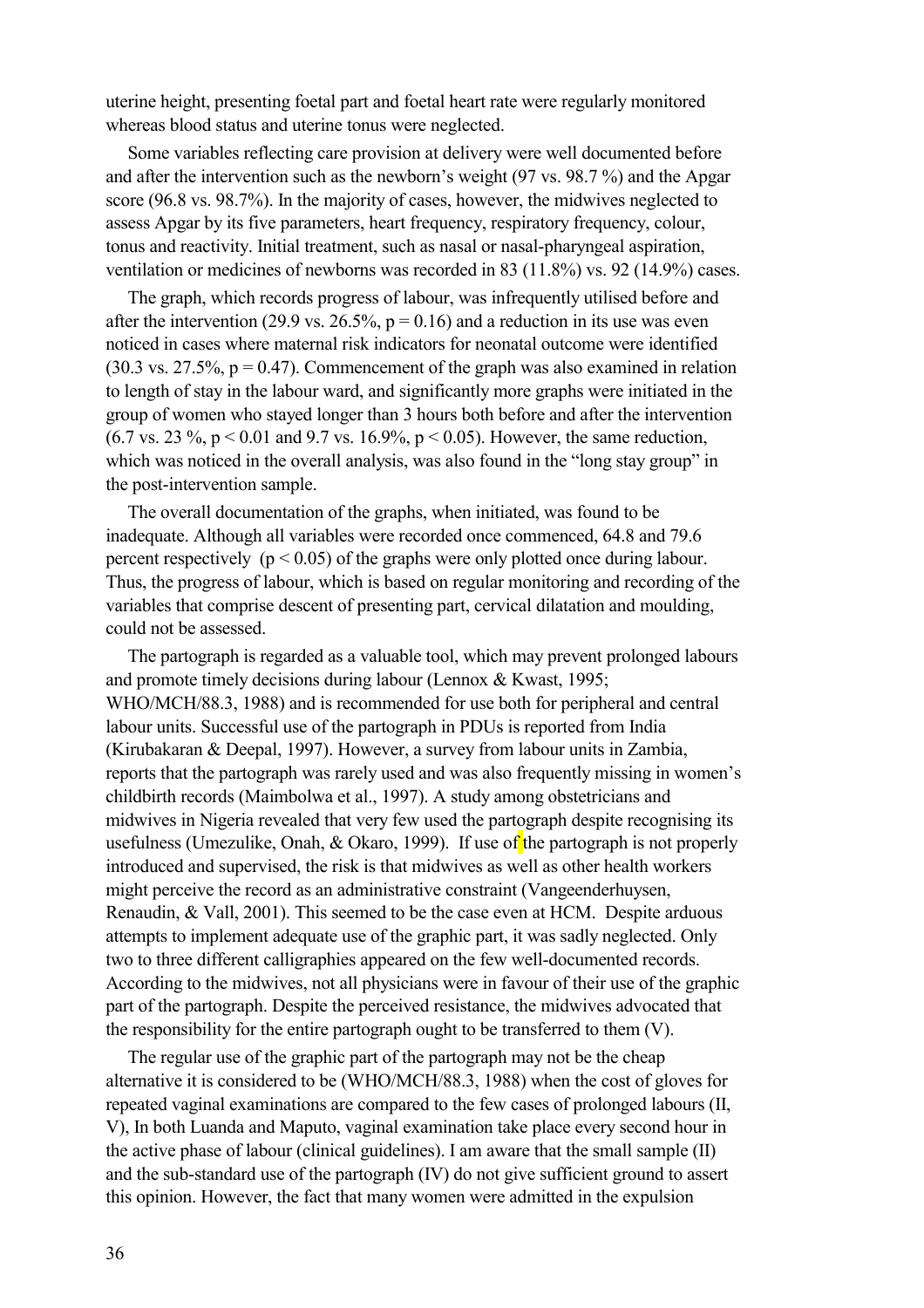uterine height, presenting foetal part and foetal heart rate were regularly monitored whereas blood status and uterine tonus were neglected.

Some variables reflecting care provision at delivery were well documented before and after the intervention such as the newborn's weight (97 vs. 98.7 %) and the Apgar score (96.8 vs. 98.7%). In the majority of cases, however, the midwives neglected to assess Apgar by its five parameters, heart frequency, respiratory frequency, colour, tonus and reactivity. Initial treatment, such as nasal or nasal-pharyngeal aspiration, ventilation or medicines of newborns was recorded in 83 (11.8%) vs. 92 (14.9%) cases.

The graph, which records progress of labour, was infrequently utilised before and after the intervention (29.9 vs. 26.5%,  $p = 0.16$ ) and a reduction in its use was even noticed in cases where maternal risk indicators for neonatal outcome were identified  $(30.3 \text{ vs. } 27.5\%$ ,  $p = 0.47)$ . Commencement of the graph was also examined in relation to length of stay in the labour ward, and significantly more graphs were initiated in the group of women who stayed longer than 3 hours both before and after the intervention (6.7 vs. 23 %,  $p < 0.01$  and 9.7 vs. 16.9%,  $p < 0.05$ ). However, the same reduction, which was noticed in the overall analysis, was also found in the "long stay group" in the post-intervention sample.

The overall documentation of the graphs, when initiated, was found to be inadequate. Although all variables were recorded once commenced, 64.8 and 79.6 percent respectively ( $p < 0.05$ ) of the graphs were only plotted once during labour. Thus, the progress of labour, which is based on regular monitoring and recording of the variables that comprise descent of presenting part, cervical dilatation and moulding, could not be assessed.

The partograph is regarded as a valuable tool, which may prevent prolonged labours and promote timely decisions during labour (Lennox & Kwast, 1995; WHO/MCH/88.3, 1988) and is recommended for use both for peripheral and central labour units. Successful use of the partograph in PDUs is reported from India (Kirubakaran & Deepal, 1997). However, a survey from labour units in Zambia, reports that the partograph was rarely used and was also frequently missing in women's childbirth records (Maimbolwa et al., 1997). A study among obstetricians and midwives in Nigeria revealed that very few used the partograph despite recognising its usefulness (Umezulike, Onah,  $& Okaro, 1999$ ). If use of the partograph is not properly introduced and supervised, the risk is that midwives as well as other health workers might perceive the record as an administrative constraint (Vangeenderhuysen, Renaudin, & Vall, 2001). This seemed to be the case even at HCM. Despite arduous attempts to implement adequate use of the graphic part, it was sadly neglected. Only two to three different calligraphies appeared on the few well-documented records. According to the midwives, not all physicians were in favour of their use of the graphic part of the partograph. Despite the perceived resistance, the midwives advocated that the responsibility for the entire partograph ought to be transferred to them (V).

The regular use of the graphic part of the partograph may not be the cheap alternative it is considered to be (WHO/MCH/88.3, 1988) when the cost of gloves for repeated vaginal examinations are compared to the few cases of prolonged labours (II, V), In both Luanda and Maputo, vaginal examination take place every second hour in the active phase of labour (clinical guidelines). I am aware that the small sample (II) and the sub-standard use of the partograph (IV) do not give sufficient ground to assert this opinion. However, the fact that many women were admitted in the expulsion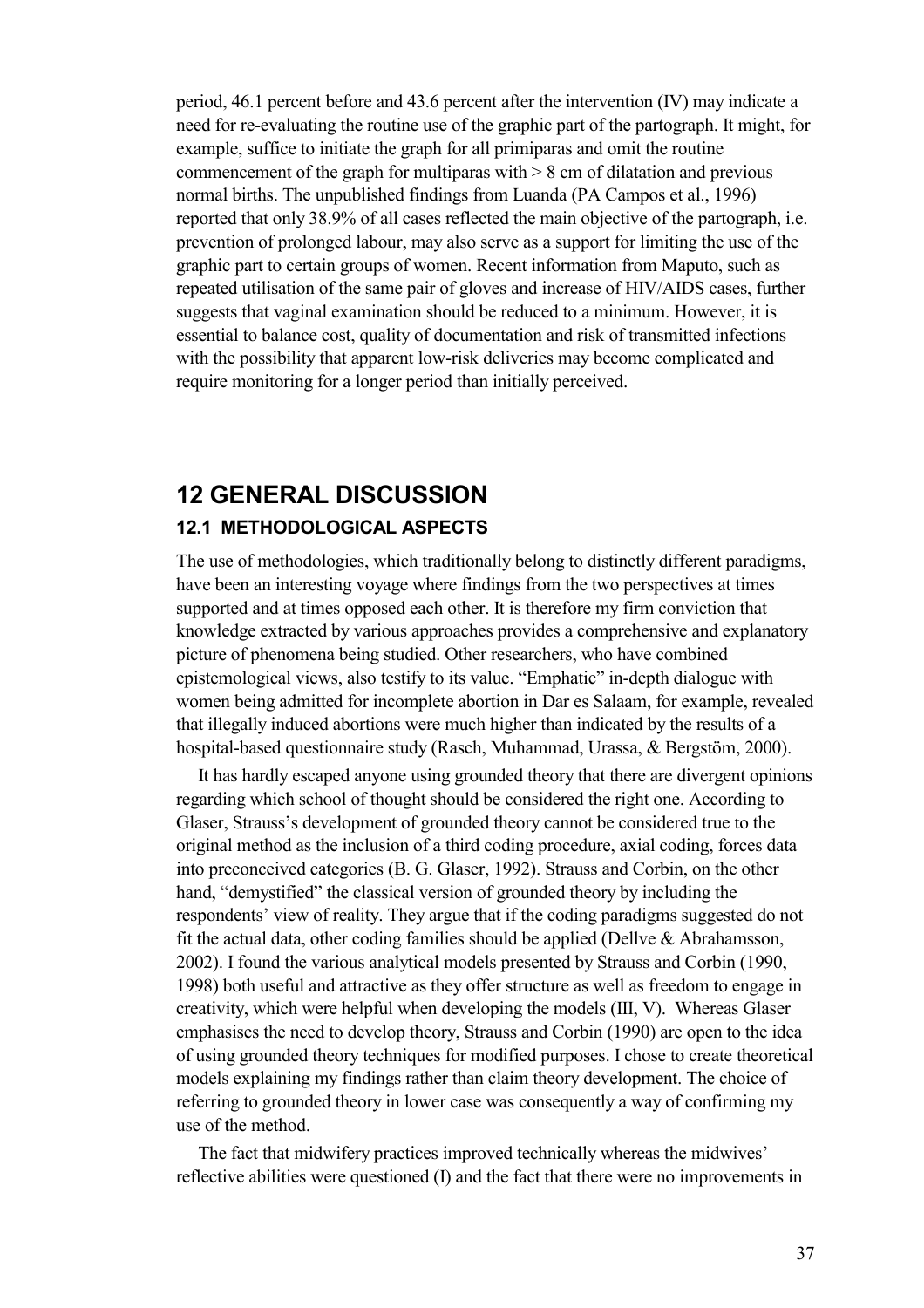period, 46.1 percent before and 43.6 percent after the intervention (IV) may indicate a need for re-evaluating the routine use of the graphic part of the partograph. It might, for example, suffice to initiate the graph for all primiparas and omit the routine commencement of the graph for multiparas with  $> 8$  cm of dilatation and previous normal births. The unpublished findings from Luanda (PA Campos et al., 1996) reported that only 38.9% of all cases reflected the main objective of the partograph, i.e. prevention of prolonged labour, may also serve as a support for limiting the use of the graphic part to certain groups of women. Recent information from Maputo, such as repeated utilisation of the same pair of gloves and increase of HIV/AIDS cases, further suggests that vaginal examination should be reduced to a minimum. However, it is essential to balance cost, quality of documentation and risk of transmitted infections with the possibility that apparent low-risk deliveries may become complicated and require monitoring for a longer period than initially perceived.

### **12 GENERAL DISCUSSION 12.1 METHODOLOGICAL ASPECTS**

The use of methodologies, which traditionally belong to distinctly different paradigms, have been an interesting voyage where findings from the two perspectives at times supported and at times opposed each other. It is therefore my firm conviction that knowledge extracted by various approaches provides a comprehensive and explanatory picture of phenomena being studied. Other researchers, who have combined epistemological views, also testify to its value. "Emphatic" in-depth dialogue with women being admitted for incomplete abortion in Dar es Salaam, for example, revealed that illegally induced abortions were much higher than indicated by the results of a hospital-based questionnaire study (Rasch, Muhammad, Urassa, & Bergstöm, 2000).

It has hardly escaped anyone using grounded theory that there are divergent opinions regarding which school of thought should be considered the right one. According to Glaser, Strauss's development of grounded theory cannot be considered true to the original method as the inclusion of a third coding procedure, axial coding, forces data into preconceived categories (B. G. Glaser, 1992). Strauss and Corbin, on the other hand, "demystified" the classical version of grounded theory by including the respondents' view of reality. They argue that if the coding paradigms suggested do not fit the actual data, other coding families should be applied (Dellve & Abrahamsson, 2002). I found the various analytical models presented by Strauss and Corbin (1990, 1998) both useful and attractive as they offer structure as well as freedom to engage in creativity, which were helpful when developing the models (III, V). Whereas Glaser emphasises the need to develop theory, Strauss and Corbin (1990) are open to the idea of using grounded theory techniques for modified purposes. I chose to create theoretical models explaining my findings rather than claim theory development. The choice of referring to grounded theory in lower case was consequently a way of confirming my use of the method.

The fact that midwifery practices improved technically whereas the midwives' reflective abilities were questioned (I) and the fact that there were no improvements in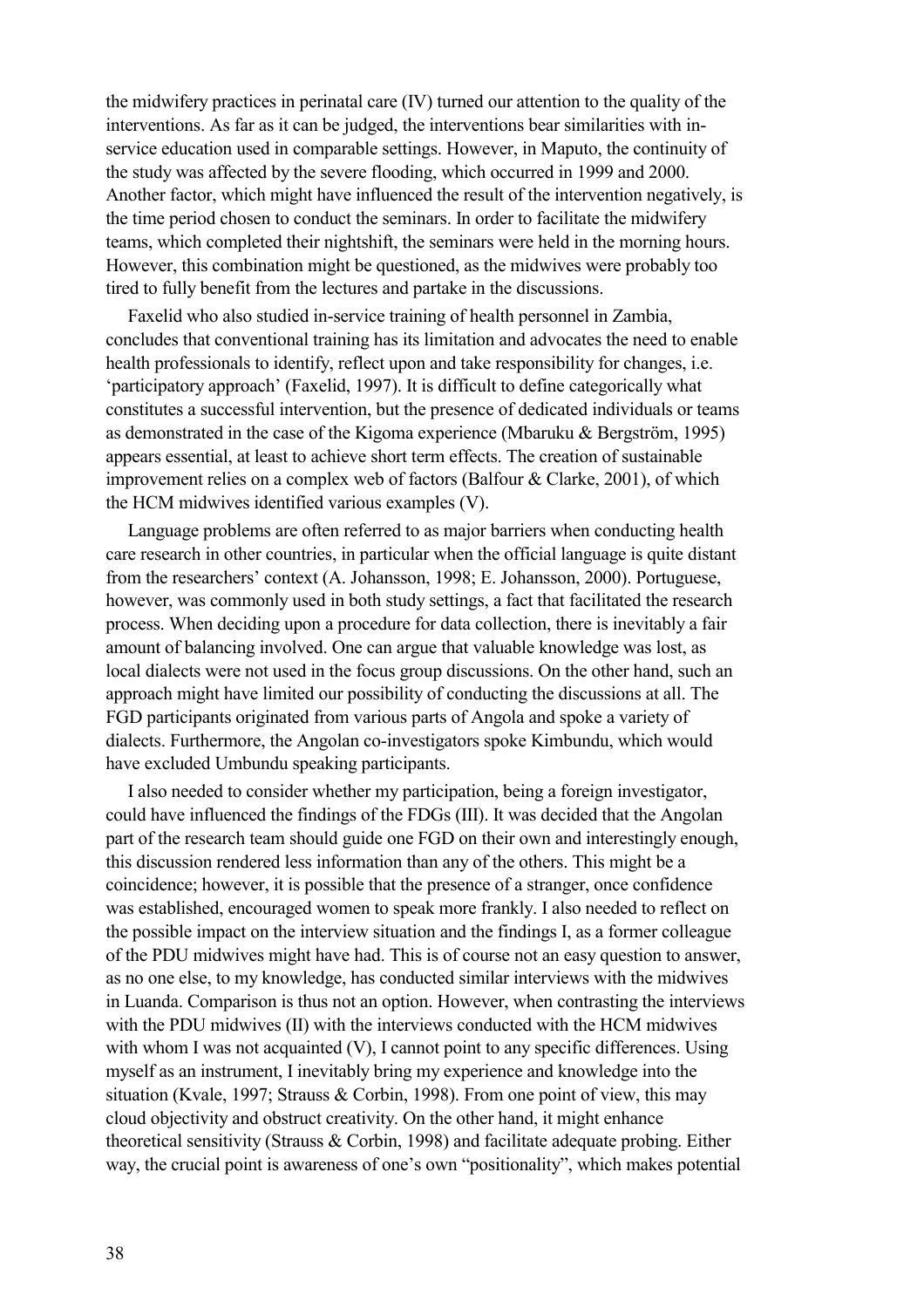the midwifery practices in perinatal care (IV) turned our attention to the quality of the interventions. As far as it can be judged, the interventions bear similarities with inservice education used in comparable settings. However, in Maputo, the continuity of the study was affected by the severe flooding, which occurred in 1999 and 2000. Another factor, which might have influenced the result of the intervention negatively, is the time period chosen to conduct the seminars. In order to facilitate the midwifery teams, which completed their nightshift, the seminars were held in the morning hours. However, this combination might be questioned, as the midwives were probably too tired to fully benefit from the lectures and partake in the discussions.

Faxelid who also studied in-service training of health personnel in Zambia, concludes that conventional training has its limitation and advocates the need to enable health professionals to identify, reflect upon and take responsibility for changes, i.e. 'participatory approach' (Faxelid, 1997). It is difficult to define categorically what constitutes a successful intervention, but the presence of dedicated individuals or teams as demonstrated in the case of the Kigoma experience (Mbaruku & Bergström, 1995) appears essential, at least to achieve short term effects. The creation of sustainable improvement relies on a complex web of factors (Balfour & Clarke, 2001), of which the HCM midwives identified various examples (V).

Language problems are often referred to as major barriers when conducting health care research in other countries, in particular when the official language is quite distant from the researchers' context (A. Johansson, 1998; E. Johansson, 2000). Portuguese, however, was commonly used in both study settings, a fact that facilitated the research process. When deciding upon a procedure for data collection, there is inevitably a fair amount of balancing involved. One can argue that valuable knowledge was lost, as local dialects were not used in the focus group discussions. On the other hand, such an approach might have limited our possibility of conducting the discussions at all. The FGD participants originated from various parts of Angola and spoke a variety of dialects. Furthermore, the Angolan co-investigators spoke Kimbundu, which would have excluded Umbundu speaking participants.

I also needed to consider whether my participation, being a foreign investigator, could have influenced the findings of the FDGs (III). It was decided that the Angolan part of the research team should guide one FGD on their own and interestingly enough, this discussion rendered less information than any of the others. This might be a coincidence; however, it is possible that the presence of a stranger, once confidence was established, encouraged women to speak more frankly. I also needed to reflect on the possible impact on the interview situation and the findings I, as a former colleague of the PDU midwives might have had. This is of course not an easy question to answer, as no one else, to my knowledge, has conducted similar interviews with the midwives in Luanda. Comparison is thus not an option. However, when contrasting the interviews with the PDU midwives (II) with the interviews conducted with the HCM midwives with whom I was not acquainted (V), I cannot point to any specific differences. Using myself as an instrument, I inevitably bring my experience and knowledge into the situation (Kvale, 1997; Strauss & Corbin, 1998). From one point of view, this may cloud objectivity and obstruct creativity. On the other hand, it might enhance theoretical sensitivity (Strauss & Corbin, 1998) and facilitate adequate probing. Either way, the crucial point is awareness of one's own "positionality", which makes potential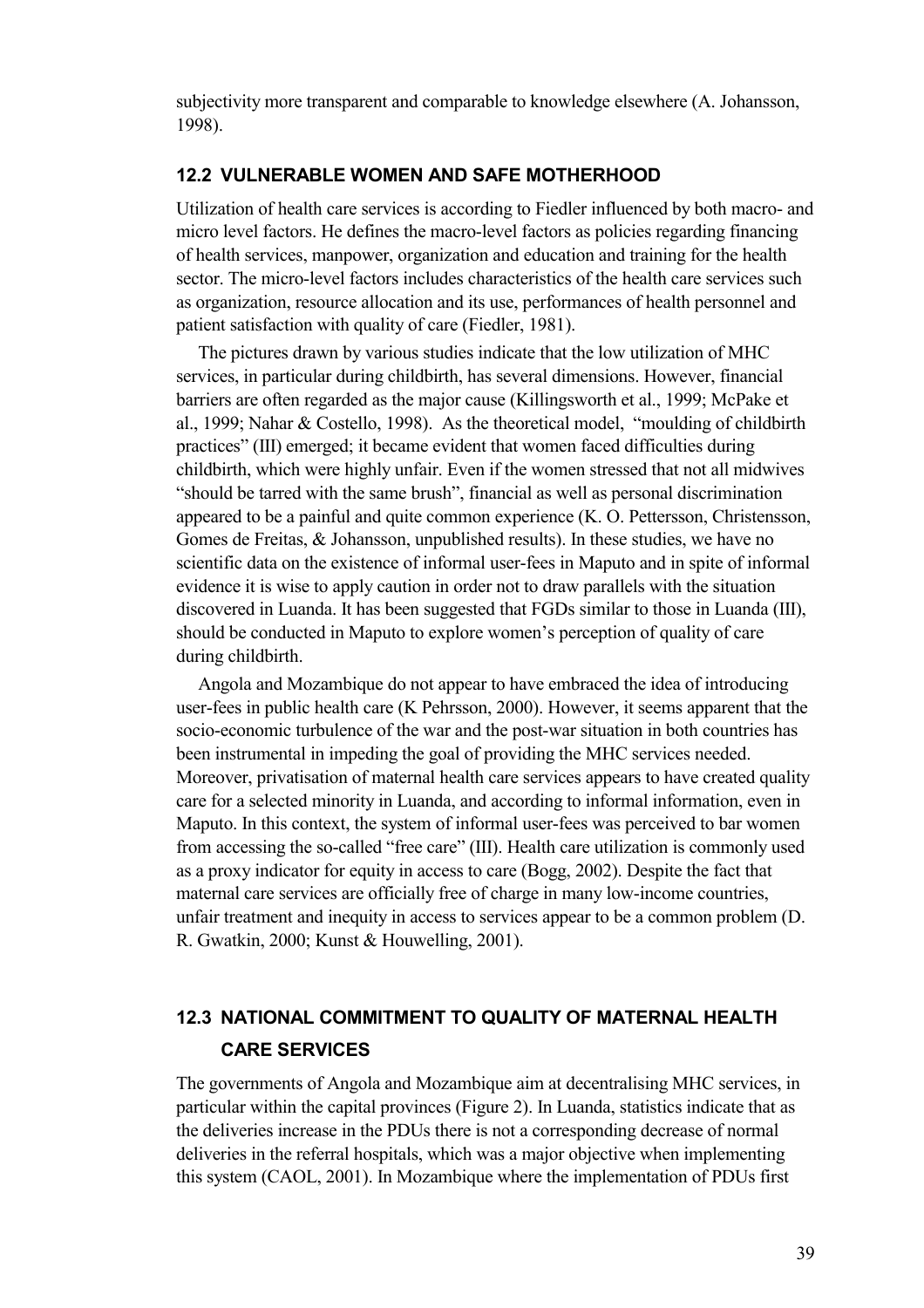subjectivity more transparent and comparable to knowledge elsewhere (A. Johansson, 1998).

#### **12.2 VULNERABLE WOMEN AND SAFE MOTHERHOOD**

Utilization of health care services is according to Fiedler influenced by both macro- and micro level factors. He defines the macro-level factors as policies regarding financing of health services, manpower, organization and education and training for the health sector. The micro-level factors includes characteristics of the health care services such as organization, resource allocation and its use, performances of health personnel and patient satisfaction with quality of care (Fiedler, 1981).

The pictures drawn by various studies indicate that the low utilization of MHC services, in particular during childbirth, has several dimensions. However, financial barriers are often regarded as the major cause (Killingsworth et al., 1999; McPake et al., 1999; Nahar & Costello, 1998). As the theoretical model, "moulding of childbirth practices" (III) emerged; it became evident that women faced difficulties during childbirth, which were highly unfair. Even if the women stressed that not all midwives "should be tarred with the same brush", financial as well as personal discrimination appeared to be a painful and quite common experience (K. O. Pettersson, Christensson, Gomes de Freitas, & Johansson, unpublished results). In these studies, we have no scientific data on the existence of informal user-fees in Maputo and in spite of informal evidence it is wise to apply caution in order not to draw parallels with the situation discovered in Luanda. It has been suggested that FGDs similar to those in Luanda (III), should be conducted in Maputo to explore women's perception of quality of care during childbirth.

Angola and Mozambique do not appear to have embraced the idea of introducing user-fees in public health care (K Pehrsson, 2000). However, it seems apparent that the socio-economic turbulence of the war and the post-war situation in both countries has been instrumental in impeding the goal of providing the MHC services needed. Moreover, privatisation of maternal health care services appears to have created quality care for a selected minority in Luanda, and according to informal information, even in Maputo. In this context, the system of informal user-fees was perceived to bar women from accessing the so-called "free care" (III). Health care utilization is commonly used as a proxy indicator for equity in access to care (Bogg, 2002). Despite the fact that maternal care services are officially free of charge in many low-income countries, unfair treatment and inequity in access to services appear to be a common problem (D. R. Gwatkin, 2000; Kunst & Houwelling, 2001).

## **12.3 NATIONAL COMMITMENT TO QUALITY OF MATERNAL HEALTH CARE SERVICES**

The governments of Angola and Mozambique aim at decentralising MHC services, in particular within the capital provinces (Figure 2). In Luanda, statistics indicate that as the deliveries increase in the PDUs there is not a corresponding decrease of normal deliveries in the referral hospitals, which was a major objective when implementing this system (CAOL, 2001). In Mozambique where the implementation of PDUs first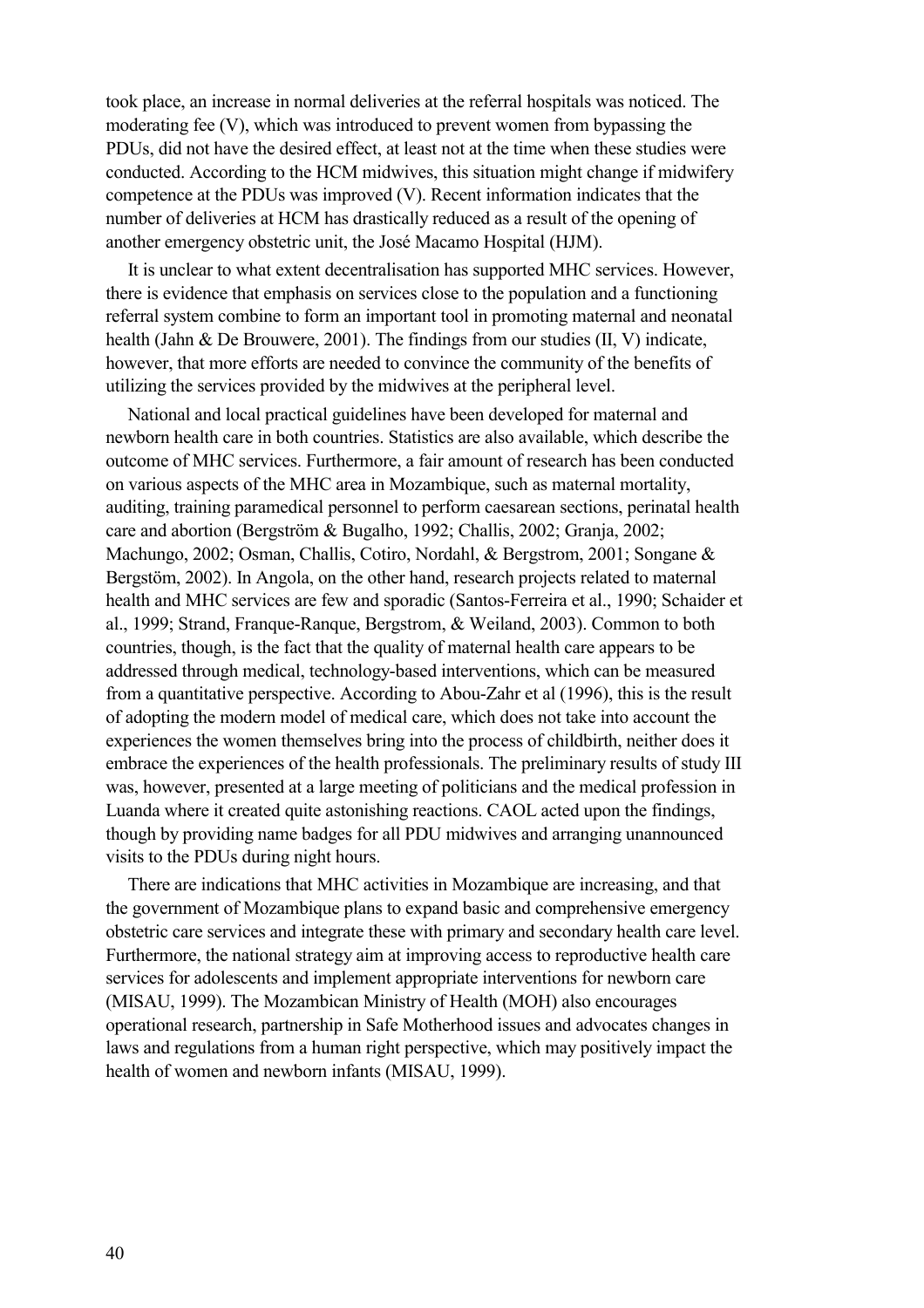took place, an increase in normal deliveries at the referral hospitals was noticed. The moderating fee (V), which was introduced to prevent women from bypassing the PDUs, did not have the desired effect, at least not at the time when these studies were conducted. According to the HCM midwives, this situation might change if midwifery competence at the PDUs was improved (V). Recent information indicates that the number of deliveries at HCM has drastically reduced as a result of the opening of another emergency obstetric unit, the José Macamo Hospital (HJM).

It is unclear to what extent decentralisation has supported MHC services. However, there is evidence that emphasis on services close to the population and a functioning referral system combine to form an important tool in promoting maternal and neonatal health (Jahn & De Brouwere, 2001). The findings from our studies (II, V) indicate, however, that more efforts are needed to convince the community of the benefits of utilizing the services provided by the midwives at the peripheral level.

National and local practical guidelines have been developed for maternal and newborn health care in both countries. Statistics are also available, which describe the outcome of MHC services. Furthermore, a fair amount of research has been conducted on various aspects of the MHC area in Mozambique, such as maternal mortality, auditing, training paramedical personnel to perform caesarean sections, perinatal health care and abortion (Bergström & Bugalho, 1992; Challis, 2002; Granja, 2002; Machungo, 2002; Osman, Challis, Cotiro, Nordahl, & Bergstrom, 2001; Songane & Bergstöm, 2002). In Angola, on the other hand, research projects related to maternal health and MHC services are few and sporadic (Santos-Ferreira et al., 1990; Schaider et al., 1999; Strand, Franque-Ranque, Bergstrom, & Weiland, 2003). Common to both countries, though, is the fact that the quality of maternal health care appears to be addressed through medical, technology-based interventions, which can be measured from a quantitative perspective. According to Abou-Zahr et al (1996), this is the result of adopting the modern model of medical care, which does not take into account the experiences the women themselves bring into the process of childbirth, neither does it embrace the experiences of the health professionals. The preliminary results of study III was, however, presented at a large meeting of politicians and the medical profession in Luanda where it created quite astonishing reactions. CAOL acted upon the findings, though by providing name badges for all PDU midwives and arranging unannounced visits to the PDUs during night hours.

There are indications that MHC activities in Mozambique are increasing, and that the government of Mozambique plans to expand basic and comprehensive emergency obstetric care services and integrate these with primary and secondary health care level. Furthermore, the national strategy aim at improving access to reproductive health care services for adolescents and implement appropriate interventions for newborn care (MISAU, 1999). The Mozambican Ministry of Health (MOH) also encourages operational research, partnership in Safe Motherhood issues and advocates changes in laws and regulations from a human right perspective, which may positively impact the health of women and newborn infants (MISAU, 1999).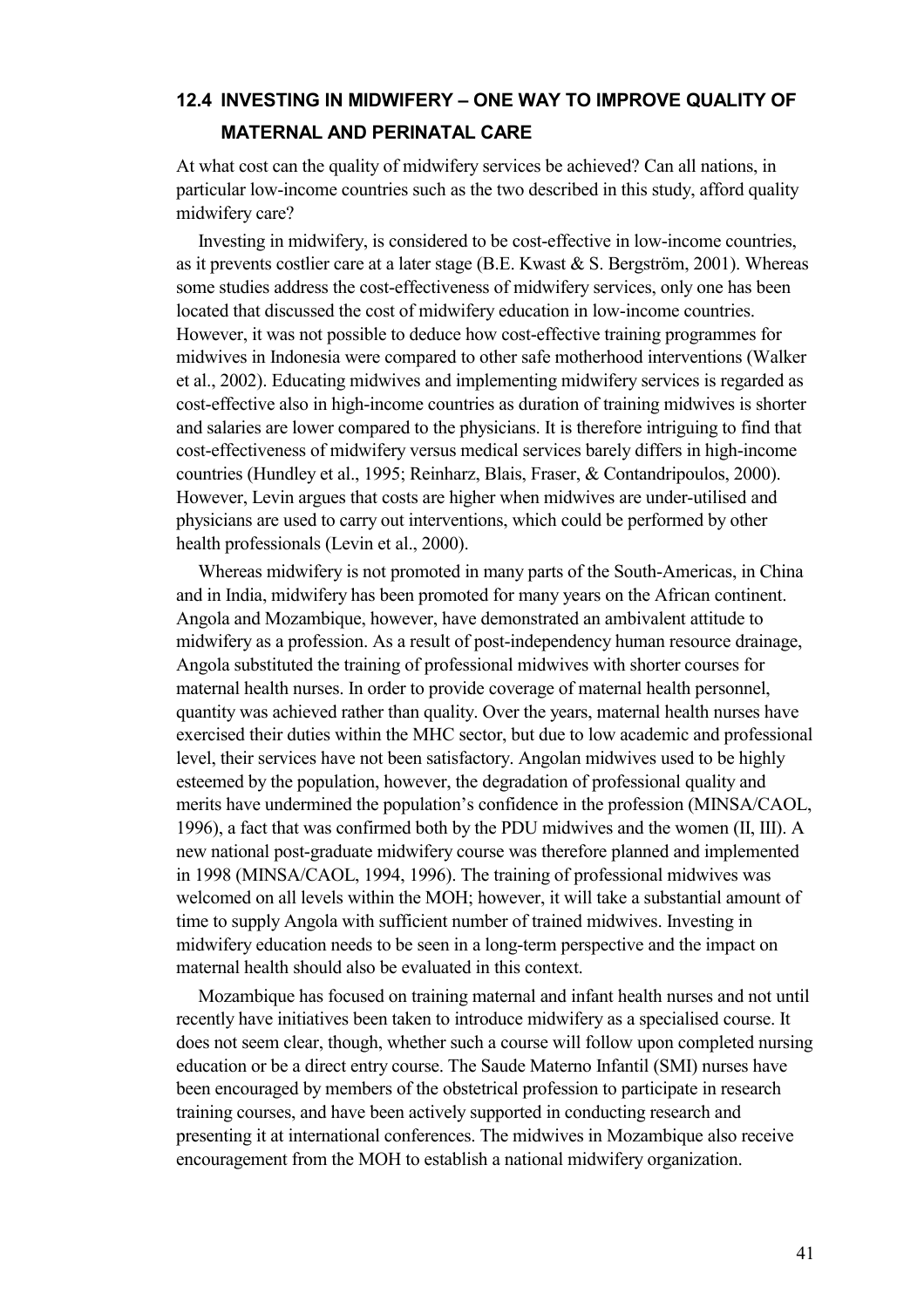## **12.4 INVESTING IN MIDWIFERY – ONE WAY TO IMPROVE QUALITY OF MATERNAL AND PERINATAL CARE**

At what cost can the quality of midwifery services be achieved? Can all nations, in particular low-income countries such as the two described in this study, afford quality midwifery care?

Investing in midwifery, is considered to be cost-effective in low-income countries, as it prevents costlier care at a later stage (B.E. Kwast  $& S.$  Bergström, 2001). Whereas some studies address the cost-effectiveness of midwifery services, only one has been located that discussed the cost of midwifery education in low-income countries. However, it was not possible to deduce how cost-effective training programmes for midwives in Indonesia were compared to other safe motherhood interventions (Walker et al., 2002). Educating midwives and implementing midwifery services is regarded as cost-effective also in high-income countries as duration of training midwives is shorter and salaries are lower compared to the physicians. It is therefore intriguing to find that cost-effectiveness of midwifery versus medical services barely differs in high-income countries (Hundley et al., 1995; Reinharz, Blais, Fraser, & Contandripoulos, 2000). However, Levin argues that costs are higher when midwives are under-utilised and physicians are used to carry out interventions, which could be performed by other health professionals (Levin et al., 2000).

Whereas midwifery is not promoted in many parts of the South-Americas, in China and in India, midwifery has been promoted for many years on the African continent. Angola and Mozambique, however, have demonstrated an ambivalent attitude to midwifery as a profession. As a result of post-independency human resource drainage, Angola substituted the training of professional midwives with shorter courses for maternal health nurses. In order to provide coverage of maternal health personnel, quantity was achieved rather than quality. Over the years, maternal health nurses have exercised their duties within the MHC sector, but due to low academic and professional level, their services have not been satisfactory. Angolan midwives used to be highly esteemed by the population, however, the degradation of professional quality and merits have undermined the population's confidence in the profession (MINSA/CAOL, 1996), a fact that was confirmed both by the PDU midwives and the women (II, III). A new national post-graduate midwifery course was therefore planned and implemented in 1998 (MINSA/CAOL, 1994, 1996). The training of professional midwives was welcomed on all levels within the MOH; however, it will take a substantial amount of time to supply Angola with sufficient number of trained midwives. Investing in midwifery education needs to be seen in a long-term perspective and the impact on maternal health should also be evaluated in this context.

Mozambique has focused on training maternal and infant health nurses and not until recently have initiatives been taken to introduce midwifery as a specialised course. It does not seem clear, though, whether such a course will follow upon completed nursing education or be a direct entry course. The Saude Materno Infantil (SMI) nurses have been encouraged by members of the obstetrical profession to participate in research training courses, and have been actively supported in conducting research and presenting it at international conferences. The midwives in Mozambique also receive encouragement from the MOH to establish a national midwifery organization.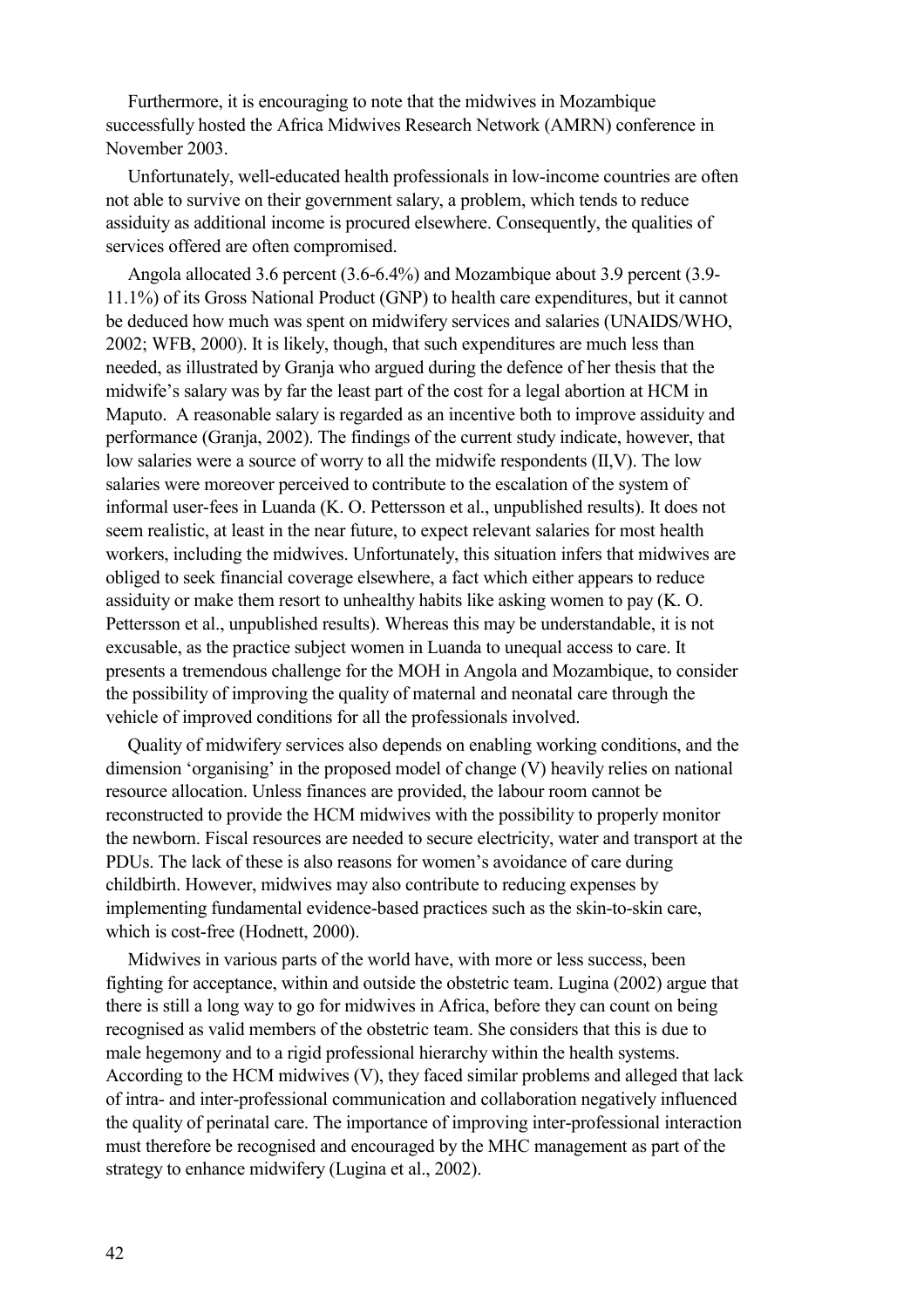Furthermore, it is encouraging to note that the midwives in Mozambique successfully hosted the Africa Midwives Research Network (AMRN) conference in November 2003.

Unfortunately, well-educated health professionals in low-income countries are often not able to survive on their government salary, a problem, which tends to reduce assiduity as additional income is procured elsewhere. Consequently, the qualities of services offered are often compromised.

Angola allocated 3.6 percent (3.6-6.4%) and Mozambique about 3.9 percent (3.9- 11.1%) of its Gross National Product (GNP) to health care expenditures, but it cannot be deduced how much was spent on midwifery services and salaries (UNAIDS/WHO, 2002; WFB, 2000). It is likely, though, that such expenditures are much less than needed, as illustrated by Granja who argued during the defence of her thesis that the midwife's salary was by far the least part of the cost for a legal abortion at HCM in Maputo. A reasonable salary is regarded as an incentive both to improve assiduity and performance (Granja, 2002). The findings of the current study indicate, however, that low salaries were a source of worry to all the midwife respondents (II,V). The low salaries were moreover perceived to contribute to the escalation of the system of informal user-fees in Luanda (K. O. Pettersson et al., unpublished results). It does not seem realistic, at least in the near future, to expect relevant salaries for most health workers, including the midwives. Unfortunately, this situation infers that midwives are obliged to seek financial coverage elsewhere, a fact which either appears to reduce assiduity or make them resort to unhealthy habits like asking women to pay (K. O. Pettersson et al., unpublished results). Whereas this may be understandable, it is not excusable, as the practice subject women in Luanda to unequal access to care. It presents a tremendous challenge for the MOH in Angola and Mozambique, to consider the possibility of improving the quality of maternal and neonatal care through the vehicle of improved conditions for all the professionals involved.

Quality of midwifery services also depends on enabling working conditions, and the dimension 'organising' in the proposed model of change (V) heavily relies on national resource allocation. Unless finances are provided, the labour room cannot be reconstructed to provide the HCM midwives with the possibility to properly monitor the newborn. Fiscal resources are needed to secure electricity, water and transport at the PDUs. The lack of these is also reasons for women's avoidance of care during childbirth. However, midwives may also contribute to reducing expenses by implementing fundamental evidence-based practices such as the skin-to-skin care, which is cost-free (Hodnett, 2000).

Midwives in various parts of the world have, with more or less success, been fighting for acceptance, within and outside the obstetric team. Lugina (2002) argue that there is still a long way to go for midwives in Africa, before they can count on being recognised as valid members of the obstetric team. She considers that this is due to male hegemony and to a rigid professional hierarchy within the health systems. According to the HCM midwives (V), they faced similar problems and alleged that lack of intra- and inter-professional communication and collaboration negatively influenced the quality of perinatal care. The importance of improving inter-professional interaction must therefore be recognised and encouraged by the MHC management as part of the strategy to enhance midwifery (Lugina et al., 2002).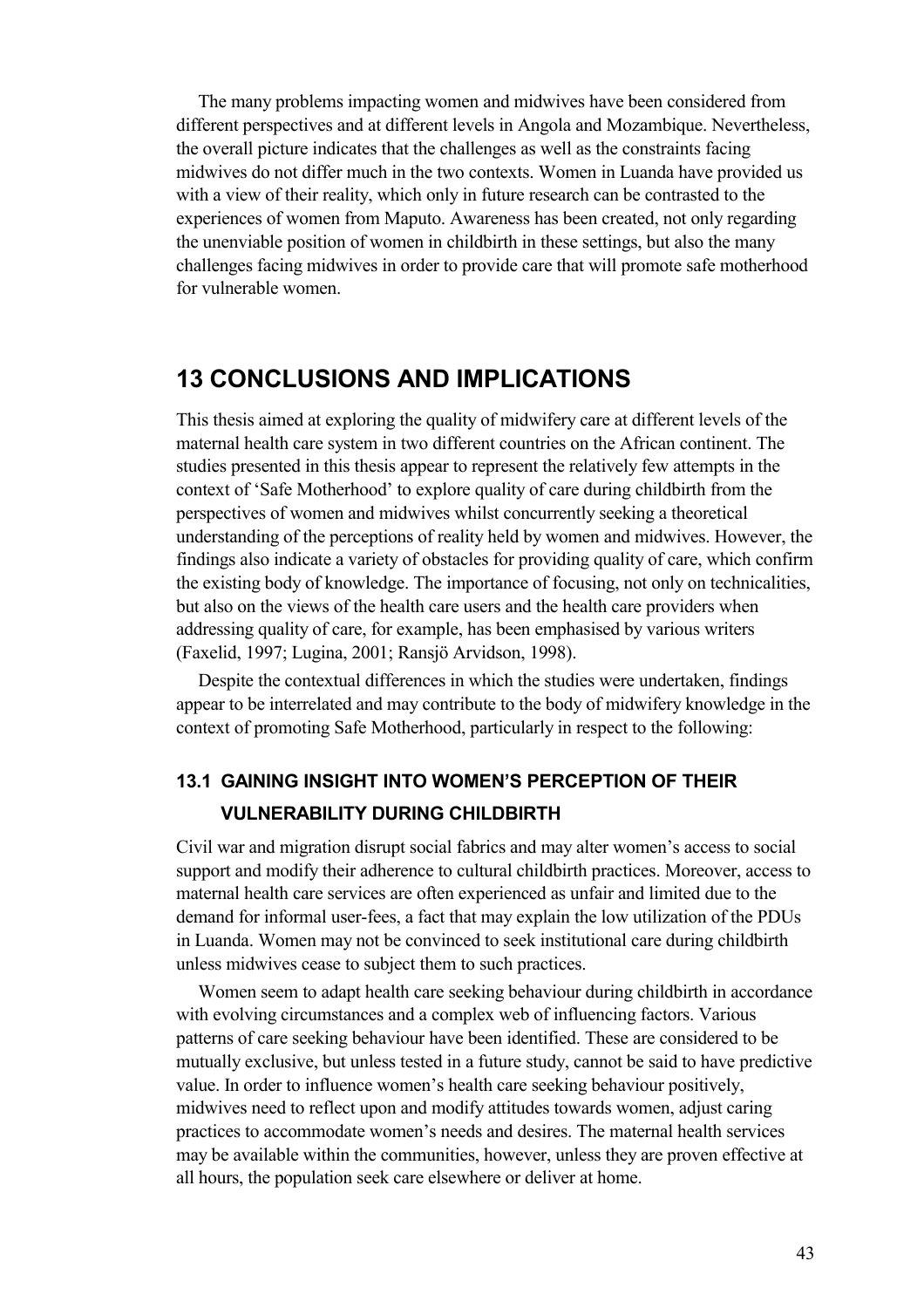The many problems impacting women and midwives have been considered from different perspectives and at different levels in Angola and Mozambique. Nevertheless, the overall picture indicates that the challenges as well as the constraints facing midwives do not differ much in the two contexts. Women in Luanda have provided us with a view of their reality, which only in future research can be contrasted to the experiences of women from Maputo. Awareness has been created, not only regarding the unenviable position of women in childbirth in these settings, but also the many challenges facing midwives in order to provide care that will promote safe motherhood for vulnerable women.

## **13 CONCLUSIONS AND IMPLICATIONS**

This thesis aimed at exploring the quality of midwifery care at different levels of the maternal health care system in two different countries on the African continent. The studies presented in this thesis appear to represent the relatively few attempts in the context of 'Safe Motherhood' to explore quality of care during childbirth from the perspectives of women and midwives whilst concurrently seeking a theoretical understanding of the perceptions of reality held by women and midwives. However, the findings also indicate a variety of obstacles for providing quality of care, which confirm the existing body of knowledge. The importance of focusing, not only on technicalities, but also on the views of the health care users and the health care providers when addressing quality of care, for example, has been emphasised by various writers (Faxelid, 1997; Lugina, 2001; Ransjö Arvidson, 1998).

Despite the contextual differences in which the studies were undertaken, findings appear to be interrelated and may contribute to the body of midwifery knowledge in the context of promoting Safe Motherhood, particularly in respect to the following:

## **13.1 GAINING INSIGHT INTO WOMEN'S PERCEPTION OF THEIR VULNERABILITY DURING CHILDBIRTH**

Civil war and migration disrupt social fabrics and may alter women's access to social support and modify their adherence to cultural childbirth practices. Moreover, access to maternal health care services are often experienced as unfair and limited due to the demand for informal user-fees, a fact that may explain the low utilization of the PDUs in Luanda. Women may not be convinced to seek institutional care during childbirth unless midwives cease to subject them to such practices.

Women seem to adapt health care seeking behaviour during childbirth in accordance with evolving circumstances and a complex web of influencing factors. Various patterns of care seeking behaviour have been identified. These are considered to be mutually exclusive, but unless tested in a future study, cannot be said to have predictive value. In order to influence women's health care seeking behaviour positively, midwives need to reflect upon and modify attitudes towards women, adjust caring practices to accommodate women's needs and desires. The maternal health services may be available within the communities, however, unless they are proven effective at all hours, the population seek care elsewhere or deliver at home.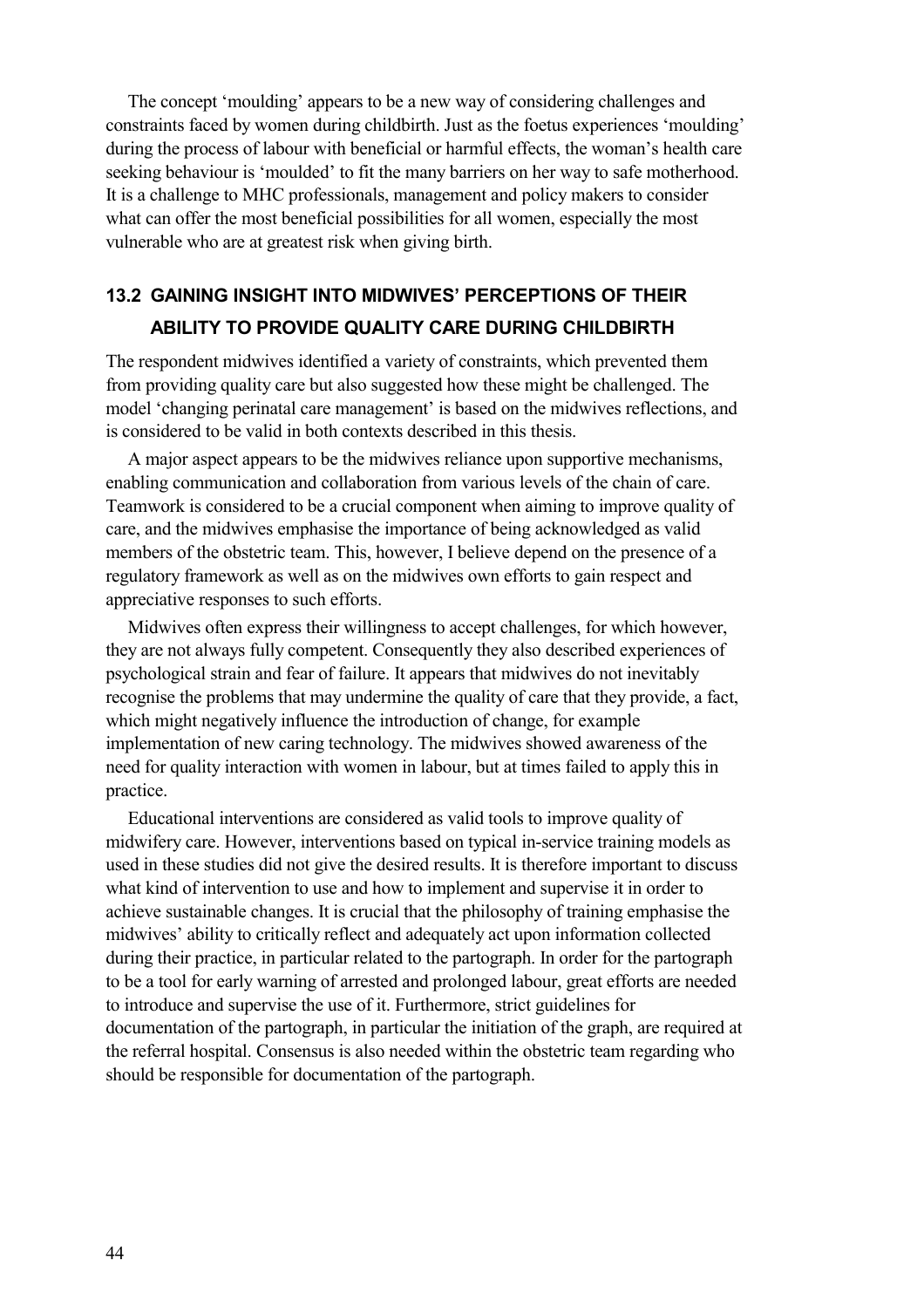The concept 'moulding' appears to be a new way of considering challenges and constraints faced by women during childbirth. Just as the foetus experiences 'moulding' during the process of labour with beneficial or harmful effects, the woman's health care seeking behaviour is 'moulded' to fit the many barriers on her way to safe motherhood. It is a challenge to MHC professionals, management and policy makers to consider what can offer the most beneficial possibilities for all women, especially the most vulnerable who are at greatest risk when giving birth.

## **13.2 GAINING INSIGHT INTO MIDWIVES' PERCEPTIONS OF THEIR ABILITY TO PROVIDE QUALITY CARE DURING CHILDBIRTH**

The respondent midwives identified a variety of constraints, which prevented them from providing quality care but also suggested how these might be challenged. The model 'changing perinatal care management' is based on the midwives reflections, and is considered to be valid in both contexts described in this thesis.

A major aspect appears to be the midwives reliance upon supportive mechanisms, enabling communication and collaboration from various levels of the chain of care. Teamwork is considered to be a crucial component when aiming to improve quality of care, and the midwives emphasise the importance of being acknowledged as valid members of the obstetric team. This, however, I believe depend on the presence of a regulatory framework as well as on the midwives own efforts to gain respect and appreciative responses to such efforts.

Midwives often express their willingness to accept challenges, for which however, they are not always fully competent. Consequently they also described experiences of psychological strain and fear of failure. It appears that midwives do not inevitably recognise the problems that may undermine the quality of care that they provide, a fact, which might negatively influence the introduction of change, for example implementation of new caring technology. The midwives showed awareness of the need for quality interaction with women in labour, but at times failed to apply this in practice.

Educational interventions are considered as valid tools to improve quality of midwifery care. However, interventions based on typical in-service training models as used in these studies did not give the desired results. It is therefore important to discuss what kind of intervention to use and how to implement and supervise it in order to achieve sustainable changes. It is crucial that the philosophy of training emphasise the midwives' ability to critically reflect and adequately act upon information collected during their practice, in particular related to the partograph. In order for the partograph to be a tool for early warning of arrested and prolonged labour, great efforts are needed to introduce and supervise the use of it. Furthermore, strict guidelines for documentation of the partograph, in particular the initiation of the graph, are required at the referral hospital. Consensus is also needed within the obstetric team regarding who should be responsible for documentation of the partograph.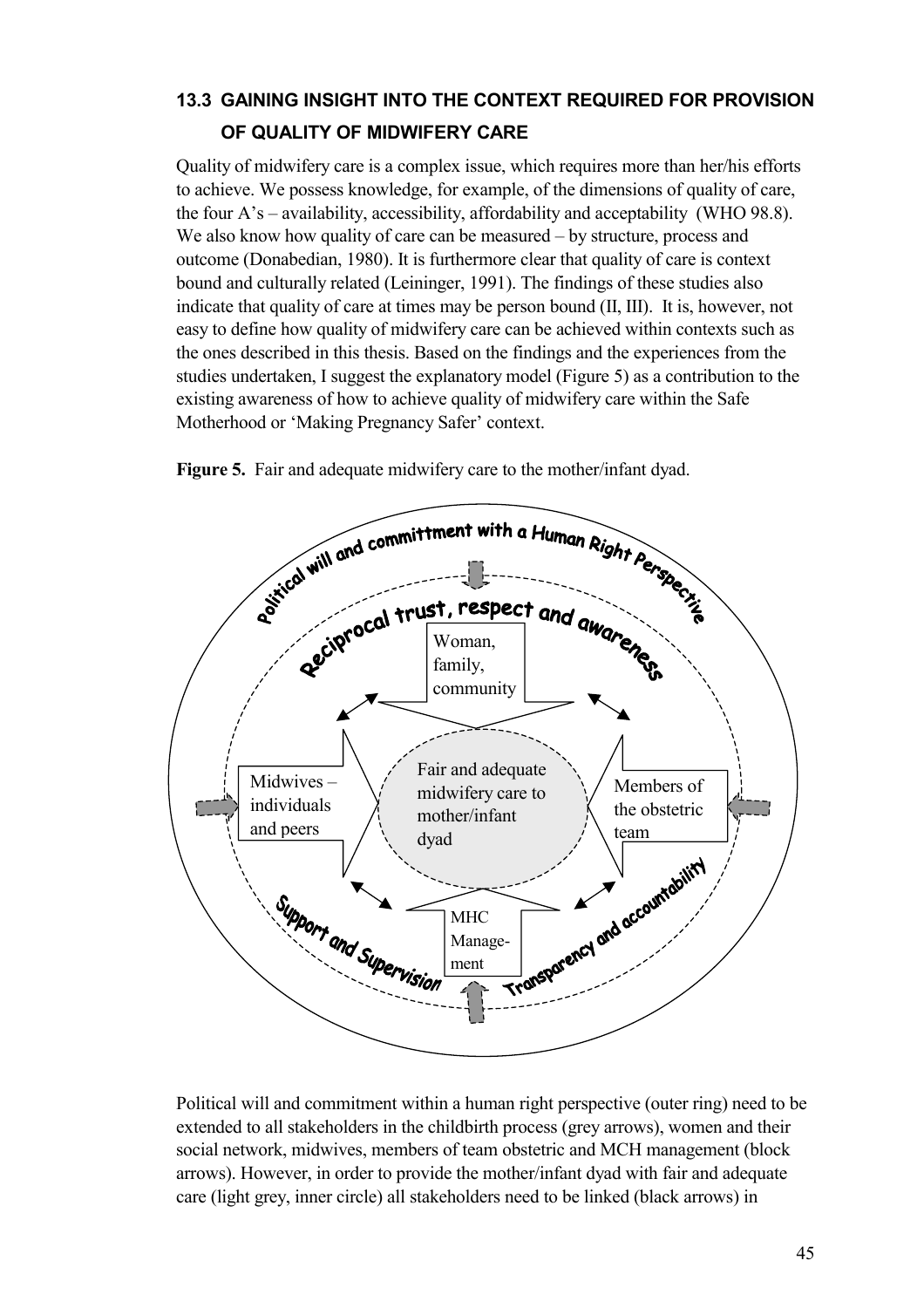## **13.3 GAINING INSIGHT INTO THE CONTEXT REQUIRED FOR PROVISION OF QUALITY OF MIDWIFERY CARE**

Quality of midwifery care is a complex issue, which requires more than her/his efforts to achieve. We possess knowledge, for example, of the dimensions of quality of care, the four A's – availability, accessibility, affordability and acceptability (WHO 98.8). We also know how quality of care can be measured – by structure, process and outcome (Donabedian, 1980). It is furthermore clear that quality of care is context bound and culturally related (Leininger, 1991). The findings of these studies also indicate that quality of care at times may be person bound (II, III). It is, however, not easy to define how quality of midwifery care can be achieved within contexts such as the ones described in this thesis. Based on the findings and the experiences from the studies undertaken, I suggest the explanatory model (Figure 5) as a contribution to the existing awareness of how to achieve quality of midwifery care within the Safe Motherhood or 'Making Pregnancy Safer' context.



**Figure 5.** Fair and adequate midwifery care to the mother/infant dyad.

Political will and commitment within a human right perspective (outer ring) need to be extended to all stakeholders in the childbirth process (grey arrows), women and their social network, midwives, members of team obstetric and MCH management (block arrows). However, in order to provide the mother/infant dyad with fair and adequate care (light grey, inner circle) all stakeholders need to be linked (black arrows) in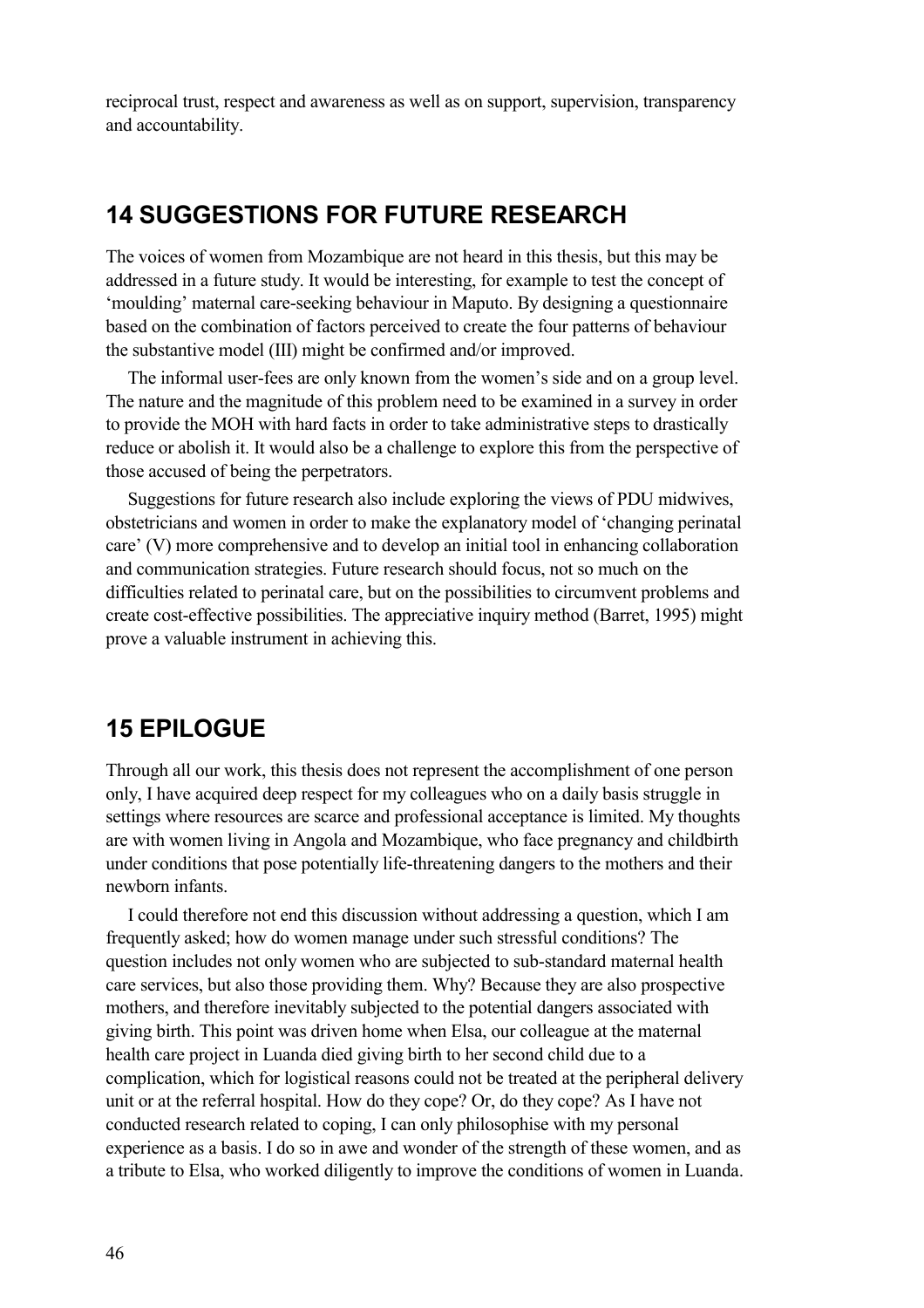reciprocal trust, respect and awareness as well as on support, supervision, transparency and accountability.

## **14 SUGGESTIONS FOR FUTURE RESEARCH**

The voices of women from Mozambique are not heard in this thesis, but this may be addressed in a future study. It would be interesting, for example to test the concept of 'moulding' maternal care-seeking behaviour in Maputo. By designing a questionnaire based on the combination of factors perceived to create the four patterns of behaviour the substantive model (III) might be confirmed and/or improved.

The informal user-fees are only known from the women's side and on a group level. The nature and the magnitude of this problem need to be examined in a survey in order to provide the MOH with hard facts in order to take administrative steps to drastically reduce or abolish it. It would also be a challenge to explore this from the perspective of those accused of being the perpetrators.

Suggestions for future research also include exploring the views of PDU midwives, obstetricians and women in order to make the explanatory model of 'changing perinatal care' (V) more comprehensive and to develop an initial tool in enhancing collaboration and communication strategies. Future research should focus, not so much on the difficulties related to perinatal care, but on the possibilities to circumvent problems and create cost-effective possibilities. The appreciative inquiry method (Barret, 1995) might prove a valuable instrument in achieving this.

## **15 EPILOGUE**

Through all our work, this thesis does not represent the accomplishment of one person only, I have acquired deep respect for my colleagues who on a daily basis struggle in settings where resources are scarce and professional acceptance is limited. My thoughts are with women living in Angola and Mozambique, who face pregnancy and childbirth under conditions that pose potentially life-threatening dangers to the mothers and their newborn infants.

I could therefore not end this discussion without addressing a question, which I am frequently asked; how do women manage under such stressful conditions? The question includes not only women who are subjected to sub-standard maternal health care services, but also those providing them. Why? Because they are also prospective mothers, and therefore inevitably subjected to the potential dangers associated with giving birth. This point was driven home when Elsa, our colleague at the maternal health care project in Luanda died giving birth to her second child due to a complication, which for logistical reasons could not be treated at the peripheral delivery unit or at the referral hospital. How do they cope? Or, do they cope? As I have not conducted research related to coping, I can only philosophise with my personal experience as a basis. I do so in awe and wonder of the strength of these women, and as a tribute to Elsa, who worked diligently to improve the conditions of women in Luanda.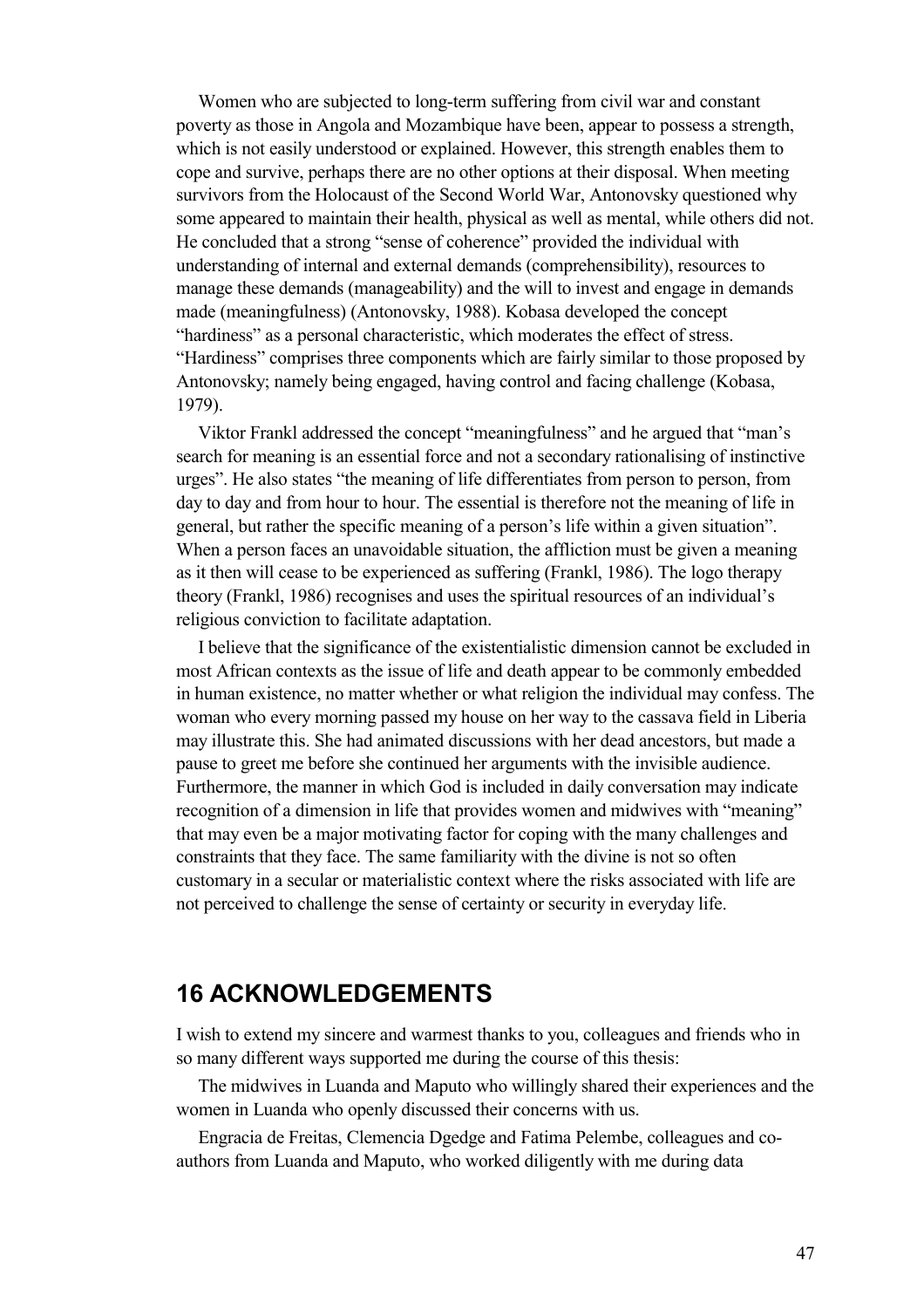Women who are subjected to long-term suffering from civil war and constant poverty as those in Angola and Mozambique have been, appear to possess a strength, which is not easily understood or explained. However, this strength enables them to cope and survive, perhaps there are no other options at their disposal. When meeting survivors from the Holocaust of the Second World War, Antonovsky questioned why some appeared to maintain their health, physical as well as mental, while others did not. He concluded that a strong "sense of coherence" provided the individual with understanding of internal and external demands (comprehensibility), resources to manage these demands (manageability) and the will to invest and engage in demands made (meaningfulness) (Antonovsky, 1988). Kobasa developed the concept "hardiness" as a personal characteristic, which moderates the effect of stress. "Hardiness" comprises three components which are fairly similar to those proposed by Antonovsky; namely being engaged, having control and facing challenge (Kobasa, 1979).

Viktor Frankl addressed the concept "meaningfulness" and he argued that "man's search for meaning is an essential force and not a secondary rationalising of instinctive urges". He also states "the meaning of life differentiates from person to person, from day to day and from hour to hour. The essential is therefore not the meaning of life in general, but rather the specific meaning of a person's life within a given situation". When a person faces an unavoidable situation, the affliction must be given a meaning as it then will cease to be experienced as suffering (Frankl, 1986). The logo therapy theory (Frankl, 1986) recognises and uses the spiritual resources of an individual's religious conviction to facilitate adaptation.

I believe that the significance of the existentialistic dimension cannot be excluded in most African contexts as the issue of life and death appear to be commonly embedded in human existence, no matter whether or what religion the individual may confess. The woman who every morning passed my house on her way to the cassava field in Liberia may illustrate this. She had animated discussions with her dead ancestors, but made a pause to greet me before she continued her arguments with the invisible audience. Furthermore, the manner in which God is included in daily conversation may indicate recognition of a dimension in life that provides women and midwives with "meaning" that may even be a major motivating factor for coping with the many challenges and constraints that they face. The same familiarity with the divine is not so often customary in a secular or materialistic context where the risks associated with life are not perceived to challenge the sense of certainty or security in everyday life.

## **16 ACKNOWLEDGEMENTS**

I wish to extend my sincere and warmest thanks to you, colleagues and friends who in so many different ways supported me during the course of this thesis:

The midwives in Luanda and Maputo who willingly shared their experiences and the women in Luanda who openly discussed their concerns with us.

Engracia de Freitas, Clemencia Dgedge and Fatima Pelembe, colleagues and coauthors from Luanda and Maputo, who worked diligently with me during data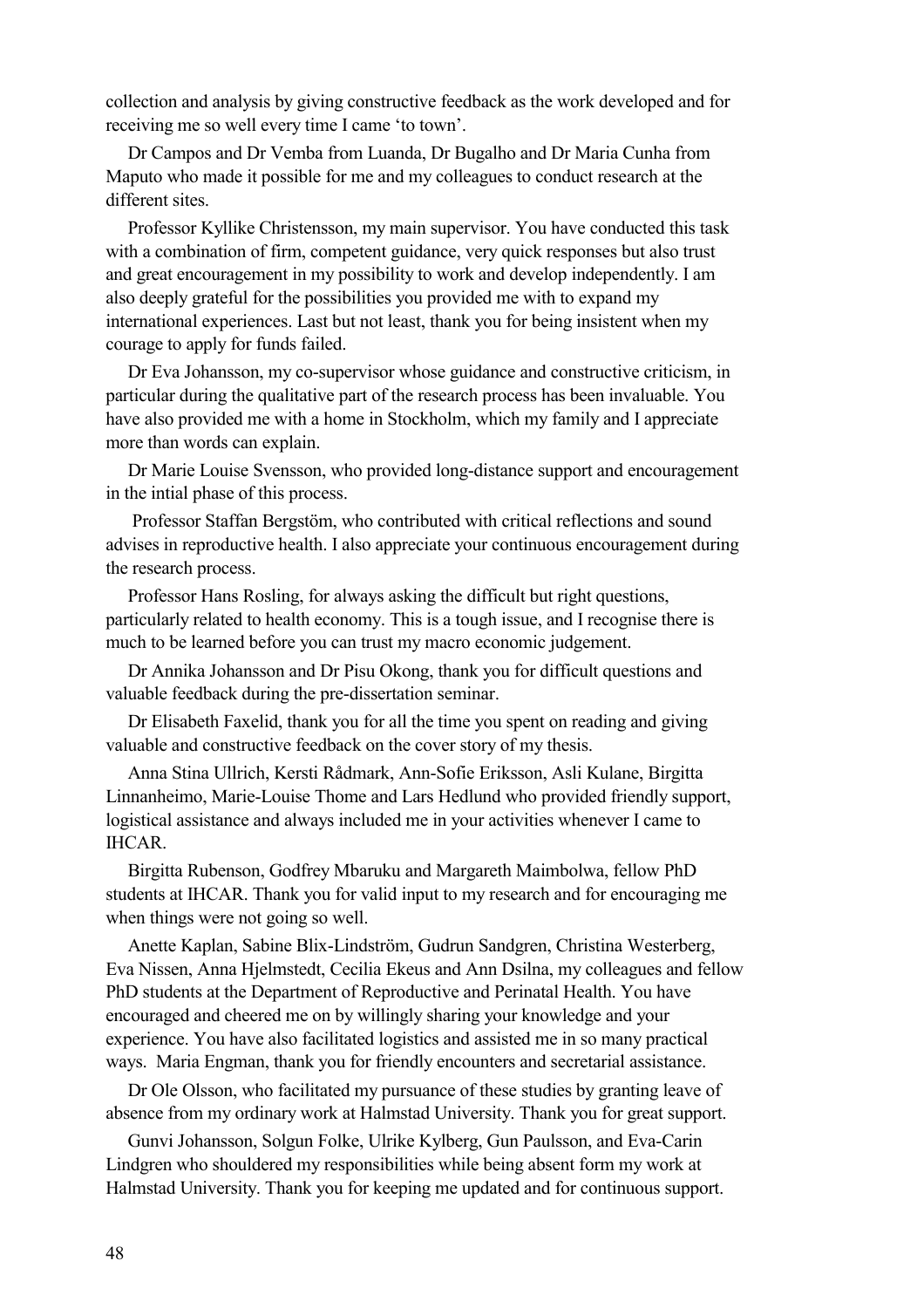collection and analysis by giving constructive feedback as the work developed and for receiving me so well every time I came 'to town'.

Dr Campos and Dr Vemba from Luanda, Dr Bugalho and Dr Maria Cunha from Maputo who made it possible for me and my colleagues to conduct research at the different sites.

Professor Kyllike Christensson, my main supervisor. You have conducted this task with a combination of firm, competent guidance, very quick responses but also trust and great encouragement in my possibility to work and develop independently. I am also deeply grateful for the possibilities you provided me with to expand my international experiences. Last but not least, thank you for being insistent when my courage to apply for funds failed.

Dr Eva Johansson, my co-supervisor whose guidance and constructive criticism, in particular during the qualitative part of the research process has been invaluable. You have also provided me with a home in Stockholm, which my family and I appreciate more than words can explain.

Dr Marie Louise Svensson, who provided long-distance support and encouragement in the intial phase of this process.

 Professor Staffan Bergstöm, who contributed with critical reflections and sound advises in reproductive health. I also appreciate your continuous encouragement during the research process.

Professor Hans Rosling, for always asking the difficult but right questions, particularly related to health economy. This is a tough issue, and I recognise there is much to be learned before you can trust my macro economic judgement.

Dr Annika Johansson and Dr Pisu Okong, thank you for difficult questions and valuable feedback during the pre-dissertation seminar.

Dr Elisabeth Faxelid, thank you for all the time you spent on reading and giving valuable and constructive feedback on the cover story of my thesis.

Anna Stina Ullrich, Kersti Rådmark, Ann-Sofie Eriksson, Asli Kulane, Birgitta Linnanheimo, Marie-Louise Thome and Lars Hedlund who provided friendly support, logistical assistance and always included me in your activities whenever I came to IHCAR.

Birgitta Rubenson, Godfrey Mbaruku and Margareth Maimbolwa, fellow PhD students at IHCAR. Thank you for valid input to my research and for encouraging me when things were not going so well.

Anette Kaplan, Sabine Blix-Lindström, Gudrun Sandgren, Christina Westerberg, Eva Nissen, Anna Hjelmstedt, Cecilia Ekeus and Ann Dsilna, my colleagues and fellow PhD students at the Department of Reproductive and Perinatal Health. You have encouraged and cheered me on by willingly sharing your knowledge and your experience. You have also facilitated logistics and assisted me in so many practical ways. Maria Engman, thank you for friendly encounters and secretarial assistance.

Dr Ole Olsson, who facilitated my pursuance of these studies by granting leave of absence from my ordinary work at Halmstad University. Thank you for great support.

Gunvi Johansson, Solgun Folke, Ulrike Kylberg, Gun Paulsson, and Eva-Carin Lindgren who shouldered my responsibilities while being absent form my work at Halmstad University. Thank you for keeping me updated and for continuous support.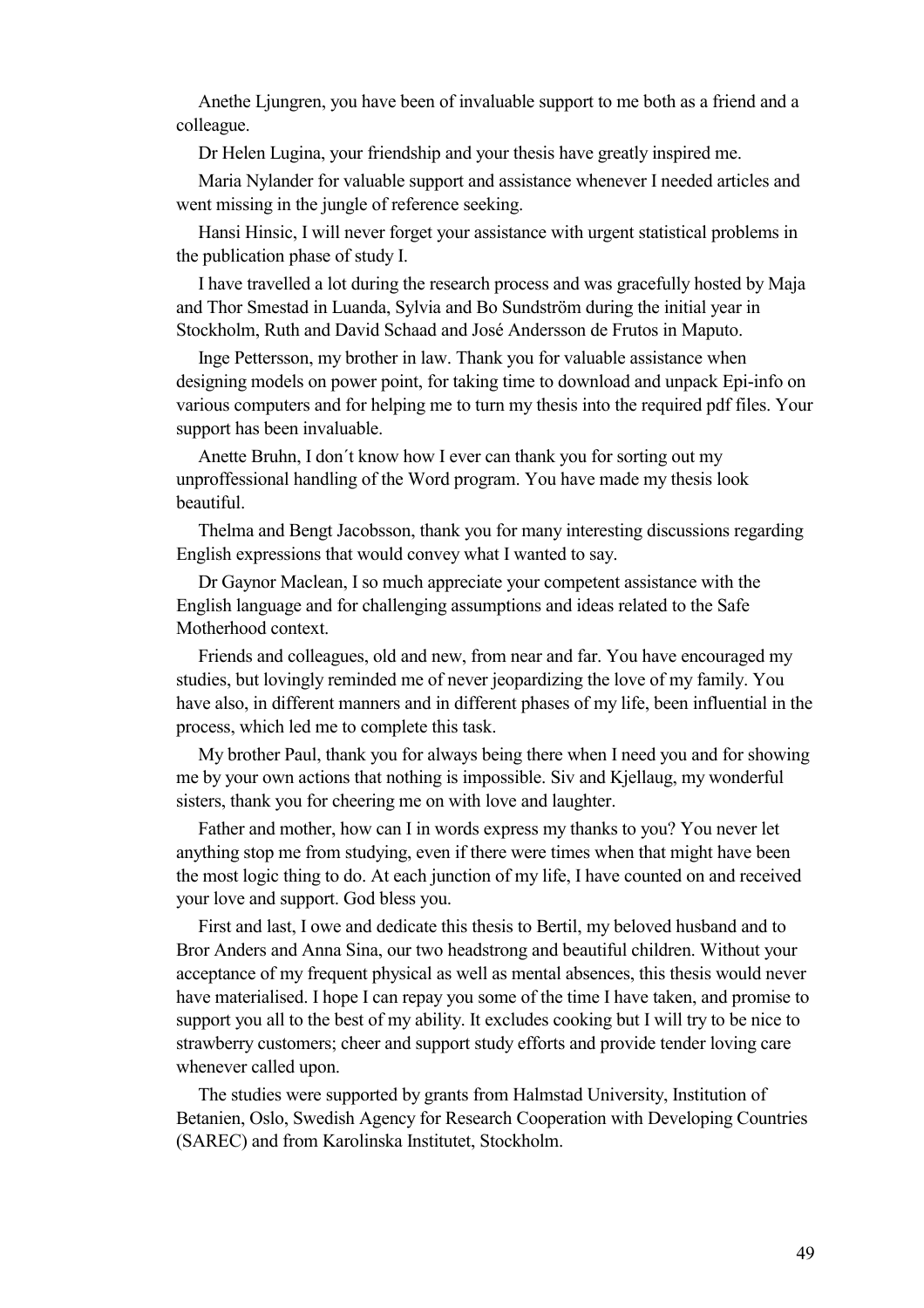Anethe Ljungren, you have been of invaluable support to me both as a friend and a colleague.

Dr Helen Lugina, your friendship and your thesis have greatly inspired me.

Maria Nylander for valuable support and assistance whenever I needed articles and went missing in the jungle of reference seeking.

Hansi Hinsic, I will never forget your assistance with urgent statistical problems in the publication phase of study I.

I have travelled a lot during the research process and was gracefully hosted by Maja and Thor Smestad in Luanda, Sylvia and Bo Sundström during the initial year in Stockholm, Ruth and David Schaad and José Andersson de Frutos in Maputo.

Inge Pettersson, my brother in law. Thank you for valuable assistance when designing models on power point, for taking time to download and unpack Epi-info on various computers and for helping me to turn my thesis into the required pdf files. Your support has been invaluable.

Anette Bruhn, I don´t know how I ever can thank you for sorting out my unproffessional handling of the Word program. You have made my thesis look beautiful.

Thelma and Bengt Jacobsson, thank you for many interesting discussions regarding English expressions that would convey what I wanted to say.

Dr Gaynor Maclean, I so much appreciate your competent assistance with the English language and for challenging assumptions and ideas related to the Safe Motherhood context.

Friends and colleagues, old and new, from near and far. You have encouraged my studies, but lovingly reminded me of never jeopardizing the love of my family. You have also, in different manners and in different phases of my life, been influential in the process, which led me to complete this task.

My brother Paul, thank you for always being there when I need you and for showing me by your own actions that nothing is impossible. Siv and Kjellaug, my wonderful sisters, thank you for cheering me on with love and laughter.

Father and mother, how can I in words express my thanks to you? You never let anything stop me from studying, even if there were times when that might have been the most logic thing to do. At each junction of my life, I have counted on and received your love and support. God bless you.

First and last, I owe and dedicate this thesis to Bertil, my beloved husband and to Bror Anders and Anna Sina, our two headstrong and beautiful children. Without your acceptance of my frequent physical as well as mental absences, this thesis would never have materialised. I hope I can repay you some of the time I have taken, and promise to support you all to the best of my ability. It excludes cooking but I will try to be nice to strawberry customers; cheer and support study efforts and provide tender loving care whenever called upon.

The studies were supported by grants from Halmstad University, Institution of Betanien, Oslo, Swedish Agency for Research Cooperation with Developing Countries (SAREC) and from Karolinska Institutet, Stockholm.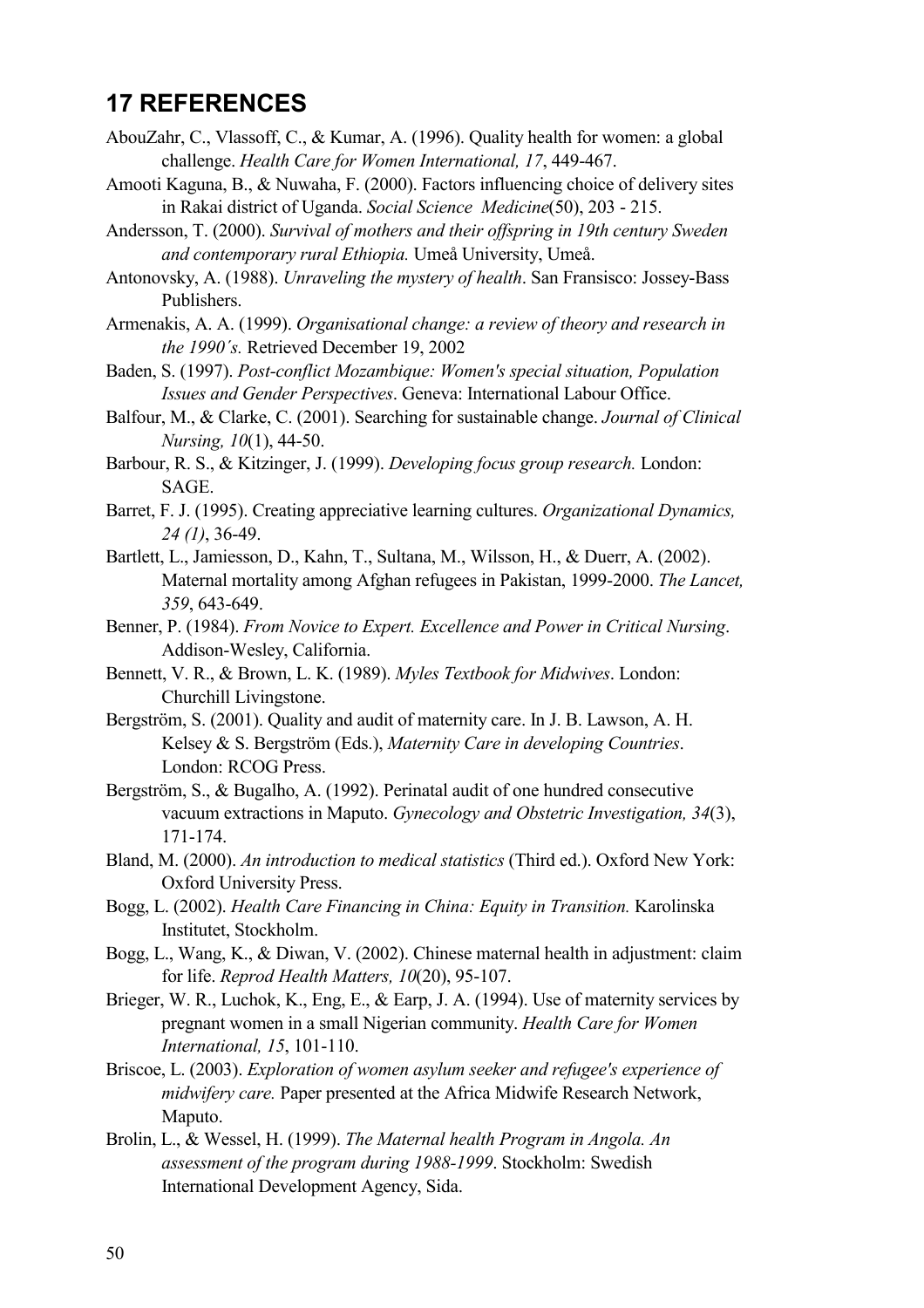## **17 REFERENCES**

- AbouZahr, C., Vlassoff, C., & Kumar, A. (1996). Quality health for women: a global challenge. *Health Care for Women International, 17*, 449-467.
- Amooti Kaguna, B., & Nuwaha, F. (2000). Factors influencing choice of delivery sites in Rakai district of Uganda. *Social Science Medicine*(50), 203 - 215.
- Andersson, T. (2000). *Survival of mothers and their offspring in 19th century Sweden and contemporary rural Ethiopia.* Umeå University, Umeå.
- Antonovsky, A. (1988). *Unraveling the mystery of health*. San Fransisco: Jossey-Bass Publishers.
- Armenakis, A. A. (1999). *Organisational change: a review of theory and research in the 1990´s.* Retrieved December 19, 2002
- Baden, S. (1997). *Post-conflict Mozambique: Women's special situation, Population Issues and Gender Perspectives*. Geneva: International Labour Office.
- Balfour, M., & Clarke, C. (2001). Searching for sustainable change. *Journal of Clinical Nursing, 10*(1), 44-50.
- Barbour, R. S., & Kitzinger, J. (1999). *Developing focus group research.* London: **SAGE**
- Barret, F. J. (1995). Creating appreciative learning cultures. *Organizational Dynamics, 24 (1)*, 36-49.
- Bartlett, L., Jamiesson, D., Kahn, T., Sultana, M., Wilsson, H., & Duerr, A. (2002). Maternal mortality among Afghan refugees in Pakistan, 1999-2000. *The Lancet, 359*, 643-649.
- Benner, P. (1984). *From Novice to Expert. Excellence and Power in Critical Nursing*. Addison-Wesley, California.
- Bennett, V. R., & Brown, L. K. (1989). *Myles Textbook for Midwives*. London: Churchill Livingstone.
- Bergström, S. (2001). Quality and audit of maternity care. In J. B. Lawson, A. H. Kelsey & S. Bergström (Eds.), *Maternity Care in developing Countries*. London: RCOG Press.
- Bergström, S., & Bugalho, A. (1992). Perinatal audit of one hundred consecutive vacuum extractions in Maputo. *Gynecology and Obstetric Investigation, 34*(3), 171-174.
- Bland, M. (2000). *An introduction to medical statistics* (Third ed.). Oxford New York: Oxford University Press.
- Bogg, L. (2002). *Health Care Financing in China: Equity in Transition.* Karolinska Institutet, Stockholm.
- Bogg, L., Wang, K., & Diwan, V. (2002). Chinese maternal health in adjustment: claim for life. *Reprod Health Matters, 10*(20), 95-107.
- Brieger, W. R., Luchok, K., Eng, E., & Earp, J. A. (1994). Use of maternity services by pregnant women in a small Nigerian community. *Health Care for Women International, 15*, 101-110.
- Briscoe, L. (2003). *Exploration of women asylum seeker and refugee's experience of midwifery care.* Paper presented at the Africa Midwife Research Network, Maputo.
- Brolin, L., & Wessel, H. (1999). *The Maternal health Program in Angola. An assessment of the program during 1988-1999*. Stockholm: Swedish International Development Agency, Sida.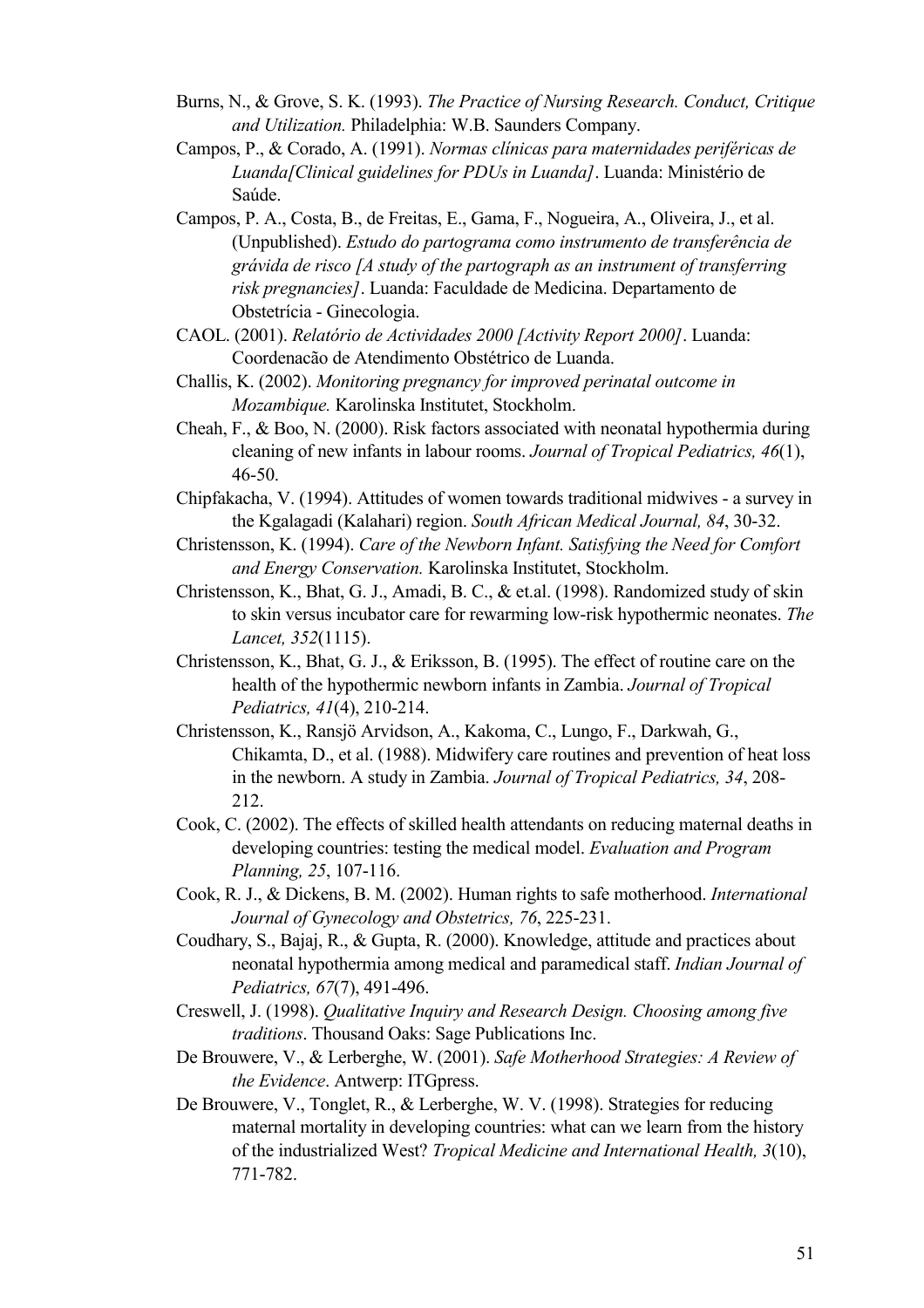- Burns, N., & Grove, S. K. (1993). *The Practice of Nursing Research. Conduct, Critique and Utilization.* Philadelphia: W.B. Saunders Company.
- Campos, P., & Corado, A. (1991). *Normas clínicas para maternidades periféricas de Luanda[Clinical guidelines for PDUs in Luanda]*. Luanda: Ministério de Saúde.
- Campos, P. A., Costa, B., de Freitas, E., Gama, F., Nogueira, A., Oliveira, J., et al. (Unpublished). *Estudo do partograma como instrumento de transferência de grávida de risco [A study of the partograph as an instrument of transferring risk pregnancies]*. Luanda: Faculdade de Medicina. Departamento de Obstetrícia - Ginecologia.
- CAOL. (2001). *Relatório de Actividades 2000 [Activity Report 2000]*. Luanda: Coordenacão de Atendimento Obstétrico de Luanda.
- Challis, K. (2002). *Monitoring pregnancy for improved perinatal outcome in Mozambique.* Karolinska Institutet, Stockholm.
- Cheah, F., & Boo, N. (2000). Risk factors associated with neonatal hypothermia during cleaning of new infants in labour rooms. *Journal of Tropical Pediatrics, 46*(1), 46-50.
- Chipfakacha, V. (1994). Attitudes of women towards traditional midwives a survey in the Kgalagadi (Kalahari) region. *South African Medical Journal, 84*, 30-32.
- Christensson, K. (1994). *Care of the Newborn Infant. Satisfying the Need for Comfort and Energy Conservation.* Karolinska Institutet, Stockholm.
- Christensson, K., Bhat, G. J., Amadi, B. C., & et.al. (1998). Randomized study of skin to skin versus incubator care for rewarming low-risk hypothermic neonates. *The Lancet, 352*(1115).
- Christensson, K., Bhat, G. J., & Eriksson, B. (1995). The effect of routine care on the health of the hypothermic newborn infants in Zambia. *Journal of Tropical Pediatrics, 41*(4), 210-214.
- Christensson, K., Ransjö Arvidson, A., Kakoma, C., Lungo, F., Darkwah, G., Chikamta, D., et al. (1988). Midwifery care routines and prevention of heat loss in the newborn. A study in Zambia. *Journal of Tropical Pediatrics, 34*, 208- 212.
- Cook, C. (2002). The effects of skilled health attendants on reducing maternal deaths in developing countries: testing the medical model. *Evaluation and Program Planning, 25*, 107-116.
- Cook, R. J., & Dickens, B. M. (2002). Human rights to safe motherhood. *International Journal of Gynecology and Obstetrics, 76*, 225-231.
- Coudhary, S., Bajaj, R., & Gupta, R. (2000). Knowledge, attitude and practices about neonatal hypothermia among medical and paramedical staff. *Indian Journal of Pediatrics, 67*(7), 491-496.
- Creswell, J. (1998). *Qualitative Inquiry and Research Design. Choosing among five traditions*. Thousand Oaks: Sage Publications Inc.
- De Brouwere, V., & Lerberghe, W. (2001). *Safe Motherhood Strategies: A Review of the Evidence*. Antwerp: ITGpress.
- De Brouwere, V., Tonglet, R., & Lerberghe, W. V. (1998). Strategies for reducing maternal mortality in developing countries: what can we learn from the history of the industrialized West? *Tropical Medicine and International Health, 3*(10), 771-782.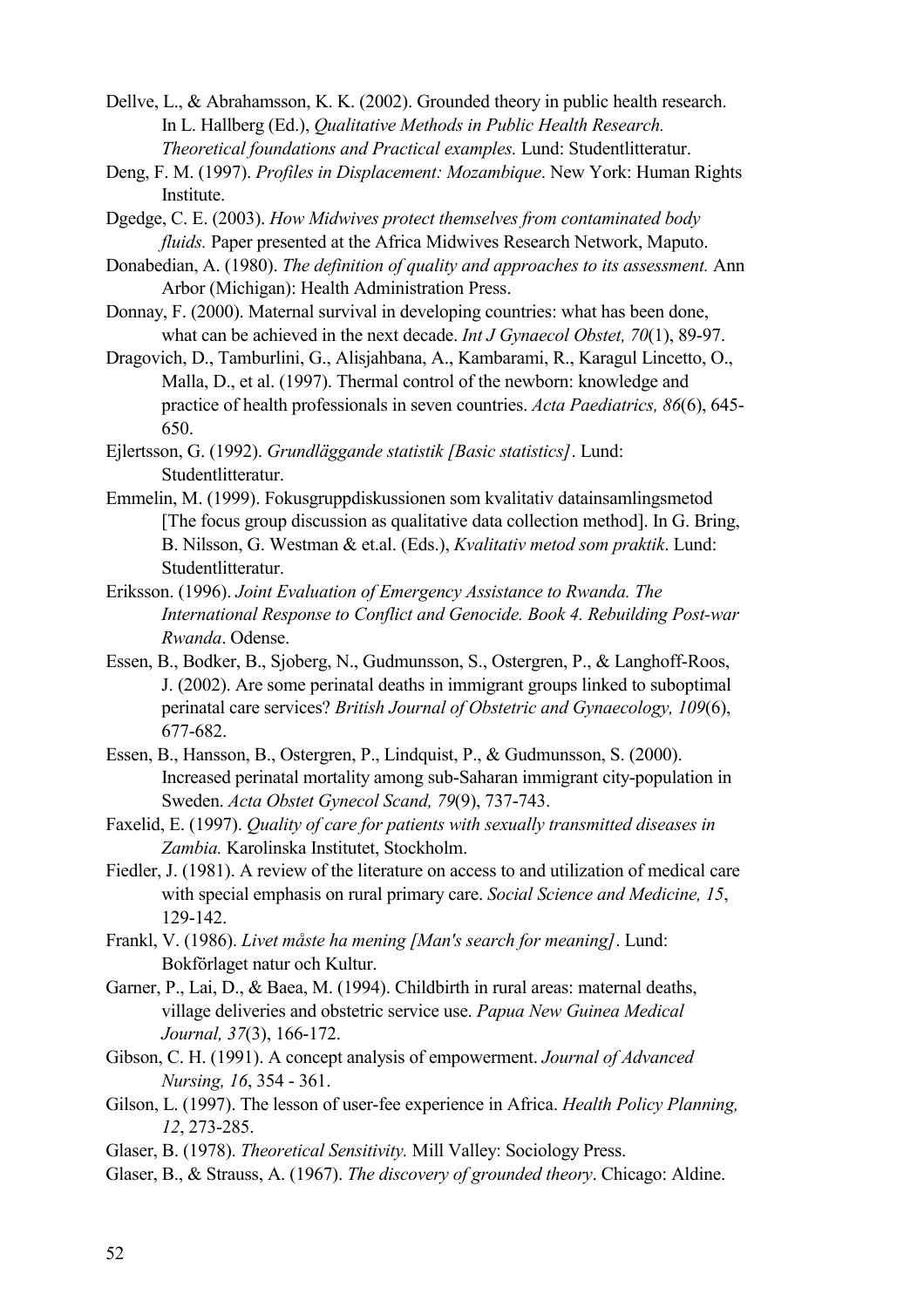Dellve, L., & Abrahamsson, K. K. (2002). Grounded theory in public health research. In L. Hallberg (Ed.), *Qualitative Methods in Public Health Research. Theoretical foundations and Practical examples.* Lund: Studentlitteratur.

- Deng, F. M. (1997). *Profiles in Displacement: Mozambique*. New York: Human Rights Institute.
- Dgedge, C. E. (2003). *How Midwives protect themselves from contaminated body fluids.* Paper presented at the Africa Midwives Research Network, Maputo.
- Donabedian, A. (1980). *The definition of quality and approaches to its assessment.* Ann Arbor (Michigan): Health Administration Press.
- Donnay, F. (2000). Maternal survival in developing countries: what has been done, what can be achieved in the next decade. *Int J Gynaecol Obstet, 70*(1), 89-97.
- Dragovich, D., Tamburlini, G., Alisjahbana, A., Kambarami, R., Karagul Lincetto, O., Malla, D., et al. (1997). Thermal control of the newborn: knowledge and practice of health professionals in seven countries. *Acta Paediatrics, 86*(6), 645- 650.
- Ejlertsson, G. (1992). *Grundläggande statistik [Basic statistics]*. Lund: Studentlitteratur.
- Emmelin, M. (1999). Fokusgruppdiskussionen som kvalitativ datainsamlingsmetod [The focus group discussion as qualitative data collection method]. In G. Bring, B. Nilsson, G. Westman & et.al. (Eds.), *Kvalitativ metod som praktik*. Lund: Studentlitteratur.
- Eriksson. (1996). *Joint Evaluation of Emergency Assistance to Rwanda. The International Response to Conflict and Genocide. Book 4. Rebuilding Post-war Rwanda*. Odense.
- Essen, B., Bodker, B., Sjoberg, N., Gudmunsson, S., Ostergren, P., & Langhoff-Roos, J. (2002). Are some perinatal deaths in immigrant groups linked to suboptimal perinatal care services? *British Journal of Obstetric and Gynaecology, 109*(6), 677-682.
- Essen, B., Hansson, B., Ostergren, P., Lindquist, P., & Gudmunsson, S. (2000). Increased perinatal mortality among sub-Saharan immigrant city-population in Sweden. *Acta Obstet Gynecol Scand, 79*(9), 737-743.
- Faxelid, E. (1997). *Quality of care for patients with sexually transmitted diseases in Zambia.* Karolinska Institutet, Stockholm.
- Fiedler, J. (1981). A review of the literature on access to and utilization of medical care with special emphasis on rural primary care. *Social Science and Medicine, 15*, 129-142.
- Frankl, V. (1986). *Livet måste ha mening [Man's search for meaning]*. Lund: Bokförlaget natur och Kultur.
- Garner, P., Lai, D., & Baea, M. (1994). Childbirth in rural areas: maternal deaths, village deliveries and obstetric service use. *Papua New Guinea Medical Journal, 37*(3), 166-172.
- Gibson, C. H. (1991). A concept analysis of empowerment. *Journal of Advanced Nursing, 16*, 354 - 361.
- Gilson, L. (1997). The lesson of user-fee experience in Africa. *Health Policy Planning, 12*, 273-285.
- Glaser, B. (1978). *Theoretical Sensitivity.* Mill Valley: Sociology Press.
- Glaser, B., & Strauss, A. (1967). *The discovery of grounded theory*. Chicago: Aldine.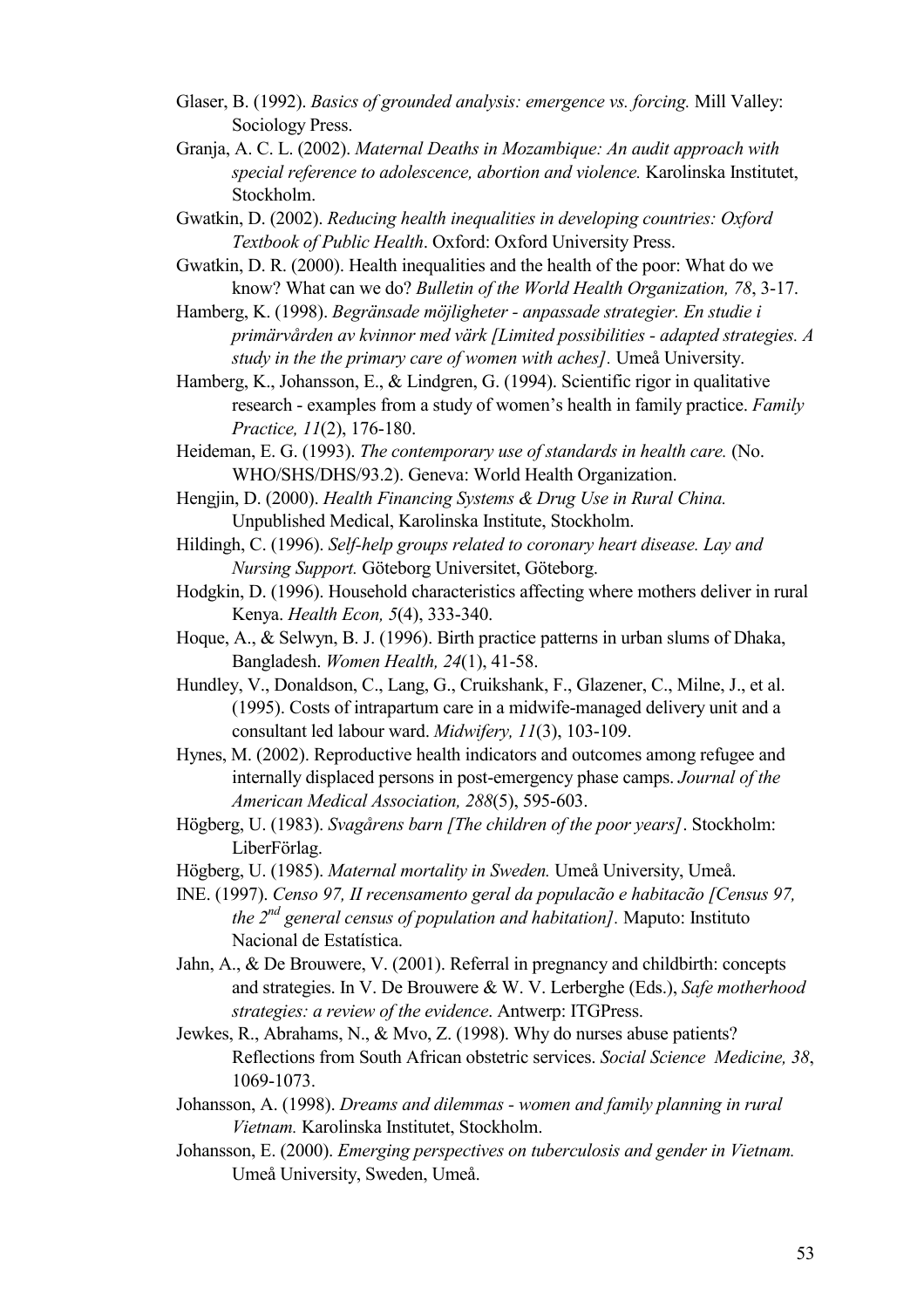- Glaser, B. (1992). *Basics of grounded analysis: emergence vs. forcing.* Mill Valley: Sociology Press.
- Granja, A. C. L. (2002). *Maternal Deaths in Mozambique: An audit approach with special reference to adolescence, abortion and violence.* Karolinska Institutet, Stockholm.
- Gwatkin, D. (2002). *Reducing health inequalities in developing countries: Oxford Textbook of Public Health*. Oxford: Oxford University Press.
- Gwatkin, D. R. (2000). Health inequalities and the health of the poor: What do we know? What can we do? *Bulletin of the World Health Organization, 78*, 3-17.
- Hamberg, K. (1998). *Begränsade möjligheter anpassade strategier. En studie i primärvården av kvinnor med värk [Limited possibilities - adapted strategies. A study in the the primary care of women with aches].* Umeå University.
- Hamberg, K., Johansson, E., & Lindgren, G. (1994). Scientific rigor in qualitative research - examples from a study of women's health in family practice. *Family Practice, 11*(2), 176-180.
- Heideman, E. G. (1993). *The contemporary use of standards in health care.* (No. WHO/SHS/DHS/93.2). Geneva: World Health Organization.
- Hengjin, D. (2000). *Health Financing Systems & Drug Use in Rural China.* Unpublished Medical, Karolinska Institute, Stockholm.
- Hildingh, C. (1996). *Self-help groups related to coronary heart disease. Lay and Nursing Support.* Göteborg Universitet, Göteborg.
- Hodgkin, D. (1996). Household characteristics affecting where mothers deliver in rural Kenya. *Health Econ, 5*(4), 333-340.
- Hoque, A., & Selwyn, B. J. (1996). Birth practice patterns in urban slums of Dhaka, Bangladesh. *Women Health, 24*(1), 41-58.
- Hundley, V., Donaldson, C., Lang, G., Cruikshank, F., Glazener, C., Milne, J., et al. (1995). Costs of intrapartum care in a midwife-managed delivery unit and a consultant led labour ward. *Midwifery, 11*(3), 103-109.
- Hynes, M. (2002). Reproductive health indicators and outcomes among refugee and internally displaced persons in post-emergency phase camps. *Journal of the American Medical Association, 288*(5), 595-603.
- Högberg, U. (1983). *Svagårens barn [The children of the poor years]*. Stockholm: LiberFörlag.
- Högberg, U. (1985). *Maternal mortality in Sweden.* Umeå University, Umeå.
- INE. (1997). *Censo 97, II recensamento geral da populacão e habitacão [Census 97, the 2nd general census of population and habitation].* Maputo: Instituto Nacional de Estatística.
- Jahn, A., & De Brouwere, V. (2001). Referral in pregnancy and childbirth: concepts and strategies. In V. De Brouwere & W. V. Lerberghe (Eds.), *Safe motherhood strategies: a review of the evidence*. Antwerp: ITGPress.
- Jewkes, R., Abrahams, N., & Mvo, Z. (1998). Why do nurses abuse patients? Reflections from South African obstetric services. *Social Science Medicine, 38*, 1069-1073.
- Johansson, A. (1998). *Dreams and dilemmas women and family planning in rural Vietnam.* Karolinska Institutet, Stockholm.
- Johansson, E. (2000). *Emerging perspectives on tuberculosis and gender in Vietnam.* Umeå University, Sweden, Umeå.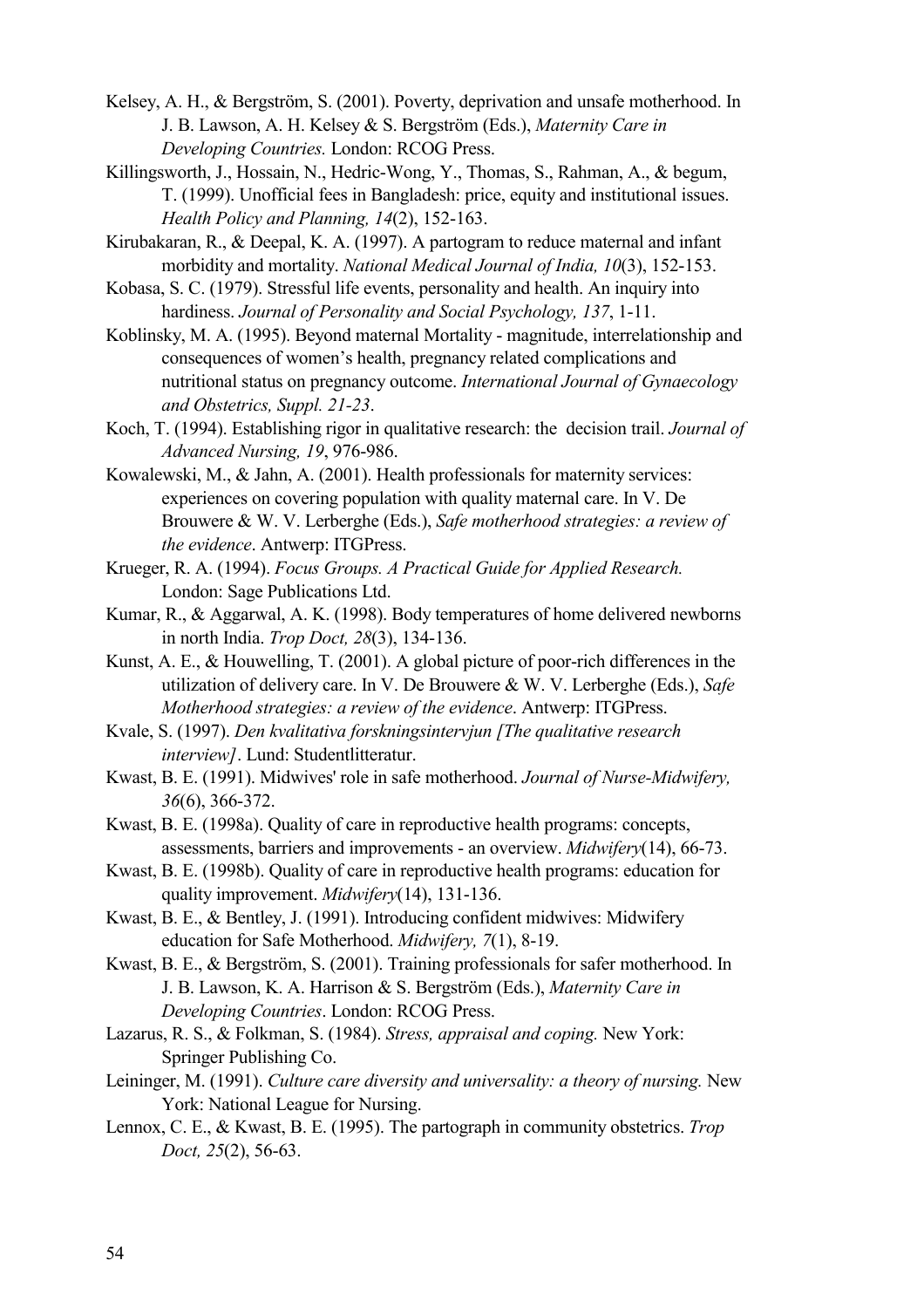- Kelsey, A. H., & Bergström, S. (2001). Poverty, deprivation and unsafe motherhood. In J. B. Lawson, A. H. Kelsey & S. Bergström (Eds.), *Maternity Care in Developing Countries.* London: RCOG Press.
- Killingsworth, J., Hossain, N., Hedric-Wong, Y., Thomas, S., Rahman, A., & begum, T. (1999). Unofficial fees in Bangladesh: price, equity and institutional issues. *Health Policy and Planning, 14*(2), 152-163.
- Kirubakaran, R., & Deepal, K. A. (1997). A partogram to reduce maternal and infant morbidity and mortality. *National Medical Journal of India, 10*(3), 152-153.
- Kobasa, S. C. (1979). Stressful life events, personality and health. An inquiry into hardiness. *Journal of Personality and Social Psychology, 137*, 1-11.
- Koblinsky, M. A. (1995). Beyond maternal Mortality magnitude, interrelationship and consequences of women's health, pregnancy related complications and nutritional status on pregnancy outcome. *International Journal of Gynaecology and Obstetrics, Suppl. 21-23*.
- Koch, T. (1994). Establishing rigor in qualitative research: the decision trail. *Journal of Advanced Nursing, 19*, 976-986.
- Kowalewski, M., & Jahn, A. (2001). Health professionals for maternity services: experiences on covering population with quality maternal care. In V. De Brouwere & W. V. Lerberghe (Eds.), *Safe motherhood strategies: a review of the evidence*. Antwerp: ITGPress.
- Krueger, R. A. (1994). *Focus Groups. A Practical Guide for Applied Research.* London: Sage Publications Ltd.
- Kumar, R., & Aggarwal, A. K. (1998). Body temperatures of home delivered newborns in north India. *Trop Doct, 28*(3), 134-136.
- Kunst, A. E., & Houwelling, T. (2001). A global picture of poor-rich differences in the utilization of delivery care. In V. De Brouwere & W. V. Lerberghe (Eds.), *Safe Motherhood strategies: a review of the evidence*. Antwerp: ITGPress.
- Kvale, S. (1997). *Den kvalitativa forskningsintervjun [The qualitative research interview]*. Lund: Studentlitteratur.
- Kwast, B. E. (1991). Midwives' role in safe motherhood. *Journal of Nurse-Midwifery, 36*(6), 366-372.
- Kwast, B. E. (1998a). Quality of care in reproductive health programs: concepts, assessments, barriers and improvements - an overview. *Midwifery*(14), 66-73.
- Kwast, B. E. (1998b). Quality of care in reproductive health programs: education for quality improvement. *Midwifery*(14), 131-136.
- Kwast, B. E., & Bentley, J. (1991). Introducing confident midwives: Midwifery education for Safe Motherhood. *Midwifery, 7*(1), 8-19.
- Kwast, B. E., & Bergström, S. (2001). Training professionals for safer motherhood. In J. B. Lawson, K. A. Harrison & S. Bergström (Eds.), *Maternity Care in Developing Countries*. London: RCOG Press.
- Lazarus, R. S., & Folkman, S. (1984). *Stress, appraisal and coping.* New York: Springer Publishing Co.
- Leininger, M. (1991). *Culture care diversity and universality: a theory of nursing.* New York: National League for Nursing.
- Lennox, C. E., & Kwast, B. E. (1995). The partograph in community obstetrics. *Trop Doct, 25*(2), 56-63.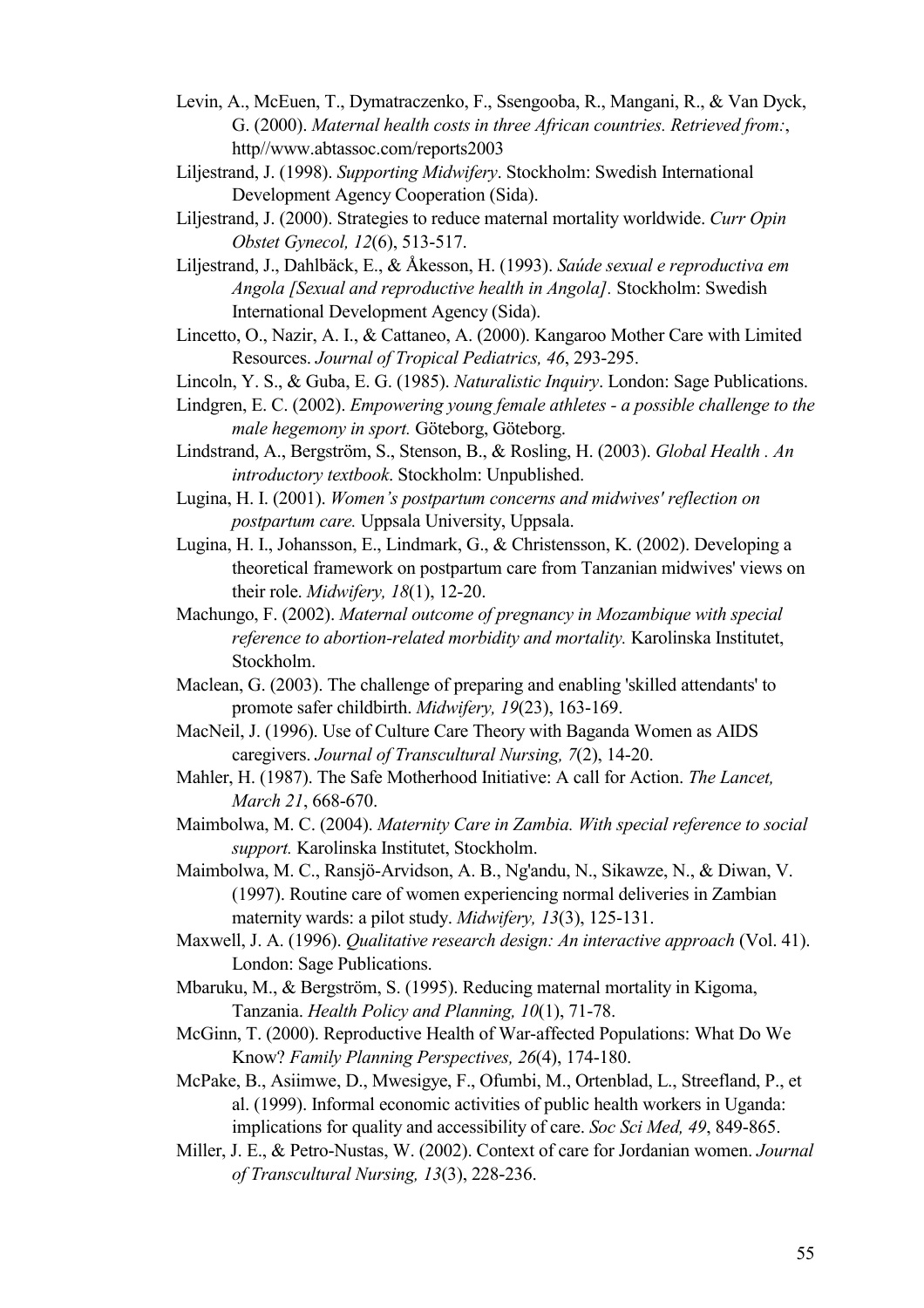- Levin, A., McEuen, T., Dymatraczenko, F., Ssengooba, R., Mangani, R., & Van Dyck, G. (2000). *Maternal health costs in three African countries. Retrieved from:*, http//www.abtassoc.com/reports2003
- Liljestrand, J. (1998). *Supporting Midwifery*. Stockholm: Swedish International Development Agency Cooperation (Sida).
- Liljestrand, J. (2000). Strategies to reduce maternal mortality worldwide. *Curr Opin Obstet Gynecol, 12*(6), 513-517.

Liljestrand, J., Dahlbäck, E., & Åkesson, H. (1993). *Saúde sexual e reproductiva em Angola [Sexual and reproductive health in Angola].* Stockholm: Swedish International Development Agency (Sida).

- Lincetto, O., Nazir, A. I., & Cattaneo, A. (2000). Kangaroo Mother Care with Limited Resources. *Journal of Tropical Pediatrics, 46*, 293-295.
- Lincoln, Y. S., & Guba, E. G. (1985). *Naturalistic Inquiry*. London: Sage Publications.
- Lindgren, E. C. (2002). *Empowering young female athletes a possible challenge to the male hegemony in sport.* Göteborg, Göteborg.
- Lindstrand, A., Bergström, S., Stenson, B., & Rosling, H. (2003). *Global Health . An introductory textbook*. Stockholm: Unpublished.
- Lugina, H. I. (2001). *Women's postpartum concerns and midwives' reflection on postpartum care.* Uppsala University, Uppsala.
- Lugina, H. I., Johansson, E., Lindmark, G., & Christensson, K. (2002). Developing a theoretical framework on postpartum care from Tanzanian midwives' views on their role. *Midwifery, 18*(1), 12-20.
- Machungo, F. (2002). *Maternal outcome of pregnancy in Mozambique with special reference to abortion-related morbidity and mortality.* Karolinska Institutet, Stockholm.
- Maclean, G. (2003). The challenge of preparing and enabling 'skilled attendants' to promote safer childbirth. *Midwifery, 19*(23), 163-169.
- MacNeil, J. (1996). Use of Culture Care Theory with Baganda Women as AIDS caregivers. *Journal of Transcultural Nursing, 7*(2), 14-20.
- Mahler, H. (1987). The Safe Motherhood Initiative: A call for Action. *The Lancet, March 21*, 668-670.
- Maimbolwa, M. C. (2004). *Maternity Care in Zambia. With special reference to social support.* Karolinska Institutet, Stockholm.
- Maimbolwa, M. C., Ransjö-Arvidson, A. B., Ng'andu, N., Sikawze, N., & Diwan, V. (1997). Routine care of women experiencing normal deliveries in Zambian maternity wards: a pilot study. *Midwifery, 13*(3), 125-131.
- Maxwell, J. A. (1996). *Qualitative research design: An interactive approach* (Vol. 41). London: Sage Publications.
- Mbaruku, M., & Bergström, S. (1995). Reducing maternal mortality in Kigoma, Tanzania. *Health Policy and Planning, 10*(1), 71-78.
- McGinn, T. (2000). Reproductive Health of War-affected Populations: What Do We Know? *Family Planning Perspectives, 26*(4), 174-180.
- McPake, B., Asiimwe, D., Mwesigye, F., Ofumbi, M., Ortenblad, L., Streefland, P., et al. (1999). Informal economic activities of public health workers in Uganda: implications for quality and accessibility of care. *Soc Sci Med, 49*, 849-865.
- Miller, J. E., & Petro-Nustas, W. (2002). Context of care for Jordanian women. *Journal of Transcultural Nursing, 13*(3), 228-236.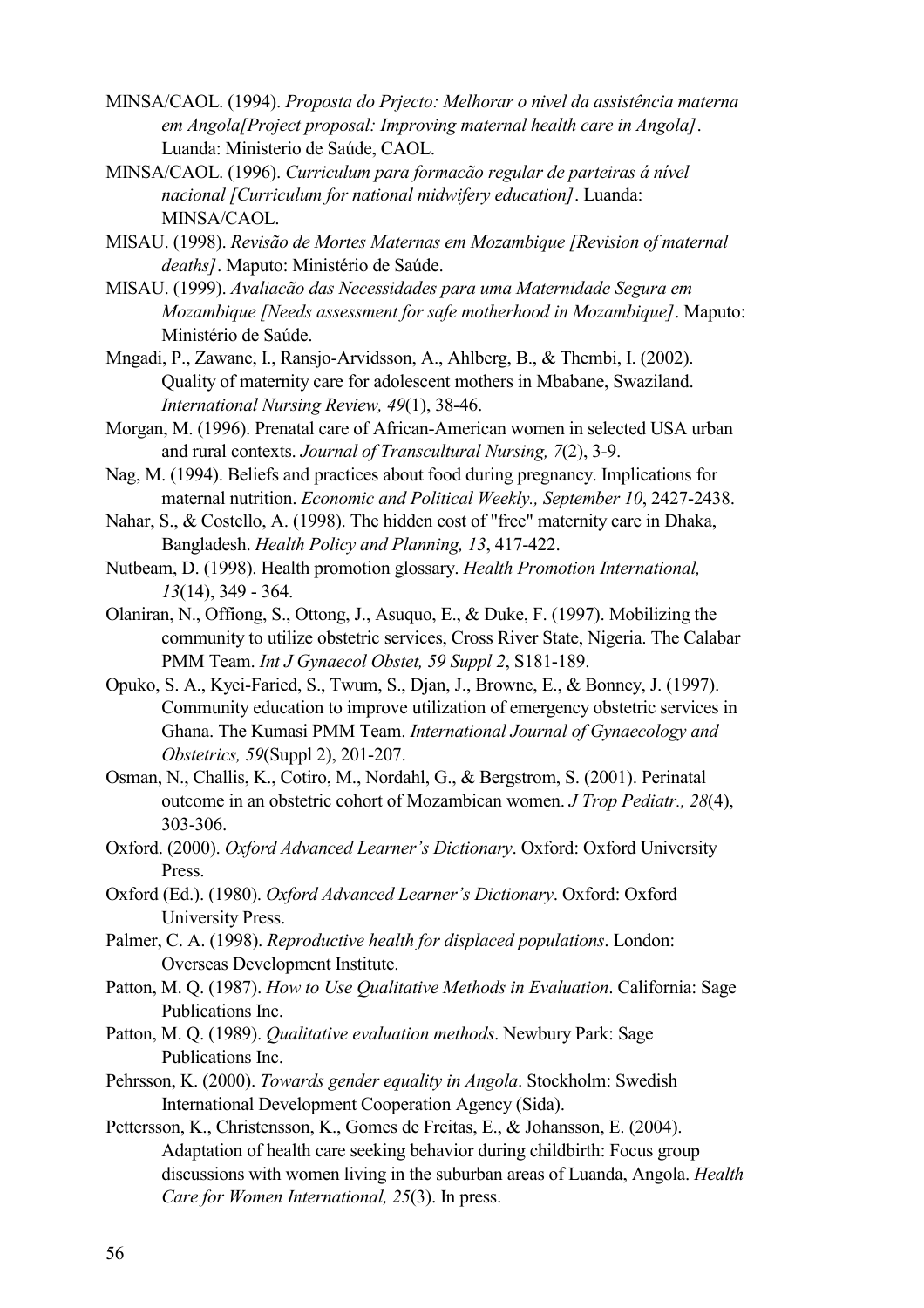- MINSA/CAOL. (1994). *Proposta do Prjecto: Melhorar o nivel da assistência materna em Angola[Project proposal: Improving maternal health care in Angola]*. Luanda: Ministerio de Saúde, CAOL.
- MINSA/CAOL. (1996). *Curriculum para formacão regular de parteiras á nível nacional [Curriculum for national midwifery education]*. Luanda: MINSA/CAOL.
- MISAU. (1998). *Revisão de Mortes Maternas em Mozambique [Revision of maternal deaths]*. Maputo: Ministério de Saúde.
- MISAU. (1999). *Avaliacão das Necessidades para uma Maternidade Segura em Mozambique [Needs assessment for safe motherhood in Mozambique]*. Maputo: Ministério de Saúde.
- Mngadi, P., Zawane, I., Ransjo-Arvidsson, A., Ahlberg, B., & Thembi, I. (2002). Quality of maternity care for adolescent mothers in Mbabane, Swaziland. *International Nursing Review, 49*(1), 38-46.
- Morgan, M. (1996). Prenatal care of African-American women in selected USA urban and rural contexts. *Journal of Transcultural Nursing, 7*(2), 3-9.
- Nag, M. (1994). Beliefs and practices about food during pregnancy. Implications for maternal nutrition. *Economic and Political Weekly., September 10*, 2427-2438.
- Nahar, S., & Costello, A. (1998). The hidden cost of "free" maternity care in Dhaka, Bangladesh. *Health Policy and Planning, 13*, 417-422.
- Nutbeam, D. (1998). Health promotion glossary. *Health Promotion International, 13*(14), 349 - 364.
- Olaniran, N., Offiong, S., Ottong, J., Asuquo, E., & Duke, F. (1997). Mobilizing the community to utilize obstetric services, Cross River State, Nigeria. The Calabar PMM Team. *Int J Gynaecol Obstet, 59 Suppl 2*, S181-189.
- Opuko, S. A., Kyei-Faried, S., Twum, S., Djan, J., Browne, E., & Bonney, J. (1997). Community education to improve utilization of emergency obstetric services in Ghana. The Kumasi PMM Team. *International Journal of Gynaecology and Obstetrics, 59*(Suppl 2), 201-207.
- Osman, N., Challis, K., Cotiro, M., Nordahl, G., & Bergstrom, S. (2001). Perinatal outcome in an obstetric cohort of Mozambican women. *J Trop Pediatr., 28*(4), 303-306.
- Oxford. (2000). *Oxford Advanced Learner's Dictionary*. Oxford: Oxford University Press.
- Oxford (Ed.). (1980). *Oxford Advanced Learner's Dictionary*. Oxford: Oxford University Press.
- Palmer, C. A. (1998). *Reproductive health for displaced populations*. London: Overseas Development Institute.
- Patton, M. Q. (1987). *How to Use Qualitative Methods in Evaluation*. California: Sage Publications Inc.
- Patton, M. Q. (1989). *Qualitative evaluation methods*. Newbury Park: Sage Publications Inc.
- Pehrsson, K. (2000). *Towards gender equality in Angola*. Stockholm: Swedish International Development Cooperation Agency (Sida).
- Pettersson, K., Christensson, K., Gomes de Freitas, E., & Johansson, E. (2004). Adaptation of health care seeking behavior during childbirth: Focus group discussions with women living in the suburban areas of Luanda, Angola. *Health Care for Women International, 25*(3). In press.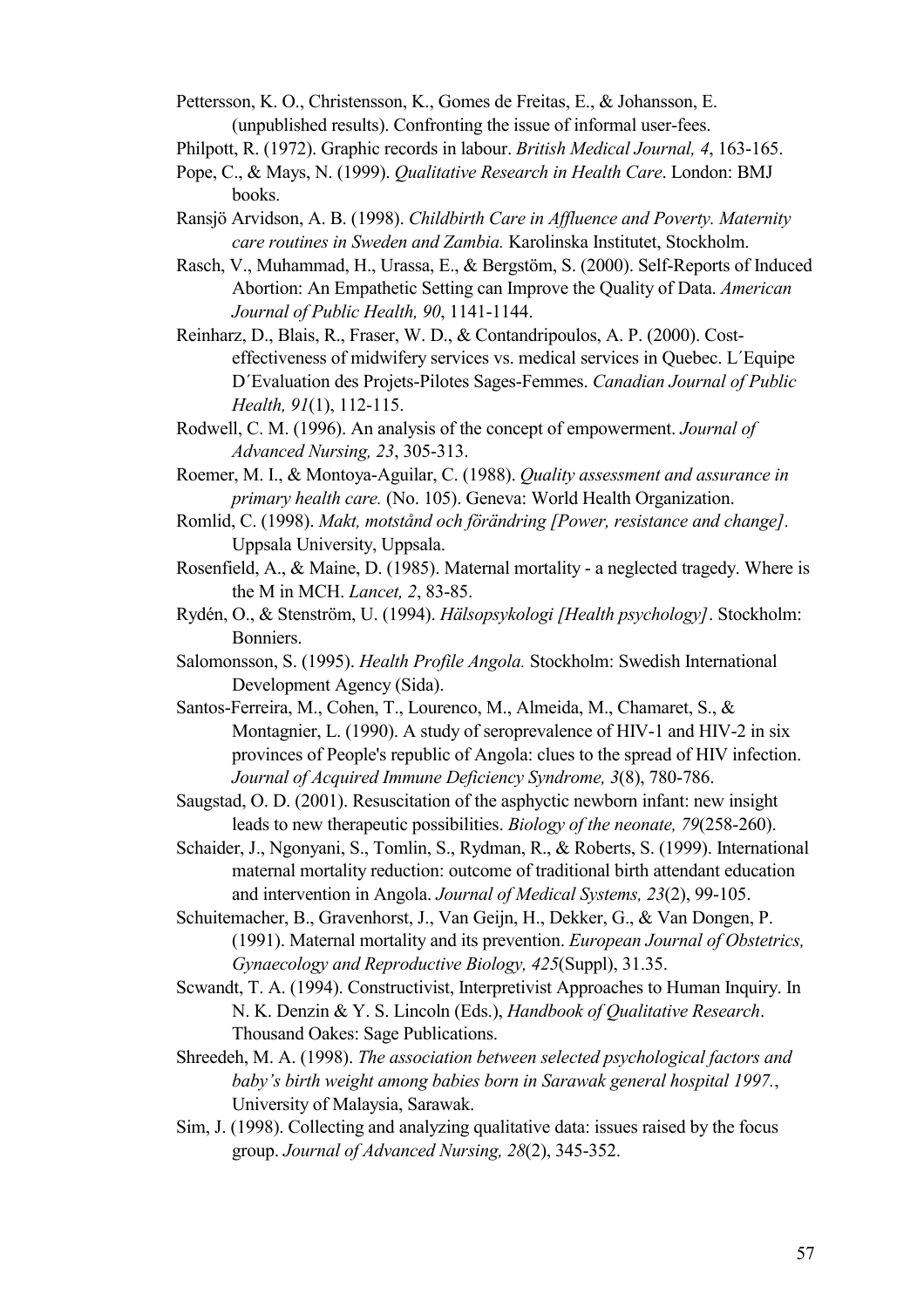Pettersson, K. O., Christensson, K., Gomes de Freitas, E., & Johansson, E. (unpublished results). Confronting the issue of informal user-fees.

- Philpott, R. (1972). Graphic records in labour. *British Medical Journal, 4*, 163-165.
- Pope, C., & Mays, N. (1999). *Qualitative Research in Health Care*. London: BMJ books.
- Ransjö Arvidson, A. B. (1998). *Childbirth Care in Affluence and Poverty. Maternity care routines in Sweden and Zambia.* Karolinska Institutet, Stockholm.
- Rasch, V., Muhammad, H., Urassa, E., & Bergstöm, S. (2000). Self-Reports of Induced Abortion: An Empathetic Setting can Improve the Quality of Data. *American Journal of Public Health, 90*, 1141-1144.
- Reinharz, D., Blais, R., Fraser, W. D., & Contandripoulos, A. P. (2000). Costeffectiveness of midwifery services vs. medical services in Quebec. L´Equipe D´Evaluation des Projets-Pilotes Sages-Femmes. *Canadian Journal of Public Health, 91*(1), 112-115.
- Rodwell, C. M. (1996). An analysis of the concept of empowerment. *Journal of Advanced Nursing, 23*, 305-313.
- Roemer, M. I., & Montoya-Aguilar, C. (1988). *Quality assessment and assurance in primary health care.* (No. 105). Geneva: World Health Organization.
- Romlid, C. (1998). *Makt, motstånd och förändring [Power, resistance and change].* Uppsala University, Uppsala.
- Rosenfield, A., & Maine, D. (1985). Maternal mortality a neglected tragedy. Where is the M in MCH. *Lancet, 2*, 83-85.
- Rydén, O., & Stenström, U. (1994). *Hälsopsykologi [Health psychology]*. Stockholm: Bonniers.
- Salomonsson, S. (1995). *Health Profile Angola.* Stockholm: Swedish International Development Agency (Sida).
- Santos-Ferreira, M., Cohen, T., Lourenco, M., Almeida, M., Chamaret, S., & Montagnier, L. (1990). A study of seroprevalence of HIV-1 and HIV-2 in six provinces of People's republic of Angola: clues to the spread of HIV infection. *Journal of Acquired Immune Deficiency Syndrome, 3*(8), 780-786.
- Saugstad, O. D. (2001). Resuscitation of the asphyctic newborn infant: new insight leads to new therapeutic possibilities. *Biology of the neonate, 79*(258-260).
- Schaider, J., Ngonyani, S., Tomlin, S., Rydman, R., & Roberts, S. (1999). International maternal mortality reduction: outcome of traditional birth attendant education and intervention in Angola. *Journal of Medical Systems, 23*(2), 99-105.
- Schuitemacher, B., Gravenhorst, J., Van Geijn, H., Dekker, G., & Van Dongen, P. (1991). Maternal mortality and its prevention. *European Journal of Obstetrics, Gynaecology and Reproductive Biology, 425*(Suppl), 31.35.
- Scwandt, T. A. (1994). Constructivist, Interpretivist Approaches to Human Inquiry. In N. K. Denzin & Y. S. Lincoln (Eds.), *Handbook of Qualitative Research*. Thousand Oakes: Sage Publications.
- Shreedeh, M. A. (1998). *The association between selected psychological factors and baby's birth weight among babies born in Sarawak general hospital 1997.*, University of Malaysia, Sarawak.
- Sim, J. (1998). Collecting and analyzing qualitative data: issues raised by the focus group. *Journal of Advanced Nursing, 28*(2), 345-352.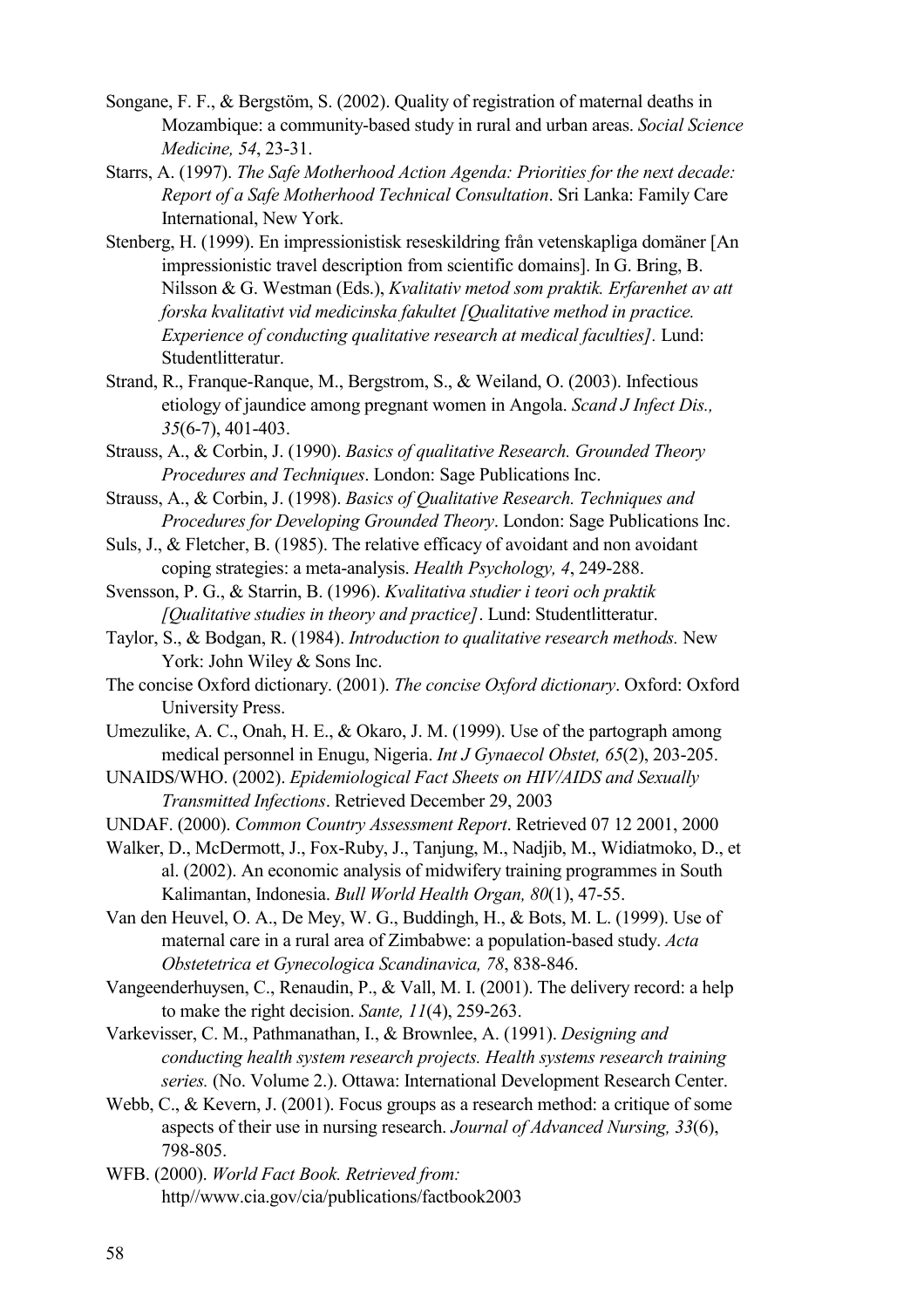- Songane, F. F., & Bergstöm, S. (2002). Quality of registration of maternal deaths in Mozambique: a community-based study in rural and urban areas. *Social Science Medicine, 54*, 23-31.
- Starrs, A. (1997). *The Safe Motherhood Action Agenda: Priorities for the next decade: Report of a Safe Motherhood Technical Consultation*. Sri Lanka: Family Care International, New York.
- Stenberg, H. (1999). En impressionistisk reseskildring från vetenskapliga domäner [An impressionistic travel description from scientific domains]. In G. Bring, B. Nilsson & G. Westman (Eds.), *Kvalitativ metod som praktik. Erfarenhet av att forska kvalitativt vid medicinska fakultet [Qualitative method in practice. Experience of conducting qualitative research at medical faculties].* Lund: Studentlitteratur.
- Strand, R., Franque-Ranque, M., Bergstrom, S., & Weiland, O. (2003). Infectious etiology of jaundice among pregnant women in Angola. *Scand J Infect Dis., 35*(6-7), 401-403.
- Strauss, A., & Corbin, J. (1990). *Basics of qualitative Research. Grounded Theory Procedures and Techniques*. London: Sage Publications Inc.
- Strauss, A., & Corbin, J. (1998). *Basics of Qualitative Research. Techniques and Procedures for Developing Grounded Theory*. London: Sage Publications Inc.
- Suls, J., & Fletcher, B. (1985). The relative efficacy of avoidant and non avoidant coping strategies: a meta-analysis. *Health Psychology, 4*, 249-288.
- Svensson, P. G., & Starrin, B. (1996). *Kvalitativa studier i teori och praktik [Qualitative studies in theory and practice]*. Lund: Studentlitteratur.
- Taylor, S., & Bodgan, R. (1984). *Introduction to qualitative research methods.* New York: John Wiley & Sons Inc.
- The concise Oxford dictionary. (2001). *The concise Oxford dictionary*. Oxford: Oxford University Press.
- Umezulike, A. C., Onah, H. E., & Okaro, J. M. (1999). Use of the partograph among medical personnel in Enugu, Nigeria. *Int J Gynaecol Obstet, 65*(2), 203-205.
- UNAIDS/WHO. (2002). *Epidemiological Fact Sheets on HIV/AIDS and Sexually Transmitted Infections*. Retrieved December 29, 2003
- UNDAF. (2000). *Common Country Assessment Report*. Retrieved 07 12 2001, 2000
- Walker, D., McDermott, J., Fox-Ruby, J., Tanjung, M., Nadjib, M., Widiatmoko, D., et al. (2002). An economic analysis of midwifery training programmes in South Kalimantan, Indonesia. *Bull World Health Organ, 80*(1), 47-55.
- Van den Heuvel, O. A., De Mey, W. G., Buddingh, H., & Bots, M. L. (1999). Use of maternal care in a rural area of Zimbabwe: a population-based study. *Acta Obstetetrica et Gynecologica Scandinavica, 78*, 838-846.
- Vangeenderhuysen, C., Renaudin, P., & Vall, M. I. (2001). The delivery record: a help to make the right decision. *Sante, 11*(4), 259-263.
- Varkevisser, C. M., Pathmanathan, I., & Brownlee, A. (1991). *Designing and conducting health system research projects. Health systems research training series.* (No. Volume 2.). Ottawa: International Development Research Center.
- Webb, C., & Kevern, J. (2001). Focus groups as a research method: a critique of some aspects of their use in nursing research. *Journal of Advanced Nursing, 33*(6), 798-805.
- WFB. (2000). *World Fact Book. Retrieved from:* http//www.cia.gov/cia/publications/factbook2003